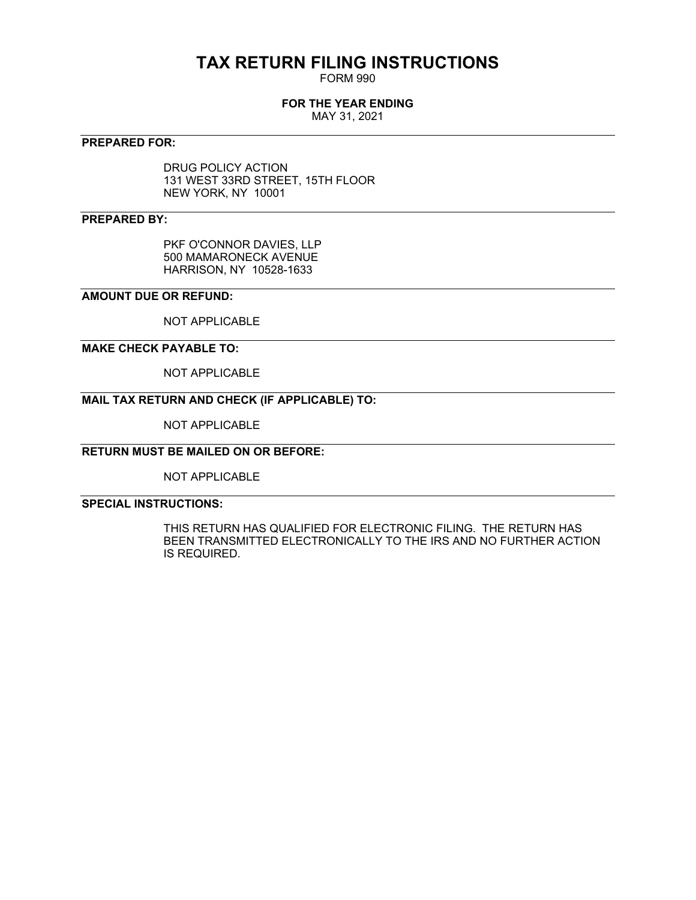# **TAX RETURN FILING INSTRUCTIONS**

FORM 990

### **FOR THE YEAR ENDING**

MAY 31, 2021

#### **PREPARED FOR:**

DRUG POLICY ACTION 131 WEST 33RD STREET, 15TH FLOOR NEW YORK, NY 10001

### **PREPARED BY:**

PKF O'CONNOR DAVIES, LLP 500 MAMARONECK AVENUE HARRISON, NY 10528-1633

#### **AMOUNT DUE OR REFUND:**

NOT APPLICABLE

#### **MAKE CHECK PAYABLE TO:**

NOT APPLICABLE

### **MAIL TAX RETURN AND CHECK (IF APPLICABLE) TO:**

NOT APPLICABLE

## **RETURN MUST BE MAILED ON OR BEFORE:**

NOT APPLICABLE

#### **SPECIAL INSTRUCTIONS:**

THIS RETURN HAS QUALIFIED FOR ELECTRONIC FILING. THE RETURN HAS BEEN TRANSMITTED ELECTRONICALLY TO THE IRS AND NO FURTHER ACTION IS REQUIRED.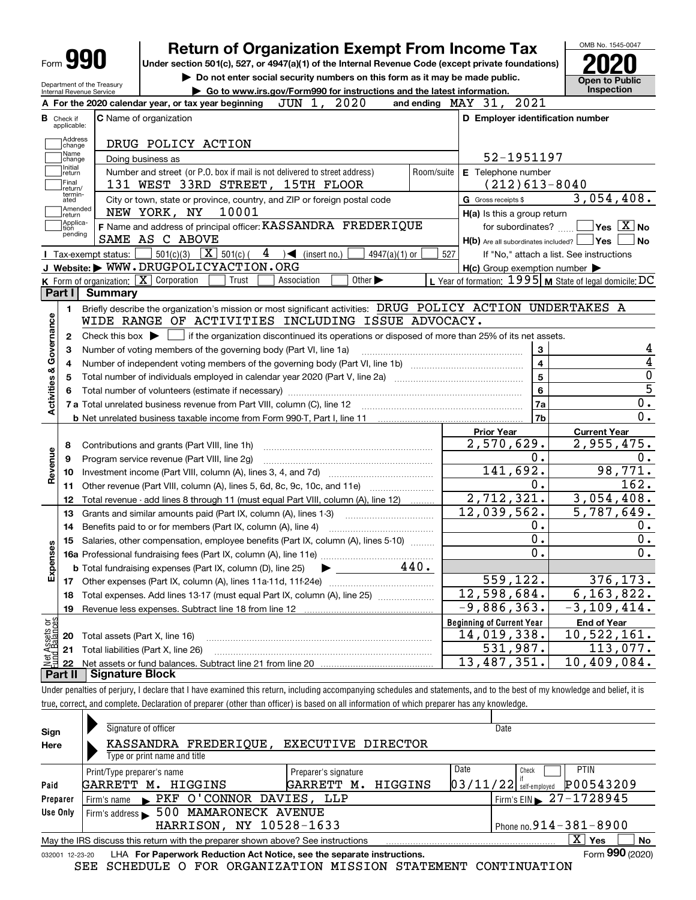Department of the Treasury Internal Revenue Service

# **Return of Organization Exempt From Income Tax**

**Under section 501(c), 527, or 4947(a)(1) of the Internal Revenue Code (except private foundations) 2020**

**| Do not enter social security numbers on this form as it may be made public.**



|                              | aiunchu viulci lica suiv<br>► Go to www.irs.gov/Form990 for instructions and the latest information.<br>Internal Revenue Service                                                                                               |            |                                                     | Inspection                                                                                                               |
|------------------------------|--------------------------------------------------------------------------------------------------------------------------------------------------------------------------------------------------------------------------------|------------|-----------------------------------------------------|--------------------------------------------------------------------------------------------------------------------------|
|                              | JUN<br>2020<br>A For the 2020 calendar year, or tax year beginning<br>1,<br>and ending                                                                                                                                         |            | MAY 31,<br>2021                                     |                                                                                                                          |
| В<br>Check if<br>applicable: | <b>C</b> Name of organization                                                                                                                                                                                                  |            | D Employer identification number                    |                                                                                                                          |
| Address<br>change            | DRUG POLICY ACTION                                                                                                                                                                                                             |            |                                                     |                                                                                                                          |
| Name<br>change               | Doing business as                                                                                                                                                                                                              |            | 52-1951197                                          |                                                                                                                          |
| Initial<br>return            | Number and street (or P.O. box if mail is not delivered to street address)                                                                                                                                                     | Room/suite | E Telephone number                                  |                                                                                                                          |
| Final<br>return/             | 131 WEST 33RD STREET, 15TH FLOOR                                                                                                                                                                                               |            | $(212)613-8040$                                     |                                                                                                                          |
| termin-<br>ated              | City or town, state or province, country, and ZIP or foreign postal code                                                                                                                                                       |            | G Gross receipts \$                                 | 3,054,408.                                                                                                               |
| Amended<br>return            | NEW YORK, NY<br>10001                                                                                                                                                                                                          |            | H(a) Is this a group return                         |                                                                                                                          |
| Applica-<br>tion<br>pending  | F Name and address of principal officer: KASSANDRA FREDERIQUE                                                                                                                                                                  |            | for subordinates?                                   | $ Yes X $ No                                                                                                             |
|                              | SAME AS C ABOVE                                                                                                                                                                                                                |            | $H(b)$ Are all subordinates included? $\Box$ Yes    | No                                                                                                                       |
|                              | $501(c)(3)$ $\overline{X}$ 501(c) (<br>4<br>$\sqrt{\phantom{a}}$ (insert no.)<br>Tax-exempt status:  <br>$4947(a)(1)$ or                                                                                                       | 527        |                                                     | If "No," attach a list. See instructions                                                                                 |
|                              | J Website: WWW.DRUGPOLICYACTION.ORG                                                                                                                                                                                            |            | $H(c)$ Group exemption number $\blacktriangleright$ |                                                                                                                          |
|                              | <b>K</b> Form of organization: $\boxed{\mathbf{X}}$ Corporation<br>Other $\blacktriangleright$<br>Trust<br>Association                                                                                                         |            |                                                     | L Year of formation: $1995$ M State of legal domicile: DC                                                                |
| Part I                       | <b>Summary</b>                                                                                                                                                                                                                 |            |                                                     |                                                                                                                          |
| 1.                           | Briefly describe the organization's mission or most significant activities: DRUG POLICY ACTION UNDERTAKES A                                                                                                                    |            |                                                     |                                                                                                                          |
| Activities & Governance      | WIDE RANGE OF ACTIVITIES INCLUDING ISSUE ADVOCACY.                                                                                                                                                                             |            |                                                     |                                                                                                                          |
| 2                            | Check this box $\blacktriangleright$ $\blacksquare$ if the organization discontinued its operations or disposed of more than 25% of its net assets.                                                                            |            |                                                     |                                                                                                                          |
| 3                            | Number of voting members of the governing body (Part VI, line 1a)                                                                                                                                                              |            | 3                                                   | 4<br>$\overline{4}$                                                                                                      |
| 4                            |                                                                                                                                                                                                                                |            | $\overline{\mathbf{4}}$                             | $\overline{0}$                                                                                                           |
| 5                            |                                                                                                                                                                                                                                |            | 5<br>6                                              | $\overline{5}$                                                                                                           |
| 6                            | Total number of volunteers (estimate if necessary) manufacture content content content of volunteers (estimate if necessary) manufacture content content content of the content of the content of the content of the content o |            | 7a                                                  | 0.                                                                                                                       |
|                              | 7 a Total unrelated business revenue from Part VIII, column (C), line 12<br><b>b</b> Net unrelated business taxable income from Form 990-T, Part I, line 11                                                                    |            | 7b                                                  | 0.                                                                                                                       |
|                              |                                                                                                                                                                                                                                |            | <b>Prior Year</b>                                   | <b>Current Year</b>                                                                                                      |
| 8                            | Contributions and grants (Part VIII, line 1h)                                                                                                                                                                                  |            | 2,570,629.                                          | 2,955,475.                                                                                                               |
| Revenue<br>9                 | Program service revenue (Part VIII, line 2g)                                                                                                                                                                                   |            | 0.                                                  | 0.                                                                                                                       |
| 10                           |                                                                                                                                                                                                                                |            | 141,692.                                            | 98,771.                                                                                                                  |
| 11                           | Other revenue (Part VIII, column (A), lines 5, 6d, 8c, 9c, 10c, and 11e)                                                                                                                                                       |            | 0.                                                  | 162.                                                                                                                     |
| 12                           | Total revenue - add lines 8 through 11 (must equal Part VIII, column (A), line 12)                                                                                                                                             |            | 2,712,321.                                          | 3,054,408.                                                                                                               |
| 13                           | Grants and similar amounts paid (Part IX, column (A), lines 1-3)                                                                                                                                                               |            | 12,039,562.                                         | 5,787,649.                                                                                                               |
| 14                           | Benefits paid to or for members (Part IX, column (A), line 4)                                                                                                                                                                  |            | 0.                                                  | 0.                                                                                                                       |
|                              | Salaries, other compensation, employee benefits (Part IX, column (A), lines 5-10)                                                                                                                                              |            | 0.                                                  | 0.                                                                                                                       |
| 15                           |                                                                                                                                                                                                                                |            |                                                     |                                                                                                                          |
|                              |                                                                                                                                                                                                                                |            | $\mathbf{0}$ .                                      |                                                                                                                          |
|                              | $\blacktriangleright$ 440.<br><b>b</b> Total fundraising expenses (Part IX, column (D), line 25)                                                                                                                               |            |                                                     |                                                                                                                          |
|                              |                                                                                                                                                                                                                                |            | 559,122.                                            |                                                                                                                          |
| 18                           | Total expenses. Add lines 13-17 (must equal Part IX, column (A), line 25) <i>manumum</i>                                                                                                                                       |            | 12,598,684.                                         |                                                                                                                          |
| 19                           |                                                                                                                                                                                                                                |            | $-9,886,363.$                                       |                                                                                                                          |
|                              |                                                                                                                                                                                                                                |            | <b>Beginning of Current Year</b>                    | <b>End of Year</b>                                                                                                       |
|                              | 20 Total assets (Part X, line 16)                                                                                                                                                                                              |            | 14,019,338.                                         |                                                                                                                          |
| Expenses<br>äğ               | 21 Total liabilities (Part X, line 26)                                                                                                                                                                                         |            | 531,987.<br>13,487,351.                             | 0.<br>376, 173.<br>6, 163, 822.<br>$\overline{-3}$ , 109, 414.<br>$\overline{10}$ , 522, 161.<br>113,077.<br>10,409,084. |

Under penalties of perjury, I declare that I have examined this return, including accompanying schedules and statements, and to the best of my knowledge and belief, it is true, correct, and complete. Declaration of preparer (other than officer) is based on all information of which preparer has any knowledge.

| Sign     | Signature of officer                                                                                                |                       | Date                                  |  |  |  |  |
|----------|---------------------------------------------------------------------------------------------------------------------|-----------------------|---------------------------------------|--|--|--|--|
| Here     | KASSANDRA FREDERIQUE, EXECUTIVE DIRECTOR                                                                            |                       |                                       |  |  |  |  |
|          | Type or print name and title                                                                                        |                       |                                       |  |  |  |  |
|          | Print/Type preparer's name                                                                                          | Preparer's signature  | Date<br><b>PTIN</b><br>Check          |  |  |  |  |
| Paid     | GARRETT M.<br>HIGGINS                                                                                               | GARRETT M.<br>HIGGINS | P00543209<br>$03/11/22$ self-employed |  |  |  |  |
| Preparer | Firm's name PKF O'CONNOR DAVIES, LLP                                                                                |                       | Firm's EIN $\geq 27 - 1728945$        |  |  |  |  |
| Use Only | 500 MAMARONECK AVENUE<br>Firm's address $\blacktriangleright$                                                       |                       |                                       |  |  |  |  |
|          | HARRISON, NY 10528-1633                                                                                             |                       | Phone no. $914 - 381 - 8900$          |  |  |  |  |
|          | $\mathbf{x}$<br><b>No</b><br>Yes<br>May the IRS discuss this return with the preparer shown above? See instructions |                       |                                       |  |  |  |  |
|          | Form 990 (2020)<br>LHA For Paperwork Reduction Act Notice, see the separate instructions.<br>032001 12-23-20        |                       |                                       |  |  |  |  |

SEE SCHEDULE O FOR ORGANIZATION MISSION STATEMENT CONTINUATION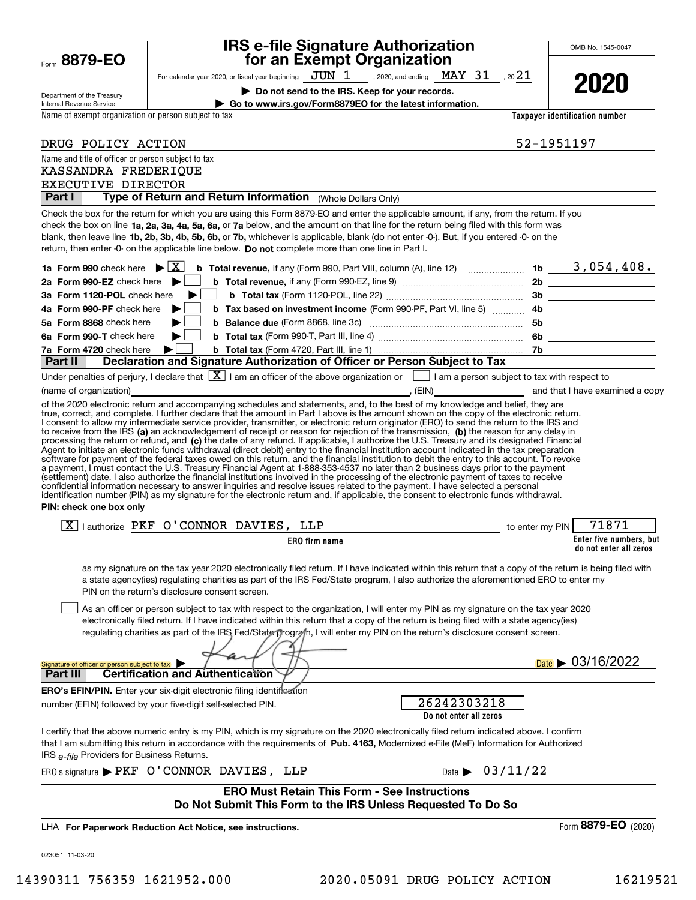| Form 8879-EO                                                                                                        |                                                                                                                                                                                                                                                                                                                                                                                                                                                                                                                                                                                                                                                                                                                                                           | <b>IRS e-file Signature Authorization<br/>for an Exempt Organization</b>                                                   |                                       |                                | OMB No. 1545-0047                                 |  |
|---------------------------------------------------------------------------------------------------------------------|-----------------------------------------------------------------------------------------------------------------------------------------------------------------------------------------------------------------------------------------------------------------------------------------------------------------------------------------------------------------------------------------------------------------------------------------------------------------------------------------------------------------------------------------------------------------------------------------------------------------------------------------------------------------------------------------------------------------------------------------------------------|----------------------------------------------------------------------------------------------------------------------------|---------------------------------------|--------------------------------|---------------------------------------------------|--|
|                                                                                                                     | For calendar year 2020, or fiscal year beginning $JUN$ $1$ , 2020, and ending $\text{ MAY}$ $31$ , 20 $21$                                                                                                                                                                                                                                                                                                                                                                                                                                                                                                                                                                                                                                                |                                                                                                                            |                                       |                                |                                                   |  |
|                                                                                                                     |                                                                                                                                                                                                                                                                                                                                                                                                                                                                                                                                                                                                                                                                                                                                                           | Do not send to the IRS. Keep for your records.                                                                             |                                       |                                | 2020                                              |  |
| Department of the Treasury<br>Internal Revenue Service                                                              |                                                                                                                                                                                                                                                                                                                                                                                                                                                                                                                                                                                                                                                                                                                                                           | Go to www.irs.gov/Form8879EO for the latest information.                                                                   |                                       |                                |                                                   |  |
| Name of exempt organization or person subject to tax                                                                |                                                                                                                                                                                                                                                                                                                                                                                                                                                                                                                                                                                                                                                                                                                                                           |                                                                                                                            |                                       | Taxpayer identification number |                                                   |  |
|                                                                                                                     |                                                                                                                                                                                                                                                                                                                                                                                                                                                                                                                                                                                                                                                                                                                                                           |                                                                                                                            |                                       |                                |                                                   |  |
| DRUG POLICY ACTION                                                                                                  |                                                                                                                                                                                                                                                                                                                                                                                                                                                                                                                                                                                                                                                                                                                                                           |                                                                                                                            |                                       | 52-1951197                     |                                                   |  |
| Name and title of officer or person subject to tax<br>KASSANDRA FREDERIQUE                                          |                                                                                                                                                                                                                                                                                                                                                                                                                                                                                                                                                                                                                                                                                                                                                           |                                                                                                                            |                                       |                                |                                                   |  |
| EXECUTIVE DIRECTOR                                                                                                  |                                                                                                                                                                                                                                                                                                                                                                                                                                                                                                                                                                                                                                                                                                                                                           |                                                                                                                            |                                       |                                |                                                   |  |
| Part I                                                                                                              | Type of Return and Return Information (Whole Dollars Only)                                                                                                                                                                                                                                                                                                                                                                                                                                                                                                                                                                                                                                                                                                |                                                                                                                            |                                       |                                |                                                   |  |
|                                                                                                                     | Check the box for the return for which you are using this Form 8879-EO and enter the applicable amount, if any, from the return. If you<br>check the box on line 1a, 2a, 3a, 4a, 5a, 6a, or 7a below, and the amount on that line for the return being filed with this form was<br>blank, then leave line 1b, 2b, 3b, 4b, 5b, 6b, or 7b, whichever is applicable, blank (do not enter -0-). But, if you entered -0- on the<br>return, then enter -0- on the applicable line below. Do not complete more than one line in Part I.                                                                                                                                                                                                                          |                                                                                                                            |                                       |                                |                                                   |  |
| 1a Form 990 check here $\blacktriangleright$ $\mid$ X $\mid$                                                        |                                                                                                                                                                                                                                                                                                                                                                                                                                                                                                                                                                                                                                                                                                                                                           | <b>b</b> Total revenue, if any (Form 990, Part VIII, column (A), line 12) $\ldots$ 10 $\ldots$ 1b $\ldots$ 3 , 054 , 408 . |                                       |                                |                                                   |  |
| 2a Form 990-EZ check here $\blacktriangleright$<br>3a Form 1120-POL check here                                      |                                                                                                                                                                                                                                                                                                                                                                                                                                                                                                                                                                                                                                                                                                                                                           |                                                                                                                            |                                       |                                |                                                   |  |
| 4a Form 990-PF check here                                                                                           |                                                                                                                                                                                                                                                                                                                                                                                                                                                                                                                                                                                                                                                                                                                                                           | b Tax based on investment income (Form 990-PF, Part VI, line 5) 4b ______________                                          |                                       |                                |                                                   |  |
| 5a Form 8868 check here                                                                                             |                                                                                                                                                                                                                                                                                                                                                                                                                                                                                                                                                                                                                                                                                                                                                           |                                                                                                                            |                                       |                                |                                                   |  |
| 6a Form 990-T check here                                                                                            | ▶                                                                                                                                                                                                                                                                                                                                                                                                                                                                                                                                                                                                                                                                                                                                                         |                                                                                                                            |                                       |                                |                                                   |  |
| 7a Form 4720 check here                                                                                             | ▶                                                                                                                                                                                                                                                                                                                                                                                                                                                                                                                                                                                                                                                                                                                                                         |                                                                                                                            |                                       |                                |                                                   |  |
| Part II                                                                                                             | Declaration and Signature Authorization of Officer or Person Subject to Tax                                                                                                                                                                                                                                                                                                                                                                                                                                                                                                                                                                                                                                                                               |                                                                                                                            |                                       |                                |                                                   |  |
|                                                                                                                     | Under penalties of perjury, I declare that $\boxed{\mathbf{X}}$ I am an officer of the above organization or $\boxed{\phantom{a}}$ I am a person subject to tax with respect to                                                                                                                                                                                                                                                                                                                                                                                                                                                                                                                                                                           |                                                                                                                            |                                       |                                |                                                   |  |
|                                                                                                                     | of the 2020 electronic return and accompanying schedules and statements, and, to the best of my knowledge and belief, they are                                                                                                                                                                                                                                                                                                                                                                                                                                                                                                                                                                                                                            |                                                                                                                            |                                       |                                |                                                   |  |
| PIN: check one box only                                                                                             | software for payment of the federal taxes owed on this return, and the financial institution to debit the entry to this account. To revoke<br>a payment, I must contact the U.S. Treasury Financial Agent at 1-888-353-4537 no later than 2 business days prior to the payment<br>(settlement) date. I also authorize the financial institutions involved in the processing of the electronic payment of taxes to receive<br>confidential information necessary to answer inquiries and resolve issues related to the payment. I have selected a personal<br>identification number (PIN) as my signature for the electronic return and, if applicable, the consent to electronic funds withdrawal.                                                        |                                                                                                                            |                                       |                                |                                                   |  |
|                                                                                                                     | $\boxed{X}$   authorize PKF O'CONNOR DAVIES, LLP                                                                                                                                                                                                                                                                                                                                                                                                                                                                                                                                                                                                                                                                                                          |                                                                                                                            | to enter my PIN                       |                                | 71871                                             |  |
|                                                                                                                     |                                                                                                                                                                                                                                                                                                                                                                                                                                                                                                                                                                                                                                                                                                                                                           | <b>ERO</b> firm name                                                                                                       |                                       |                                | Enter five numbers, but<br>do not enter all zeros |  |
| Signature of officer or person subject to tax                                                                       | as my signature on the tax year 2020 electronically filed return. If I have indicated within this return that a copy of the return is being filed with<br>a state agency(ies) regulating charities as part of the IRS Fed/State program, I also authorize the aforementioned ERO to enter my<br>PIN on the return's disclosure consent screen.<br>As an officer or person subject to tax with respect to the organization, I will enter my PIN as my signature on the tax year 2020<br>electronically filed return. If I have indicated within this return that a copy of the return is being filed with a state agency(ies)<br>regulating charities as part of the IRS Fed/State program, I will enter my PIN on the return's disclosure consent screen. |                                                                                                                            |                                       |                                | Date $\triangleright$ 03/16/2022                  |  |
| <b>Part III</b>                                                                                                     | <b>Certification and Authentication</b>                                                                                                                                                                                                                                                                                                                                                                                                                                                                                                                                                                                                                                                                                                                   |                                                                                                                            |                                       |                                |                                                   |  |
|                                                                                                                     | <b>ERO's EFIN/PIN.</b> Enter your six-digit electronic filing identification<br>number (EFIN) followed by your five-digit self-selected PIN.                                                                                                                                                                                                                                                                                                                                                                                                                                                                                                                                                                                                              |                                                                                                                            | 26242303218<br>Do not enter all zeros |                                |                                                   |  |
| IRS e-file Providers for Business Returns.                                                                          | I certify that the above numeric entry is my PIN, which is my signature on the 2020 electronically filed return indicated above. I confirm<br>that I am submitting this return in accordance with the requirements of Pub. 4163, Modernized e-File (MeF) Information for Authorized                                                                                                                                                                                                                                                                                                                                                                                                                                                                       |                                                                                                                            |                                       |                                |                                                   |  |
|                                                                                                                     | ERO's signature > PKF O'CONNOR DAVIES, LLP                                                                                                                                                                                                                                                                                                                                                                                                                                                                                                                                                                                                                                                                                                                |                                                                                                                            | Date $\triangleright$ 03/11/22        |                                |                                                   |  |
| <b>ERO Must Retain This Form - See Instructions</b><br>Do Not Submit This Form to the IRS Unless Requested To Do So |                                                                                                                                                                                                                                                                                                                                                                                                                                                                                                                                                                                                                                                                                                                                                           |                                                                                                                            |                                       |                                |                                                   |  |
|                                                                                                                     | LHA For Paperwork Reduction Act Notice, see instructions.                                                                                                                                                                                                                                                                                                                                                                                                                                                                                                                                                                                                                                                                                                 |                                                                                                                            |                                       |                                | Form 8879-EO (2020)                               |  |
| 023051 11-03-20                                                                                                     |                                                                                                                                                                                                                                                                                                                                                                                                                                                                                                                                                                                                                                                                                                                                                           |                                                                                                                            |                                       |                                |                                                   |  |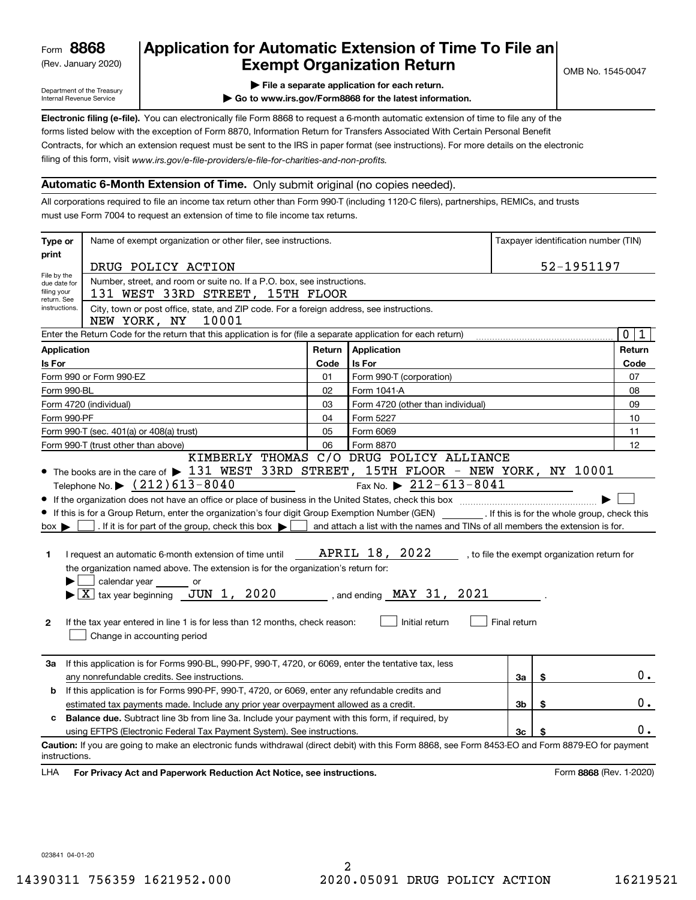(Rev. January 2020)

# **Application for Automatic Extension of Time To File an Exempt Organization Return**

Department of the Treasury Internal Revenue Service

**| File a separate application for each return.**

**| Go to www.irs.gov/Form8868 for the latest information.**

**Electronic filing (e-file).**  You can electronically file Form 8868 to request a 6-month automatic extension of time to file any of the filing of this form, visit www.irs.gov/e-file-providers/e-file-for-charities-and-non-profits. forms listed below with the exception of Form 8870, Information Return for Transfers Associated With Certain Personal Benefit Contracts, for which an extension request must be sent to the IRS in paper format (see instructions). For more details on the electronic

#### **Automatic 6-Month Extension of Time.** Only submit original (no copies needed).

All corporations required to file an income tax return other than Form 990-T (including 1120-C filers), partnerships, REMICs, and trusts must use Form 7004 to request an extension of time to file income tax returns.

| Type or                                         | Name of exempt organization or other filer, see instructions.                                                                                                                                                                                                                                                                                                                                                                                                                                                                                                                                                                                                   |        |                                                                                                                                                                                                       |              |    | Taxpayer identification number (TIN)         |
|-------------------------------------------------|-----------------------------------------------------------------------------------------------------------------------------------------------------------------------------------------------------------------------------------------------------------------------------------------------------------------------------------------------------------------------------------------------------------------------------------------------------------------------------------------------------------------------------------------------------------------------------------------------------------------------------------------------------------------|--------|-------------------------------------------------------------------------------------------------------------------------------------------------------------------------------------------------------|--------------|----|----------------------------------------------|
| print                                           | DRUG POLICY ACTION                                                                                                                                                                                                                                                                                                                                                                                                                                                                                                                                                                                                                                              |        |                                                                                                                                                                                                       |              |    | 52-1951197                                   |
| File by the<br>due date for                     | Number, street, and room or suite no. If a P.O. box, see instructions.                                                                                                                                                                                                                                                                                                                                                                                                                                                                                                                                                                                          |        |                                                                                                                                                                                                       |              |    |                                              |
| filing your<br>return. See                      | 131 WEST 33RD STREET, 15TH FLOOR                                                                                                                                                                                                                                                                                                                                                                                                                                                                                                                                                                                                                                |        |                                                                                                                                                                                                       |              |    |                                              |
| instructions.                                   | City, town or post office, state, and ZIP code. For a foreign address, see instructions.<br>NEW YORK, NY<br>10001                                                                                                                                                                                                                                                                                                                                                                                                                                                                                                                                               |        |                                                                                                                                                                                                       |              |    |                                              |
|                                                 | Enter the Return Code for the return that this application is for (file a separate application for each return)                                                                                                                                                                                                                                                                                                                                                                                                                                                                                                                                                 |        |                                                                                                                                                                                                       |              |    | $\mathbf 0$<br>1                             |
| <b>Application</b>                              |                                                                                                                                                                                                                                                                                                                                                                                                                                                                                                                                                                                                                                                                 | Return | Application                                                                                                                                                                                           |              |    | Return                                       |
| Is For                                          |                                                                                                                                                                                                                                                                                                                                                                                                                                                                                                                                                                                                                                                                 | Code   | Is For                                                                                                                                                                                                |              |    | Code                                         |
|                                                 | Form 990 or Form 990-EZ                                                                                                                                                                                                                                                                                                                                                                                                                                                                                                                                                                                                                                         | 01     | Form 990-T (corporation)                                                                                                                                                                              |              |    | 07                                           |
| Form 990-BL                                     |                                                                                                                                                                                                                                                                                                                                                                                                                                                                                                                                                                                                                                                                 | 02     | Form 1041-A                                                                                                                                                                                           |              |    | 08                                           |
|                                                 | Form 4720 (individual)                                                                                                                                                                                                                                                                                                                                                                                                                                                                                                                                                                                                                                          | 03     | Form 4720 (other than individual)                                                                                                                                                                     |              |    | 09                                           |
| Form 990-PF                                     |                                                                                                                                                                                                                                                                                                                                                                                                                                                                                                                                                                                                                                                                 | 04     | Form 5227                                                                                                                                                                                             |              |    | 10                                           |
|                                                 | Form 990-T (sec. 401(a) or 408(a) trust)                                                                                                                                                                                                                                                                                                                                                                                                                                                                                                                                                                                                                        | 05     | Form 6069                                                                                                                                                                                             |              |    | 11                                           |
|                                                 | Form 990-T (trust other than above)                                                                                                                                                                                                                                                                                                                                                                                                                                                                                                                                                                                                                             | 06     | Form 8870<br>KIMBERLY THOMAS C/O DRUG POLICY ALLIANCE                                                                                                                                                 |              |    | 12                                           |
| $box \blacktriangleright$<br>1.<br>$\mathbf{2}$ | Telephone No. $\triangleright$ (212) 613-8040<br>• If this is for a Group Return, enter the organization's four digit Group Exemption Number (GEN) _________. If this is for the whole group, check this<br>. If it is for part of the group, check this box $\blacktriangleright$<br>I request an automatic 6-month extension of time until<br>the organization named above. The extension is for the organization's return for:<br>calendar year or<br>$\blacktriangleright$ $\boxed{\text{X}}$ tax year beginning $\boxed{\text{JUN}}$ 1, 2020<br>If the tax year entered in line 1 is for less than 12 months, check reason:<br>Change in accounting period |        | Fax No. $\triangleright$ 212-613-8041<br>and attach a list with the names and TINs of all members the extension is for.<br>APRIL 18, 2022<br>, and ending $\text{ MAY} 31$ , $2021$<br>Initial return | Final return |    | , to file the exempt organization return for |
| За                                              | If this application is for Forms 990-BL, 990-PF, 990-T, 4720, or 6069, enter the tentative tax, less<br>any nonrefundable credits. See instructions.                                                                                                                                                                                                                                                                                                                                                                                                                                                                                                            |        |                                                                                                                                                                                                       | За           | \$ | 0.                                           |
| b                                               | If this application is for Forms 990-PF, 990-T, 4720, or 6069, enter any refundable credits and                                                                                                                                                                                                                                                                                                                                                                                                                                                                                                                                                                 |        |                                                                                                                                                                                                       |              |    |                                              |
|                                                 | estimated tax payments made. Include any prior year overpayment allowed as a credit.                                                                                                                                                                                                                                                                                                                                                                                                                                                                                                                                                                            |        |                                                                                                                                                                                                       | 3b           | \$ | 0.                                           |
| c                                               | <b>Balance due.</b> Subtract line 3b from line 3a. Include your payment with this form, if required, by                                                                                                                                                                                                                                                                                                                                                                                                                                                                                                                                                         |        |                                                                                                                                                                                                       |              |    | $0$ .                                        |
|                                                 | 3c<br>using EFTPS (Electronic Federal Tax Payment System). See instructions.<br>\$                                                                                                                                                                                                                                                                                                                                                                                                                                                                                                                                                                              |        |                                                                                                                                                                                                       |              |    |                                              |
| instructions.                                   | Caution: If you are going to make an electronic funds withdrawal (direct debit) with this Form 8868, see Form 8453-EO and Form 8879-EO for payment                                                                                                                                                                                                                                                                                                                                                                                                                                                                                                              |        |                                                                                                                                                                                                       |              |    |                                              |
| LHA                                             | For Privacy Act and Paperwork Reduction Act Notice, see instructions.                                                                                                                                                                                                                                                                                                                                                                                                                                                                                                                                                                                           |        |                                                                                                                                                                                                       |              |    | Form 8868 (Rev. 1-2020)                      |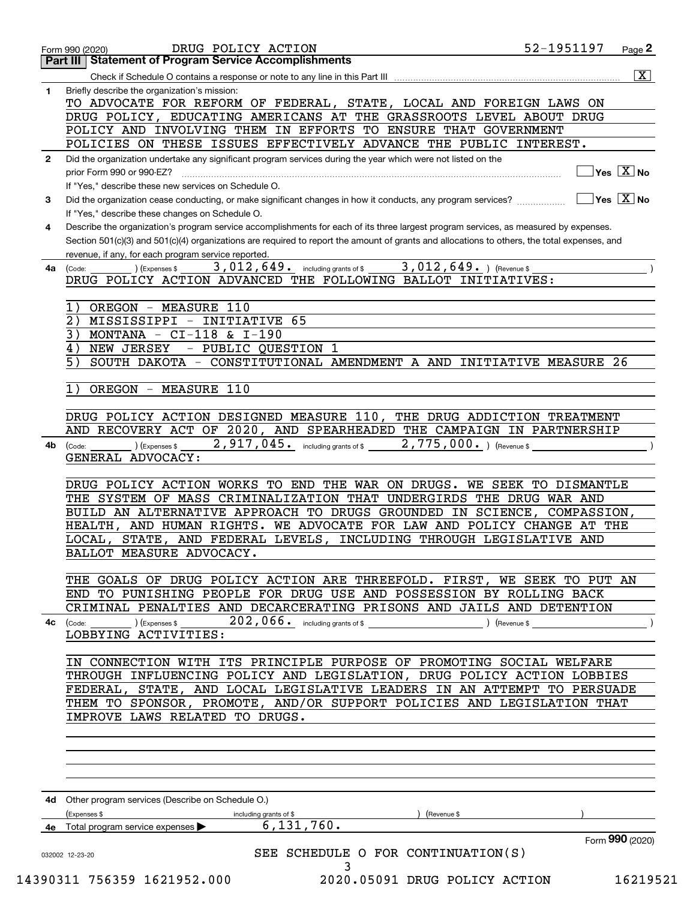|              | DRUG POLICY ACTION<br>Form 990 (2020)<br><b>Part III   Statement of Program Service Accomplishments</b>                                      | 52-1951197<br>Page 2                             |
|--------------|----------------------------------------------------------------------------------------------------------------------------------------------|--------------------------------------------------|
|              |                                                                                                                                              | $\overline{\mathbf{x}}$                          |
| 1            | Briefly describe the organization's mission:                                                                                                 |                                                  |
|              | TO ADVOCATE FOR REFORM OF FEDERAL, STATE, LOCAL AND FOREIGN LAWS ON                                                                          |                                                  |
|              | DRUG POLICY, EDUCATING AMERICANS AT THE GRASSROOTS LEVEL ABOUT DRUG                                                                          |                                                  |
|              | POLICY AND INVOLVING THEM IN EFFORTS TO ENSURE THAT GOVERNMENT                                                                               |                                                  |
|              | POLICIES ON THESE ISSUES EFFECTIVELY ADVANCE THE PUBLIC INTEREST.                                                                            |                                                  |
|              |                                                                                                                                              |                                                  |
| $\mathbf{2}$ | Did the organization undertake any significant program services during the year which were not listed on the                                 |                                                  |
|              | prior Form 990 or 990-EZ?                                                                                                                    | $\overline{\ }$ Yes $\overline{\phantom{a}X}$ No |
|              | If "Yes," describe these new services on Schedule O.                                                                                         |                                                  |
| 3            | Did the organization cease conducting, or make significant changes in how it conducts, any program services?                                 | $\boxed{\phantom{1}}$ Yes $\boxed{\text{X}}$ No  |
|              | If "Yes," describe these changes on Schedule O.                                                                                              |                                                  |
| 4            | Describe the organization's program service accomplishments for each of its three largest program services, as measured by expenses.         |                                                  |
|              | Section 501(c)(3) and 501(c)(4) organizations are required to report the amount of grants and allocations to others, the total expenses, and |                                                  |
|              | revenue, if any, for each program service reported.                                                                                          |                                                  |
| 4a           | 3,012,649. including grants of \$ 3,012,649. ) (Revenue \$<br>(Expenses \$<br>(Code:                                                         |                                                  |
|              | DRUG POLICY ACTION ADVANCED THE FOLLOWING BALLOT INITIATIVES:                                                                                |                                                  |
|              |                                                                                                                                              |                                                  |
|              | 1)<br>OREGON - MEASURE 110                                                                                                                   |                                                  |
|              | $2$ )<br>MISSISSIPPI - INITIATIVE 65                                                                                                         |                                                  |
|              | 3)<br>MONTANA - $CI-118$ & $I-190$                                                                                                           |                                                  |
|              | NEW JERSEY<br>- PUBLIC QUESTION 1<br>4)                                                                                                      |                                                  |
|              | 5)<br>SOUTH DAKOTA - CONSTITUTIONAL AMENDMENT A AND INITIATIVE MEASURE 26                                                                    |                                                  |
|              |                                                                                                                                              |                                                  |
|              | 1)<br>OREGON - MEASURE 110                                                                                                                   |                                                  |
|              |                                                                                                                                              |                                                  |
|              | DRUG POLICY ACTION DESIGNED MEASURE 110, THE DRUG ADDICTION TREATMENT                                                                        |                                                  |
|              | AND RECOVERY ACT OF 2020, AND SPEARHEADED THE CAMPAIGN IN PARTNERSHIP                                                                        |                                                  |
| 4b           | 2,917,045. including grants of \$2,775,000. ) (Revenue \$<br>) (Expenses \$                                                                  |                                                  |
|              | (Code:<br>GENERAL ADVOCACY:                                                                                                                  |                                                  |
|              |                                                                                                                                              |                                                  |
|              | DRUG POLICY ACTION WORKS TO END THE WAR ON DRUGS. WE SEEK TO DISMANTLE                                                                       |                                                  |
|              | THE SYSTEM OF MASS CRIMINALIZATION THAT UNDERGIRDS THE DRUG WAR AND                                                                          |                                                  |
|              |                                                                                                                                              |                                                  |
|              | BUILD AN ALTERNATIVE APPROACH TO DRUGS GROUNDED IN SCIENCE, COMPASSION,                                                                      |                                                  |
|              | HEALTH, AND HUMAN RIGHTS. WE ADVOCATE FOR LAW AND POLICY CHANGE AT THE                                                                       |                                                  |
|              | LOCAL, STATE, AND FEDERAL LEVELS, INCLUDING THROUGH LEGISLATIVE AND                                                                          |                                                  |
|              | BALLOT MEASURE ADVOCACY.                                                                                                                     |                                                  |
|              |                                                                                                                                              |                                                  |
|              | THE GOALS OF DRUG POLICY ACTION ARE THREEFOLD. FIRST, WE SEEK TO PUT AN                                                                      |                                                  |
|              | END TO PUNISHING PEOPLE FOR DRUG USE AND POSSESSION BY ROLLING BACK                                                                          |                                                  |
|              | CRIMINAL PENALTIES AND DECARCERATING PRISONS AND JAILS AND DETENTION                                                                         |                                                  |
| 4с           | $202$ , $066$ or including grants of \$<br>(Code: ) (Expenses \$<br>) (Revenue \$                                                            |                                                  |
|              | LOBBYING ACTIVITIES:                                                                                                                         |                                                  |
|              |                                                                                                                                              |                                                  |
|              | IN CONNECTION WITH ITS PRINCIPLE PURPOSE OF PROMOTING SOCIAL WELFARE                                                                         |                                                  |
|              | THROUGH INFLUENCING POLICY AND LEGISLATION, DRUG POLICY ACTION LOBBIES                                                                       |                                                  |
|              | FEDERAL, STATE, AND LOCAL LEGISLATIVE LEADERS IN AN ATTEMPT TO PERSUADE                                                                      |                                                  |
|              | THEM TO SPONSOR, PROMOTE, AND/OR SUPPORT POLICIES AND LEGISLATION THAT                                                                       |                                                  |
|              | IMPROVE LAWS RELATED TO DRUGS.                                                                                                               |                                                  |
|              |                                                                                                                                              |                                                  |
|              |                                                                                                                                              |                                                  |
|              |                                                                                                                                              |                                                  |
|              |                                                                                                                                              |                                                  |
|              |                                                                                                                                              |                                                  |
|              | 4d Other program services (Describe on Schedule O.)                                                                                          |                                                  |
|              |                                                                                                                                              |                                                  |
|              | (Expenses \$<br>(Revenue \$<br>including grants of \$<br>6, 131, 760.                                                                        |                                                  |
|              | 4e Total program service expenses $\blacktriangleright$                                                                                      |                                                  |
|              |                                                                                                                                              | Form 990 (2020)                                  |
|              | SEE SCHEDULE O FOR CONTINUATION(S)<br>032002 12-23-20                                                                                        |                                                  |
|              | 3<br>14390311 756359 1621952.000<br>2020.05091 DRUG POLICY ACTION                                                                            | 16219521                                         |
|              |                                                                                                                                              |                                                  |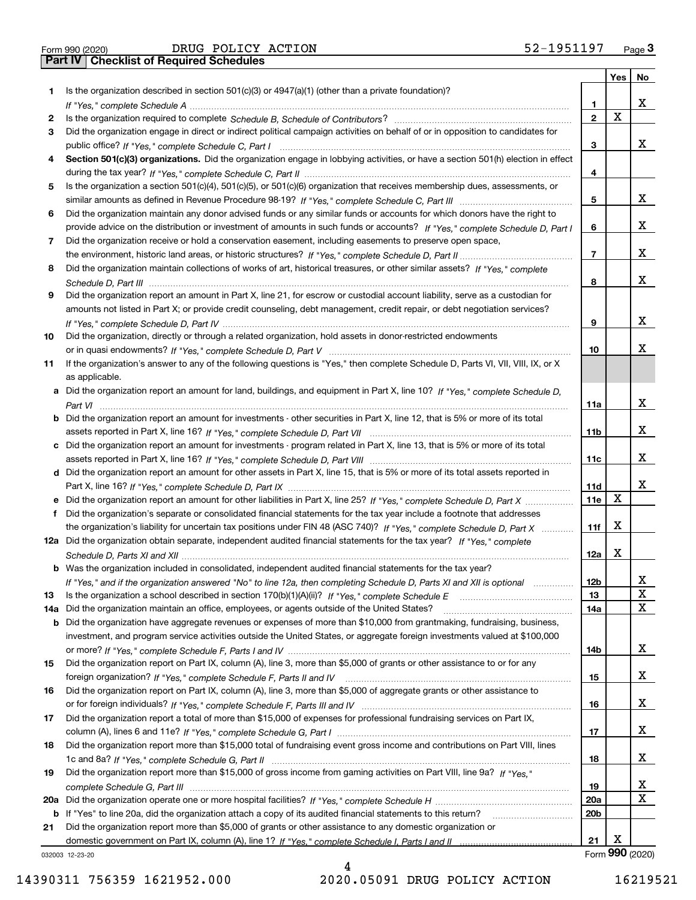|  | Form 990 (2020) |
|--|-----------------|

Form 990 (2020) DRUG POLICY ACTION 52-1951197 <sub>Page</sub> 3<br>**Part IV | Checklist of Required Schedules** 

|     |                                                                                                                                                                                                                                |                 | Yes | No              |
|-----|--------------------------------------------------------------------------------------------------------------------------------------------------------------------------------------------------------------------------------|-----------------|-----|-----------------|
| 1   | Is the organization described in section $501(c)(3)$ or $4947(a)(1)$ (other than a private foundation)?                                                                                                                        |                 |     |                 |
|     | If "Yes," complete Schedule A measure and a control of the state of the state of the state of the state of the state of the state of the state of the state of the state of the state of the state of the state of the state o | 1               |     | x               |
| 2   |                                                                                                                                                                                                                                | $\mathbf{2}$    | X   |                 |
| З   | Did the organization engage in direct or indirect political campaign activities on behalf of or in opposition to candidates for                                                                                                |                 |     |                 |
|     |                                                                                                                                                                                                                                | 3               |     | x               |
| 4   | Section 501(c)(3) organizations. Did the organization engage in lobbying activities, or have a section 501(h) election in effect                                                                                               |                 |     |                 |
|     |                                                                                                                                                                                                                                | 4               |     |                 |
|     |                                                                                                                                                                                                                                |                 |     |                 |
| 5   | Is the organization a section 501(c)(4), 501(c)(5), or 501(c)(6) organization that receives membership dues, assessments, or                                                                                                   |                 |     | x               |
|     |                                                                                                                                                                                                                                | 5               |     |                 |
| 6   | Did the organization maintain any donor advised funds or any similar funds or accounts for which donors have the right to                                                                                                      |                 |     |                 |
|     | provide advice on the distribution or investment of amounts in such funds or accounts? If "Yes," complete Schedule D, Part I                                                                                                   | 6               |     | x               |
| 7   | Did the organization receive or hold a conservation easement, including easements to preserve open space,                                                                                                                      |                 |     |                 |
|     |                                                                                                                                                                                                                                | $\overline{7}$  |     | x               |
| 8   | Did the organization maintain collections of works of art, historical treasures, or other similar assets? If "Yes," complete                                                                                                   |                 |     |                 |
|     |                                                                                                                                                                                                                                | 8               |     | x               |
| 9   | Did the organization report an amount in Part X, line 21, for escrow or custodial account liability, serve as a custodian for                                                                                                  |                 |     |                 |
|     | amounts not listed in Part X; or provide credit counseling, debt management, credit repair, or debt negotiation services?                                                                                                      |                 |     |                 |
|     |                                                                                                                                                                                                                                | 9               |     | x               |
| 10  | Did the organization, directly or through a related organization, hold assets in donor-restricted endowments                                                                                                                   |                 |     |                 |
|     |                                                                                                                                                                                                                                | 10              |     | x               |
| 11  | If the organization's answer to any of the following questions is "Yes," then complete Schedule D, Parts VI, VII, VIII, IX, or X                                                                                               |                 |     |                 |
|     | as applicable.                                                                                                                                                                                                                 |                 |     |                 |
|     | a Did the organization report an amount for land, buildings, and equipment in Part X, line 10? If "Yes," complete Schedule D.                                                                                                  |                 |     |                 |
|     |                                                                                                                                                                                                                                |                 |     | x               |
|     |                                                                                                                                                                                                                                | 11a             |     |                 |
|     | <b>b</b> Did the organization report an amount for investments - other securities in Part X, line 12, that is 5% or more of its total                                                                                          |                 |     |                 |
|     |                                                                                                                                                                                                                                | 11 <sub>b</sub> |     | х               |
|     | c Did the organization report an amount for investments - program related in Part X, line 13, that is 5% or more of its total                                                                                                  |                 |     |                 |
|     |                                                                                                                                                                                                                                | 11c             |     | х               |
|     | d Did the organization report an amount for other assets in Part X, line 15, that is 5% or more of its total assets reported in                                                                                                |                 |     |                 |
|     |                                                                                                                                                                                                                                | 11d             |     | x               |
|     | e Did the organization report an amount for other liabilities in Part X, line 25? If "Yes," complete Schedule D, Part X                                                                                                        | 11e             | X   |                 |
| f   | Did the organization's separate or consolidated financial statements for the tax year include a footnote that addresses                                                                                                        |                 |     |                 |
|     | the organization's liability for uncertain tax positions under FIN 48 (ASC 740)? If "Yes," complete Schedule D, Part X                                                                                                         | 11f             | х   |                 |
|     | 12a Did the organization obtain separate, independent audited financial statements for the tax year? If "Yes," complete                                                                                                        |                 |     |                 |
|     |                                                                                                                                                                                                                                | 12a             | x   |                 |
|     | <b>b</b> Was the organization included in consolidated, independent audited financial statements for the tax year?                                                                                                             |                 |     |                 |
|     | If "Yes," and if the organization answered "No" to line 12a, then completing Schedule D, Parts XI and XII is optional                                                                                                          | 12 <sub>b</sub> |     | х               |
| 13  | Is the organization a school described in section 170(b)(1)(A)(ii)? If "Yes," complete Schedule E                                                                                                                              | 13              |     | X               |
| 14a | Did the organization maintain an office, employees, or agents outside of the United States?                                                                                                                                    | 14a             |     | х               |
| b   | Did the organization have aggregate revenues or expenses of more than \$10,000 from grantmaking, fundraising, business,                                                                                                        |                 |     |                 |
|     | investment, and program service activities outside the United States, or aggregate foreign investments valued at \$100,000                                                                                                     |                 |     |                 |
|     |                                                                                                                                                                                                                                | 14b             |     | x               |
| 15  | Did the organization report on Part IX, column (A), line 3, more than \$5,000 of grants or other assistance to or for any                                                                                                      |                 |     |                 |
|     |                                                                                                                                                                                                                                |                 |     | x               |
|     | Did the organization report on Part IX, column (A), line 3, more than \$5,000 of aggregate grants or other assistance to                                                                                                       | 15              |     |                 |
| 16  |                                                                                                                                                                                                                                |                 |     |                 |
|     |                                                                                                                                                                                                                                | 16              |     | x               |
| 17  | Did the organization report a total of more than \$15,000 of expenses for professional fundraising services on Part IX,                                                                                                        |                 |     |                 |
|     |                                                                                                                                                                                                                                | 17              |     | x               |
| 18  | Did the organization report more than \$15,000 total of fundraising event gross income and contributions on Part VIII, lines                                                                                                   |                 |     |                 |
|     |                                                                                                                                                                                                                                | 18              |     | x               |
| 19  | Did the organization report more than \$15,000 of gross income from gaming activities on Part VIII, line 9a? If "Yes."                                                                                                         |                 |     |                 |
|     |                                                                                                                                                                                                                                | 19              |     | X               |
|     |                                                                                                                                                                                                                                | 20a             |     | Χ               |
| b   | If "Yes" to line 20a, did the organization attach a copy of its audited financial statements to this return?                                                                                                                   | 20 <sub>b</sub> |     |                 |
| 21  | Did the organization report more than \$5,000 of grants or other assistance to any domestic organization or                                                                                                                    |                 |     |                 |
|     |                                                                                                                                                                                                                                | 21              | х   |                 |
|     | 032003 12-23-20                                                                                                                                                                                                                |                 |     | Form 990 (2020) |

14390311 756359 1621952.000 2020.05091 DRUG POLICY ACTION 16219521

4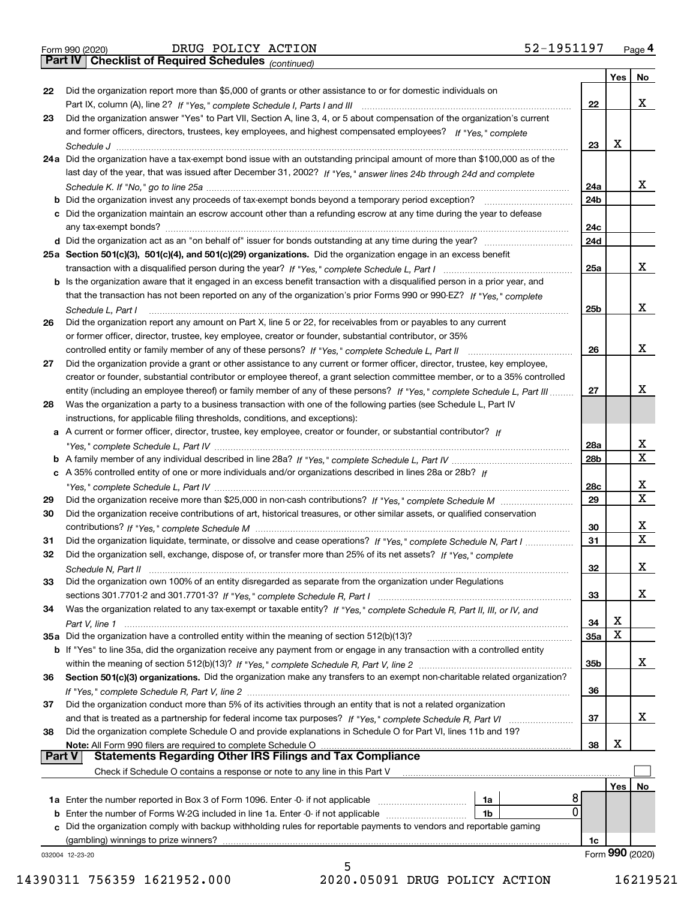|  | Form 990 (2020) |
|--|-----------------|
|  |                 |

*(continued)*

|               |                                                                                                                                                                             |                 | Yes | No.             |
|---------------|-----------------------------------------------------------------------------------------------------------------------------------------------------------------------------|-----------------|-----|-----------------|
| 22            | Did the organization report more than \$5,000 of grants or other assistance to or for domestic individuals on                                                               |                 |     |                 |
|               | Part IX, column (A), line 2? If "Yes," complete Schedule I, Parts I and III [11] [11] [12] [12] Part IX, column (A), line 2? If "Yes," complete Schedule I, Parts I and III | 22              |     | х               |
| 23            | Did the organization answer "Yes" to Part VII, Section A, line 3, 4, or 5 about compensation of the organization's current                                                  |                 |     |                 |
|               | and former officers, directors, trustees, key employees, and highest compensated employees? If "Yes," complete                                                              |                 |     |                 |
|               | Schedule J                                                                                                                                                                  | 23              | х   |                 |
|               | 24a Did the organization have a tax-exempt bond issue with an outstanding principal amount of more than \$100,000 as of the                                                 |                 |     |                 |
|               | last day of the year, that was issued after December 31, 2002? If "Yes," answer lines 24b through 24d and complete                                                          |                 |     |                 |
|               |                                                                                                                                                                             | 24a             |     | x               |
|               | <b>b</b> Did the organization invest any proceeds of tax-exempt bonds beyond a temporary period exception?                                                                  | 24 <sub>b</sub> |     |                 |
|               | c Did the organization maintain an escrow account other than a refunding escrow at any time during the year to defease                                                      |                 |     |                 |
|               | any tax-exempt bonds?                                                                                                                                                       | 24c             |     |                 |
|               | d Did the organization act as an "on behalf of" issuer for bonds outstanding at any time during the year?                                                                   | 24d             |     |                 |
|               | 25a Section 501(c)(3), 501(c)(4), and 501(c)(29) organizations. Did the organization engage in an excess benefit                                                            |                 |     |                 |
|               |                                                                                                                                                                             | 25a             |     | х               |
|               | b Is the organization aware that it engaged in an excess benefit transaction with a disqualified person in a prior year, and                                                |                 |     |                 |
|               | that the transaction has not been reported on any of the organization's prior Forms 990 or 990-EZ? If "Yes," complete                                                       |                 |     |                 |
|               |                                                                                                                                                                             |                 |     | х               |
|               | Schedule L, Part I                                                                                                                                                          | 25 <sub>b</sub> |     |                 |
| 26            | Did the organization report any amount on Part X, line 5 or 22, for receivables from or payables to any current                                                             |                 |     |                 |
|               | or former officer, director, trustee, key employee, creator or founder, substantial contributor, or 35%                                                                     |                 |     |                 |
|               |                                                                                                                                                                             | 26              |     | х               |
| 27            | Did the organization provide a grant or other assistance to any current or former officer, director, trustee, key employee,                                                 |                 |     |                 |
|               | creator or founder, substantial contributor or employee thereof, a grant selection committee member, or to a 35% controlled                                                 |                 |     |                 |
|               | entity (including an employee thereof) or family member of any of these persons? If "Yes," complete Schedule L, Part III                                                    | 27              |     | х               |
| 28            | Was the organization a party to a business transaction with one of the following parties (see Schedule L, Part IV                                                           |                 |     |                 |
|               | instructions, for applicable filing thresholds, conditions, and exceptions):                                                                                                |                 |     |                 |
|               | a A current or former officer, director, trustee, key employee, creator or founder, or substantial contributor? If                                                          |                 |     |                 |
|               |                                                                                                                                                                             | 28a             |     | x               |
|               |                                                                                                                                                                             | 28 <sub>b</sub> |     | $\mathbf X$     |
|               | c A 35% controlled entity of one or more individuals and/or organizations described in lines 28a or 28b? If                                                                 |                 |     |                 |
|               |                                                                                                                                                                             | 28c             |     | х               |
| 29            |                                                                                                                                                                             | 29              |     | $\mathbf X$     |
| 30            | Did the organization receive contributions of art, historical treasures, or other similar assets, or qualified conservation                                                 |                 |     |                 |
|               |                                                                                                                                                                             | 30              |     | x               |
| 31            | Did the organization liquidate, terminate, or dissolve and cease operations? If "Yes," complete Schedule N, Part I                                                          | 31              |     | $\mathbf x$     |
| 32            | Did the organization sell, exchange, dispose of, or transfer more than 25% of its net assets? If "Yes," complete                                                            |                 |     |                 |
|               | Schedule N, Part II                                                                                                                                                         | 32              |     | х               |
| 33            | Did the organization own 100% of an entity disregarded as separate from the organization under Regulations                                                                  |                 |     |                 |
|               |                                                                                                                                                                             | 33              |     | х               |
| 34            | Was the organization related to any tax-exempt or taxable entity? If "Yes," complete Schedule R, Part II, III, or IV, and                                                   |                 |     |                 |
|               |                                                                                                                                                                             | 34              | х   |                 |
|               | 35a Did the organization have a controlled entity within the meaning of section 512(b)(13)?                                                                                 | 35a             | х   |                 |
|               | b If "Yes" to line 35a, did the organization receive any payment from or engage in any transaction with a controlled entity                                                 |                 |     |                 |
|               |                                                                                                                                                                             | 35b             |     | x               |
| 36            | Section 501(c)(3) organizations. Did the organization make any transfers to an exempt non-charitable related organization?                                                  |                 |     |                 |
|               |                                                                                                                                                                             | 36              |     |                 |
| 37            | Did the organization conduct more than 5% of its activities through an entity that is not a related organization                                                            |                 |     |                 |
|               | and that is treated as a partnership for federal income tax purposes? If "Yes," complete Schedule R, Part VI                                                                | 37              |     | x               |
| 38            | Did the organization complete Schedule O and provide explanations in Schedule O for Part VI, lines 11b and 19?                                                              |                 |     |                 |
|               | Note: All Form 990 filers are required to complete Schedule O                                                                                                               | 38              | х   |                 |
| <b>Part V</b> | <b>Statements Regarding Other IRS Filings and Tax Compliance</b>                                                                                                            |                 |     |                 |
|               | Check if Schedule O contains a response or note to any line in this Part V                                                                                                  |                 |     |                 |
|               |                                                                                                                                                                             |                 | Yes | No              |
|               | 8<br><b>1a</b> Enter the number reported in Box 3 of Form 1096. Enter -0- if not applicable <i>manumumumum</i><br>1a                                                        |                 |     |                 |
|               | 0<br><b>b</b> Enter the number of Forms W-2G included in line 1a. Enter -0- if not applicable<br>1b                                                                         |                 |     |                 |
|               | c Did the organization comply with backup withholding rules for reportable payments to vendors and reportable gaming                                                        |                 |     |                 |
|               | (gambling) winnings to prize winners?                                                                                                                                       | 1c              |     |                 |
|               | 032004 12-23-20                                                                                                                                                             |                 |     | Form 990 (2020) |
|               | 5                                                                                                                                                                           |                 |     |                 |

14390311 756359 1621952.000 2020.05091 DRUG POLICY ACTION 16219521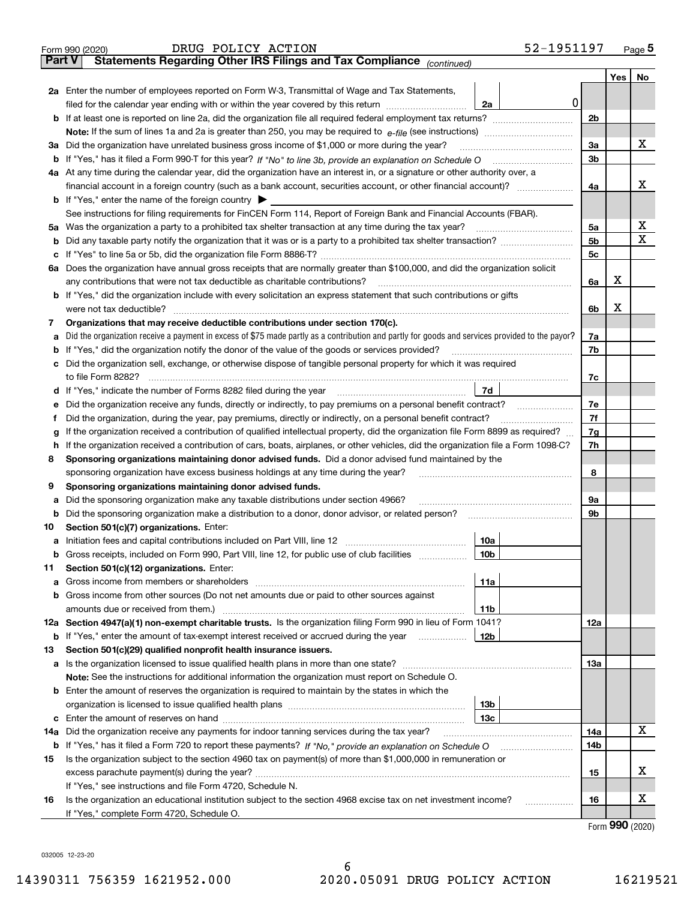| Statements Regarding Other IRS Filings and Tax Compliance (continued)<br><b>Part V</b><br>Yes<br>No<br>2a Enter the number of employees reported on Form W-3, Transmittal of Wage and Tax Statements,<br> 0 <br>filed for the calendar year ending with or within the year covered by this return<br>2a<br>2 <sub>b</sub><br><b>b</b> If at least one is reported on line 2a, did the organization file all required federal employment tax returns?<br>х<br>3a<br>Did the organization have unrelated business gross income of \$1,000 or more during the year?<br>За<br>3 <sub>b</sub><br>4a At any time during the calendar year, did the organization have an interest in, or a signature or other authority over, a<br>x<br>4a<br><b>b</b> If "Yes," enter the name of the foreign country $\triangleright$<br>See instructions for filing requirements for FinCEN Form 114, Report of Foreign Bank and Financial Accounts (FBAR).<br>х<br>Was the organization a party to a prohibited tax shelter transaction at any time during the tax year?<br>5a<br>5a<br>x<br>5b<br>Did any taxable party notify the organization that it was or is a party to a prohibited tax shelter transaction?<br>b<br>5 <sub>c</sub><br>Does the organization have annual gross receipts that are normally greater than \$100,000, and did the organization solicit<br>ба<br>x<br>any contributions that were not tax deductible as charitable contributions?<br>6a<br>b If "Yes," did the organization include with every solicitation an express statement that such contributions or gifts<br>X<br>were not tax deductible?<br>6b<br>Organizations that may receive deductible contributions under section 170(c).<br>7<br>Did the organization receive a payment in excess of \$75 made partly as a contribution and partly for goods and services provided to the payor?<br>7a<br>7b<br>If "Yes," did the organization notify the donor of the value of the goods or services provided?<br>Did the organization sell, exchange, or otherwise dispose of tangible personal property for which it was required<br>7c<br>7d<br>Did the organization receive any funds, directly or indirectly, to pay premiums on a personal benefit contract?<br>7е<br>7f<br>Did the organization, during the year, pay premiums, directly or indirectly, on a personal benefit contract?<br>If the organization received a contribution of qualified intellectual property, did the organization file Form 8899 as required?<br>7g<br>7h<br>If the organization received a contribution of cars, boats, airplanes, or other vehicles, did the organization file a Form 1098-C?<br>Sponsoring organizations maintaining donor advised funds. Did a donor advised fund maintained by the<br>8<br>8<br>sponsoring organization have excess business holdings at any time during the year?<br>Sponsoring organizations maintaining donor advised funds.<br>9<br>Did the sponsoring organization make any taxable distributions under section 4966?<br>9а<br>а<br>9b<br>Did the sponsoring organization make a distribution to a donor, donor advisor, or related person?<br>b<br>Section 501(c)(7) organizations. Enter:<br>10<br>10a<br>Gross receipts, included on Form 990, Part VIII, line 12, for public use of club facilities<br>10b<br>b<br>Section 501(c)(12) organizations. Enter:<br>11<br>11a<br>Gross income from members or shareholders<br>а<br>Gross income from other sources (Do not net amounts due or paid to other sources against<br>b<br>amounts due or received from them.)<br>11b<br>12a Section 4947(a)(1) non-exempt charitable trusts. Is the organization filing Form 990 in lieu of Form 1041?<br>12a<br>12 <sub>b</sub><br>If "Yes," enter the amount of tax-exempt interest received or accrued during the year<br>b<br>Section 501(c)(29) qualified nonprofit health insurance issuers.<br>13<br>Is the organization licensed to issue qualified health plans in more than one state?<br>13а<br>a<br>Note: See the instructions for additional information the organization must report on Schedule O.<br><b>b</b> Enter the amount of reserves the organization is required to maintain by the states in which the<br>13b<br>13с<br>с<br>x<br>Did the organization receive any payments for indoor tanning services during the tax year?<br>14a<br>14a<br>14b<br>Is the organization subject to the section 4960 tax on payment(s) of more than \$1,000,000 in remuneration or<br>15<br>x<br>excess parachute payment(s) during the year?<br>15<br>If "Yes," see instructions and file Form 4720, Schedule N.<br>х<br>Is the organization an educational institution subject to the section 4968 excise tax on net investment income?<br>16<br>16<br>If "Yes," complete Form 4720, Schedule O. | 52-1951197<br>DRUG POLICY ACTION<br>Form 990 (2020) |  | Page $5$ |
|-----------------------------------------------------------------------------------------------------------------------------------------------------------------------------------------------------------------------------------------------------------------------------------------------------------------------------------------------------------------------------------------------------------------------------------------------------------------------------------------------------------------------------------------------------------------------------------------------------------------------------------------------------------------------------------------------------------------------------------------------------------------------------------------------------------------------------------------------------------------------------------------------------------------------------------------------------------------------------------------------------------------------------------------------------------------------------------------------------------------------------------------------------------------------------------------------------------------------------------------------------------------------------------------------------------------------------------------------------------------------------------------------------------------------------------------------------------------------------------------------------------------------------------------------------------------------------------------------------------------------------------------------------------------------------------------------------------------------------------------------------------------------------------------------------------------------------------------------------------------------------------------------------------------------------------------------------------------------------------------------------------------------------------------------------------------------------------------------------------------------------------------------------------------------------------------------------------------------------------------------------------------------------------------------------------------------------------------------------------------------------------------------------------------------------------------------------------------------------------------------------------------------------------------------------------------------------------------------------------------------------------------------------------------------------------------------------------------------------------------------------------------------------------------------------------------------------------------------------------------------------------------------------------------------------------------------------------------------------------------------------------------------------------------------------------------------------------------------------------------------------------------------------------------------------------------------------------------------------------------------------------------------------------------------------------------------------------------------------------------------------------------------------------------------------------------------------------------------------------------------------------------------------------------------------------------------------------------------------------------------------------------------------------------------------------------------------------------------------------------------------------------------------------------------------------------------------------------------------------------------------------------------------------------------------------------------------------------------------------------------------------------------------------------------------------------------------------------------------------------------------------------------------------------------------------------------------------------------------------------------------------------------------------------------------------------------------------------------------------------------------------------------------------------------------------------------------------------------------------------------------------------------------------------------------------------------------------------------------------------------------------------------------------------------------------------------------------------------------------------------------------------------------------------------------|-----------------------------------------------------|--|----------|
|                                                                                                                                                                                                                                                                                                                                                                                                                                                                                                                                                                                                                                                                                                                                                                                                                                                                                                                                                                                                                                                                                                                                                                                                                                                                                                                                                                                                                                                                                                                                                                                                                                                                                                                                                                                                                                                                                                                                                                                                                                                                                                                                                                                                                                                                                                                                                                                                                                                                                                                                                                                                                                                                                                                                                                                                                                                                                                                                                                                                                                                                                                                                                                                                                                                                                                                                                                                                                                                                                                                                                                                                                                                                                                                                                                                                                                                                                                                                                                                                                                                                                                                                                                                                                                                                                                                                                                                                                                                                                                                                                                                                                                                                                                                                                                                                     |                                                     |  |          |
|                                                                                                                                                                                                                                                                                                                                                                                                                                                                                                                                                                                                                                                                                                                                                                                                                                                                                                                                                                                                                                                                                                                                                                                                                                                                                                                                                                                                                                                                                                                                                                                                                                                                                                                                                                                                                                                                                                                                                                                                                                                                                                                                                                                                                                                                                                                                                                                                                                                                                                                                                                                                                                                                                                                                                                                                                                                                                                                                                                                                                                                                                                                                                                                                                                                                                                                                                                                                                                                                                                                                                                                                                                                                                                                                                                                                                                                                                                                                                                                                                                                                                                                                                                                                                                                                                                                                                                                                                                                                                                                                                                                                                                                                                                                                                                                                     |                                                     |  |          |
|                                                                                                                                                                                                                                                                                                                                                                                                                                                                                                                                                                                                                                                                                                                                                                                                                                                                                                                                                                                                                                                                                                                                                                                                                                                                                                                                                                                                                                                                                                                                                                                                                                                                                                                                                                                                                                                                                                                                                                                                                                                                                                                                                                                                                                                                                                                                                                                                                                                                                                                                                                                                                                                                                                                                                                                                                                                                                                                                                                                                                                                                                                                                                                                                                                                                                                                                                                                                                                                                                                                                                                                                                                                                                                                                                                                                                                                                                                                                                                                                                                                                                                                                                                                                                                                                                                                                                                                                                                                                                                                                                                                                                                                                                                                                                                                                     |                                                     |  |          |
|                                                                                                                                                                                                                                                                                                                                                                                                                                                                                                                                                                                                                                                                                                                                                                                                                                                                                                                                                                                                                                                                                                                                                                                                                                                                                                                                                                                                                                                                                                                                                                                                                                                                                                                                                                                                                                                                                                                                                                                                                                                                                                                                                                                                                                                                                                                                                                                                                                                                                                                                                                                                                                                                                                                                                                                                                                                                                                                                                                                                                                                                                                                                                                                                                                                                                                                                                                                                                                                                                                                                                                                                                                                                                                                                                                                                                                                                                                                                                                                                                                                                                                                                                                                                                                                                                                                                                                                                                                                                                                                                                                                                                                                                                                                                                                                                     |                                                     |  |          |
|                                                                                                                                                                                                                                                                                                                                                                                                                                                                                                                                                                                                                                                                                                                                                                                                                                                                                                                                                                                                                                                                                                                                                                                                                                                                                                                                                                                                                                                                                                                                                                                                                                                                                                                                                                                                                                                                                                                                                                                                                                                                                                                                                                                                                                                                                                                                                                                                                                                                                                                                                                                                                                                                                                                                                                                                                                                                                                                                                                                                                                                                                                                                                                                                                                                                                                                                                                                                                                                                                                                                                                                                                                                                                                                                                                                                                                                                                                                                                                                                                                                                                                                                                                                                                                                                                                                                                                                                                                                                                                                                                                                                                                                                                                                                                                                                     |                                                     |  |          |
|                                                                                                                                                                                                                                                                                                                                                                                                                                                                                                                                                                                                                                                                                                                                                                                                                                                                                                                                                                                                                                                                                                                                                                                                                                                                                                                                                                                                                                                                                                                                                                                                                                                                                                                                                                                                                                                                                                                                                                                                                                                                                                                                                                                                                                                                                                                                                                                                                                                                                                                                                                                                                                                                                                                                                                                                                                                                                                                                                                                                                                                                                                                                                                                                                                                                                                                                                                                                                                                                                                                                                                                                                                                                                                                                                                                                                                                                                                                                                                                                                                                                                                                                                                                                                                                                                                                                                                                                                                                                                                                                                                                                                                                                                                                                                                                                     |                                                     |  |          |
|                                                                                                                                                                                                                                                                                                                                                                                                                                                                                                                                                                                                                                                                                                                                                                                                                                                                                                                                                                                                                                                                                                                                                                                                                                                                                                                                                                                                                                                                                                                                                                                                                                                                                                                                                                                                                                                                                                                                                                                                                                                                                                                                                                                                                                                                                                                                                                                                                                                                                                                                                                                                                                                                                                                                                                                                                                                                                                                                                                                                                                                                                                                                                                                                                                                                                                                                                                                                                                                                                                                                                                                                                                                                                                                                                                                                                                                                                                                                                                                                                                                                                                                                                                                                                                                                                                                                                                                                                                                                                                                                                                                                                                                                                                                                                                                                     |                                                     |  |          |
|                                                                                                                                                                                                                                                                                                                                                                                                                                                                                                                                                                                                                                                                                                                                                                                                                                                                                                                                                                                                                                                                                                                                                                                                                                                                                                                                                                                                                                                                                                                                                                                                                                                                                                                                                                                                                                                                                                                                                                                                                                                                                                                                                                                                                                                                                                                                                                                                                                                                                                                                                                                                                                                                                                                                                                                                                                                                                                                                                                                                                                                                                                                                                                                                                                                                                                                                                                                                                                                                                                                                                                                                                                                                                                                                                                                                                                                                                                                                                                                                                                                                                                                                                                                                                                                                                                                                                                                                                                                                                                                                                                                                                                                                                                                                                                                                     |                                                     |  |          |
|                                                                                                                                                                                                                                                                                                                                                                                                                                                                                                                                                                                                                                                                                                                                                                                                                                                                                                                                                                                                                                                                                                                                                                                                                                                                                                                                                                                                                                                                                                                                                                                                                                                                                                                                                                                                                                                                                                                                                                                                                                                                                                                                                                                                                                                                                                                                                                                                                                                                                                                                                                                                                                                                                                                                                                                                                                                                                                                                                                                                                                                                                                                                                                                                                                                                                                                                                                                                                                                                                                                                                                                                                                                                                                                                                                                                                                                                                                                                                                                                                                                                                                                                                                                                                                                                                                                                                                                                                                                                                                                                                                                                                                                                                                                                                                                                     |                                                     |  |          |
|                                                                                                                                                                                                                                                                                                                                                                                                                                                                                                                                                                                                                                                                                                                                                                                                                                                                                                                                                                                                                                                                                                                                                                                                                                                                                                                                                                                                                                                                                                                                                                                                                                                                                                                                                                                                                                                                                                                                                                                                                                                                                                                                                                                                                                                                                                                                                                                                                                                                                                                                                                                                                                                                                                                                                                                                                                                                                                                                                                                                                                                                                                                                                                                                                                                                                                                                                                                                                                                                                                                                                                                                                                                                                                                                                                                                                                                                                                                                                                                                                                                                                                                                                                                                                                                                                                                                                                                                                                                                                                                                                                                                                                                                                                                                                                                                     |                                                     |  |          |
|                                                                                                                                                                                                                                                                                                                                                                                                                                                                                                                                                                                                                                                                                                                                                                                                                                                                                                                                                                                                                                                                                                                                                                                                                                                                                                                                                                                                                                                                                                                                                                                                                                                                                                                                                                                                                                                                                                                                                                                                                                                                                                                                                                                                                                                                                                                                                                                                                                                                                                                                                                                                                                                                                                                                                                                                                                                                                                                                                                                                                                                                                                                                                                                                                                                                                                                                                                                                                                                                                                                                                                                                                                                                                                                                                                                                                                                                                                                                                                                                                                                                                                                                                                                                                                                                                                                                                                                                                                                                                                                                                                                                                                                                                                                                                                                                     |                                                     |  |          |
|                                                                                                                                                                                                                                                                                                                                                                                                                                                                                                                                                                                                                                                                                                                                                                                                                                                                                                                                                                                                                                                                                                                                                                                                                                                                                                                                                                                                                                                                                                                                                                                                                                                                                                                                                                                                                                                                                                                                                                                                                                                                                                                                                                                                                                                                                                                                                                                                                                                                                                                                                                                                                                                                                                                                                                                                                                                                                                                                                                                                                                                                                                                                                                                                                                                                                                                                                                                                                                                                                                                                                                                                                                                                                                                                                                                                                                                                                                                                                                                                                                                                                                                                                                                                                                                                                                                                                                                                                                                                                                                                                                                                                                                                                                                                                                                                     |                                                     |  |          |
|                                                                                                                                                                                                                                                                                                                                                                                                                                                                                                                                                                                                                                                                                                                                                                                                                                                                                                                                                                                                                                                                                                                                                                                                                                                                                                                                                                                                                                                                                                                                                                                                                                                                                                                                                                                                                                                                                                                                                                                                                                                                                                                                                                                                                                                                                                                                                                                                                                                                                                                                                                                                                                                                                                                                                                                                                                                                                                                                                                                                                                                                                                                                                                                                                                                                                                                                                                                                                                                                                                                                                                                                                                                                                                                                                                                                                                                                                                                                                                                                                                                                                                                                                                                                                                                                                                                                                                                                                                                                                                                                                                                                                                                                                                                                                                                                     |                                                     |  |          |
|                                                                                                                                                                                                                                                                                                                                                                                                                                                                                                                                                                                                                                                                                                                                                                                                                                                                                                                                                                                                                                                                                                                                                                                                                                                                                                                                                                                                                                                                                                                                                                                                                                                                                                                                                                                                                                                                                                                                                                                                                                                                                                                                                                                                                                                                                                                                                                                                                                                                                                                                                                                                                                                                                                                                                                                                                                                                                                                                                                                                                                                                                                                                                                                                                                                                                                                                                                                                                                                                                                                                                                                                                                                                                                                                                                                                                                                                                                                                                                                                                                                                                                                                                                                                                                                                                                                                                                                                                                                                                                                                                                                                                                                                                                                                                                                                     |                                                     |  |          |
|                                                                                                                                                                                                                                                                                                                                                                                                                                                                                                                                                                                                                                                                                                                                                                                                                                                                                                                                                                                                                                                                                                                                                                                                                                                                                                                                                                                                                                                                                                                                                                                                                                                                                                                                                                                                                                                                                                                                                                                                                                                                                                                                                                                                                                                                                                                                                                                                                                                                                                                                                                                                                                                                                                                                                                                                                                                                                                                                                                                                                                                                                                                                                                                                                                                                                                                                                                                                                                                                                                                                                                                                                                                                                                                                                                                                                                                                                                                                                                                                                                                                                                                                                                                                                                                                                                                                                                                                                                                                                                                                                                                                                                                                                                                                                                                                     |                                                     |  |          |
|                                                                                                                                                                                                                                                                                                                                                                                                                                                                                                                                                                                                                                                                                                                                                                                                                                                                                                                                                                                                                                                                                                                                                                                                                                                                                                                                                                                                                                                                                                                                                                                                                                                                                                                                                                                                                                                                                                                                                                                                                                                                                                                                                                                                                                                                                                                                                                                                                                                                                                                                                                                                                                                                                                                                                                                                                                                                                                                                                                                                                                                                                                                                                                                                                                                                                                                                                                                                                                                                                                                                                                                                                                                                                                                                                                                                                                                                                                                                                                                                                                                                                                                                                                                                                                                                                                                                                                                                                                                                                                                                                                                                                                                                                                                                                                                                     |                                                     |  |          |
|                                                                                                                                                                                                                                                                                                                                                                                                                                                                                                                                                                                                                                                                                                                                                                                                                                                                                                                                                                                                                                                                                                                                                                                                                                                                                                                                                                                                                                                                                                                                                                                                                                                                                                                                                                                                                                                                                                                                                                                                                                                                                                                                                                                                                                                                                                                                                                                                                                                                                                                                                                                                                                                                                                                                                                                                                                                                                                                                                                                                                                                                                                                                                                                                                                                                                                                                                                                                                                                                                                                                                                                                                                                                                                                                                                                                                                                                                                                                                                                                                                                                                                                                                                                                                                                                                                                                                                                                                                                                                                                                                                                                                                                                                                                                                                                                     |                                                     |  |          |
|                                                                                                                                                                                                                                                                                                                                                                                                                                                                                                                                                                                                                                                                                                                                                                                                                                                                                                                                                                                                                                                                                                                                                                                                                                                                                                                                                                                                                                                                                                                                                                                                                                                                                                                                                                                                                                                                                                                                                                                                                                                                                                                                                                                                                                                                                                                                                                                                                                                                                                                                                                                                                                                                                                                                                                                                                                                                                                                                                                                                                                                                                                                                                                                                                                                                                                                                                                                                                                                                                                                                                                                                                                                                                                                                                                                                                                                                                                                                                                                                                                                                                                                                                                                                                                                                                                                                                                                                                                                                                                                                                                                                                                                                                                                                                                                                     |                                                     |  |          |
|                                                                                                                                                                                                                                                                                                                                                                                                                                                                                                                                                                                                                                                                                                                                                                                                                                                                                                                                                                                                                                                                                                                                                                                                                                                                                                                                                                                                                                                                                                                                                                                                                                                                                                                                                                                                                                                                                                                                                                                                                                                                                                                                                                                                                                                                                                                                                                                                                                                                                                                                                                                                                                                                                                                                                                                                                                                                                                                                                                                                                                                                                                                                                                                                                                                                                                                                                                                                                                                                                                                                                                                                                                                                                                                                                                                                                                                                                                                                                                                                                                                                                                                                                                                                                                                                                                                                                                                                                                                                                                                                                                                                                                                                                                                                                                                                     |                                                     |  |          |
|                                                                                                                                                                                                                                                                                                                                                                                                                                                                                                                                                                                                                                                                                                                                                                                                                                                                                                                                                                                                                                                                                                                                                                                                                                                                                                                                                                                                                                                                                                                                                                                                                                                                                                                                                                                                                                                                                                                                                                                                                                                                                                                                                                                                                                                                                                                                                                                                                                                                                                                                                                                                                                                                                                                                                                                                                                                                                                                                                                                                                                                                                                                                                                                                                                                                                                                                                                                                                                                                                                                                                                                                                                                                                                                                                                                                                                                                                                                                                                                                                                                                                                                                                                                                                                                                                                                                                                                                                                                                                                                                                                                                                                                                                                                                                                                                     |                                                     |  |          |
|                                                                                                                                                                                                                                                                                                                                                                                                                                                                                                                                                                                                                                                                                                                                                                                                                                                                                                                                                                                                                                                                                                                                                                                                                                                                                                                                                                                                                                                                                                                                                                                                                                                                                                                                                                                                                                                                                                                                                                                                                                                                                                                                                                                                                                                                                                                                                                                                                                                                                                                                                                                                                                                                                                                                                                                                                                                                                                                                                                                                                                                                                                                                                                                                                                                                                                                                                                                                                                                                                                                                                                                                                                                                                                                                                                                                                                                                                                                                                                                                                                                                                                                                                                                                                                                                                                                                                                                                                                                                                                                                                                                                                                                                                                                                                                                                     |                                                     |  |          |
|                                                                                                                                                                                                                                                                                                                                                                                                                                                                                                                                                                                                                                                                                                                                                                                                                                                                                                                                                                                                                                                                                                                                                                                                                                                                                                                                                                                                                                                                                                                                                                                                                                                                                                                                                                                                                                                                                                                                                                                                                                                                                                                                                                                                                                                                                                                                                                                                                                                                                                                                                                                                                                                                                                                                                                                                                                                                                                                                                                                                                                                                                                                                                                                                                                                                                                                                                                                                                                                                                                                                                                                                                                                                                                                                                                                                                                                                                                                                                                                                                                                                                                                                                                                                                                                                                                                                                                                                                                                                                                                                                                                                                                                                                                                                                                                                     |                                                     |  |          |
|                                                                                                                                                                                                                                                                                                                                                                                                                                                                                                                                                                                                                                                                                                                                                                                                                                                                                                                                                                                                                                                                                                                                                                                                                                                                                                                                                                                                                                                                                                                                                                                                                                                                                                                                                                                                                                                                                                                                                                                                                                                                                                                                                                                                                                                                                                                                                                                                                                                                                                                                                                                                                                                                                                                                                                                                                                                                                                                                                                                                                                                                                                                                                                                                                                                                                                                                                                                                                                                                                                                                                                                                                                                                                                                                                                                                                                                                                                                                                                                                                                                                                                                                                                                                                                                                                                                                                                                                                                                                                                                                                                                                                                                                                                                                                                                                     |                                                     |  |          |
|                                                                                                                                                                                                                                                                                                                                                                                                                                                                                                                                                                                                                                                                                                                                                                                                                                                                                                                                                                                                                                                                                                                                                                                                                                                                                                                                                                                                                                                                                                                                                                                                                                                                                                                                                                                                                                                                                                                                                                                                                                                                                                                                                                                                                                                                                                                                                                                                                                                                                                                                                                                                                                                                                                                                                                                                                                                                                                                                                                                                                                                                                                                                                                                                                                                                                                                                                                                                                                                                                                                                                                                                                                                                                                                                                                                                                                                                                                                                                                                                                                                                                                                                                                                                                                                                                                                                                                                                                                                                                                                                                                                                                                                                                                                                                                                                     |                                                     |  |          |
|                                                                                                                                                                                                                                                                                                                                                                                                                                                                                                                                                                                                                                                                                                                                                                                                                                                                                                                                                                                                                                                                                                                                                                                                                                                                                                                                                                                                                                                                                                                                                                                                                                                                                                                                                                                                                                                                                                                                                                                                                                                                                                                                                                                                                                                                                                                                                                                                                                                                                                                                                                                                                                                                                                                                                                                                                                                                                                                                                                                                                                                                                                                                                                                                                                                                                                                                                                                                                                                                                                                                                                                                                                                                                                                                                                                                                                                                                                                                                                                                                                                                                                                                                                                                                                                                                                                                                                                                                                                                                                                                                                                                                                                                                                                                                                                                     |                                                     |  |          |
|                                                                                                                                                                                                                                                                                                                                                                                                                                                                                                                                                                                                                                                                                                                                                                                                                                                                                                                                                                                                                                                                                                                                                                                                                                                                                                                                                                                                                                                                                                                                                                                                                                                                                                                                                                                                                                                                                                                                                                                                                                                                                                                                                                                                                                                                                                                                                                                                                                                                                                                                                                                                                                                                                                                                                                                                                                                                                                                                                                                                                                                                                                                                                                                                                                                                                                                                                                                                                                                                                                                                                                                                                                                                                                                                                                                                                                                                                                                                                                                                                                                                                                                                                                                                                                                                                                                                                                                                                                                                                                                                                                                                                                                                                                                                                                                                     |                                                     |  |          |
|                                                                                                                                                                                                                                                                                                                                                                                                                                                                                                                                                                                                                                                                                                                                                                                                                                                                                                                                                                                                                                                                                                                                                                                                                                                                                                                                                                                                                                                                                                                                                                                                                                                                                                                                                                                                                                                                                                                                                                                                                                                                                                                                                                                                                                                                                                                                                                                                                                                                                                                                                                                                                                                                                                                                                                                                                                                                                                                                                                                                                                                                                                                                                                                                                                                                                                                                                                                                                                                                                                                                                                                                                                                                                                                                                                                                                                                                                                                                                                                                                                                                                                                                                                                                                                                                                                                                                                                                                                                                                                                                                                                                                                                                                                                                                                                                     |                                                     |  |          |
|                                                                                                                                                                                                                                                                                                                                                                                                                                                                                                                                                                                                                                                                                                                                                                                                                                                                                                                                                                                                                                                                                                                                                                                                                                                                                                                                                                                                                                                                                                                                                                                                                                                                                                                                                                                                                                                                                                                                                                                                                                                                                                                                                                                                                                                                                                                                                                                                                                                                                                                                                                                                                                                                                                                                                                                                                                                                                                                                                                                                                                                                                                                                                                                                                                                                                                                                                                                                                                                                                                                                                                                                                                                                                                                                                                                                                                                                                                                                                                                                                                                                                                                                                                                                                                                                                                                                                                                                                                                                                                                                                                                                                                                                                                                                                                                                     |                                                     |  |          |
|                                                                                                                                                                                                                                                                                                                                                                                                                                                                                                                                                                                                                                                                                                                                                                                                                                                                                                                                                                                                                                                                                                                                                                                                                                                                                                                                                                                                                                                                                                                                                                                                                                                                                                                                                                                                                                                                                                                                                                                                                                                                                                                                                                                                                                                                                                                                                                                                                                                                                                                                                                                                                                                                                                                                                                                                                                                                                                                                                                                                                                                                                                                                                                                                                                                                                                                                                                                                                                                                                                                                                                                                                                                                                                                                                                                                                                                                                                                                                                                                                                                                                                                                                                                                                                                                                                                                                                                                                                                                                                                                                                                                                                                                                                                                                                                                     |                                                     |  |          |
|                                                                                                                                                                                                                                                                                                                                                                                                                                                                                                                                                                                                                                                                                                                                                                                                                                                                                                                                                                                                                                                                                                                                                                                                                                                                                                                                                                                                                                                                                                                                                                                                                                                                                                                                                                                                                                                                                                                                                                                                                                                                                                                                                                                                                                                                                                                                                                                                                                                                                                                                                                                                                                                                                                                                                                                                                                                                                                                                                                                                                                                                                                                                                                                                                                                                                                                                                                                                                                                                                                                                                                                                                                                                                                                                                                                                                                                                                                                                                                                                                                                                                                                                                                                                                                                                                                                                                                                                                                                                                                                                                                                                                                                                                                                                                                                                     |                                                     |  |          |
|                                                                                                                                                                                                                                                                                                                                                                                                                                                                                                                                                                                                                                                                                                                                                                                                                                                                                                                                                                                                                                                                                                                                                                                                                                                                                                                                                                                                                                                                                                                                                                                                                                                                                                                                                                                                                                                                                                                                                                                                                                                                                                                                                                                                                                                                                                                                                                                                                                                                                                                                                                                                                                                                                                                                                                                                                                                                                                                                                                                                                                                                                                                                                                                                                                                                                                                                                                                                                                                                                                                                                                                                                                                                                                                                                                                                                                                                                                                                                                                                                                                                                                                                                                                                                                                                                                                                                                                                                                                                                                                                                                                                                                                                                                                                                                                                     |                                                     |  |          |
|                                                                                                                                                                                                                                                                                                                                                                                                                                                                                                                                                                                                                                                                                                                                                                                                                                                                                                                                                                                                                                                                                                                                                                                                                                                                                                                                                                                                                                                                                                                                                                                                                                                                                                                                                                                                                                                                                                                                                                                                                                                                                                                                                                                                                                                                                                                                                                                                                                                                                                                                                                                                                                                                                                                                                                                                                                                                                                                                                                                                                                                                                                                                                                                                                                                                                                                                                                                                                                                                                                                                                                                                                                                                                                                                                                                                                                                                                                                                                                                                                                                                                                                                                                                                                                                                                                                                                                                                                                                                                                                                                                                                                                                                                                                                                                                                     |                                                     |  |          |
|                                                                                                                                                                                                                                                                                                                                                                                                                                                                                                                                                                                                                                                                                                                                                                                                                                                                                                                                                                                                                                                                                                                                                                                                                                                                                                                                                                                                                                                                                                                                                                                                                                                                                                                                                                                                                                                                                                                                                                                                                                                                                                                                                                                                                                                                                                                                                                                                                                                                                                                                                                                                                                                                                                                                                                                                                                                                                                                                                                                                                                                                                                                                                                                                                                                                                                                                                                                                                                                                                                                                                                                                                                                                                                                                                                                                                                                                                                                                                                                                                                                                                                                                                                                                                                                                                                                                                                                                                                                                                                                                                                                                                                                                                                                                                                                                     |                                                     |  |          |
|                                                                                                                                                                                                                                                                                                                                                                                                                                                                                                                                                                                                                                                                                                                                                                                                                                                                                                                                                                                                                                                                                                                                                                                                                                                                                                                                                                                                                                                                                                                                                                                                                                                                                                                                                                                                                                                                                                                                                                                                                                                                                                                                                                                                                                                                                                                                                                                                                                                                                                                                                                                                                                                                                                                                                                                                                                                                                                                                                                                                                                                                                                                                                                                                                                                                                                                                                                                                                                                                                                                                                                                                                                                                                                                                                                                                                                                                                                                                                                                                                                                                                                                                                                                                                                                                                                                                                                                                                                                                                                                                                                                                                                                                                                                                                                                                     |                                                     |  |          |
|                                                                                                                                                                                                                                                                                                                                                                                                                                                                                                                                                                                                                                                                                                                                                                                                                                                                                                                                                                                                                                                                                                                                                                                                                                                                                                                                                                                                                                                                                                                                                                                                                                                                                                                                                                                                                                                                                                                                                                                                                                                                                                                                                                                                                                                                                                                                                                                                                                                                                                                                                                                                                                                                                                                                                                                                                                                                                                                                                                                                                                                                                                                                                                                                                                                                                                                                                                                                                                                                                                                                                                                                                                                                                                                                                                                                                                                                                                                                                                                                                                                                                                                                                                                                                                                                                                                                                                                                                                                                                                                                                                                                                                                                                                                                                                                                     |                                                     |  |          |
|                                                                                                                                                                                                                                                                                                                                                                                                                                                                                                                                                                                                                                                                                                                                                                                                                                                                                                                                                                                                                                                                                                                                                                                                                                                                                                                                                                                                                                                                                                                                                                                                                                                                                                                                                                                                                                                                                                                                                                                                                                                                                                                                                                                                                                                                                                                                                                                                                                                                                                                                                                                                                                                                                                                                                                                                                                                                                                                                                                                                                                                                                                                                                                                                                                                                                                                                                                                                                                                                                                                                                                                                                                                                                                                                                                                                                                                                                                                                                                                                                                                                                                                                                                                                                                                                                                                                                                                                                                                                                                                                                                                                                                                                                                                                                                                                     |                                                     |  |          |
|                                                                                                                                                                                                                                                                                                                                                                                                                                                                                                                                                                                                                                                                                                                                                                                                                                                                                                                                                                                                                                                                                                                                                                                                                                                                                                                                                                                                                                                                                                                                                                                                                                                                                                                                                                                                                                                                                                                                                                                                                                                                                                                                                                                                                                                                                                                                                                                                                                                                                                                                                                                                                                                                                                                                                                                                                                                                                                                                                                                                                                                                                                                                                                                                                                                                                                                                                                                                                                                                                                                                                                                                                                                                                                                                                                                                                                                                                                                                                                                                                                                                                                                                                                                                                                                                                                                                                                                                                                                                                                                                                                                                                                                                                                                                                                                                     |                                                     |  |          |
|                                                                                                                                                                                                                                                                                                                                                                                                                                                                                                                                                                                                                                                                                                                                                                                                                                                                                                                                                                                                                                                                                                                                                                                                                                                                                                                                                                                                                                                                                                                                                                                                                                                                                                                                                                                                                                                                                                                                                                                                                                                                                                                                                                                                                                                                                                                                                                                                                                                                                                                                                                                                                                                                                                                                                                                                                                                                                                                                                                                                                                                                                                                                                                                                                                                                                                                                                                                                                                                                                                                                                                                                                                                                                                                                                                                                                                                                                                                                                                                                                                                                                                                                                                                                                                                                                                                                                                                                                                                                                                                                                                                                                                                                                                                                                                                                     |                                                     |  |          |
|                                                                                                                                                                                                                                                                                                                                                                                                                                                                                                                                                                                                                                                                                                                                                                                                                                                                                                                                                                                                                                                                                                                                                                                                                                                                                                                                                                                                                                                                                                                                                                                                                                                                                                                                                                                                                                                                                                                                                                                                                                                                                                                                                                                                                                                                                                                                                                                                                                                                                                                                                                                                                                                                                                                                                                                                                                                                                                                                                                                                                                                                                                                                                                                                                                                                                                                                                                                                                                                                                                                                                                                                                                                                                                                                                                                                                                                                                                                                                                                                                                                                                                                                                                                                                                                                                                                                                                                                                                                                                                                                                                                                                                                                                                                                                                                                     |                                                     |  |          |
|                                                                                                                                                                                                                                                                                                                                                                                                                                                                                                                                                                                                                                                                                                                                                                                                                                                                                                                                                                                                                                                                                                                                                                                                                                                                                                                                                                                                                                                                                                                                                                                                                                                                                                                                                                                                                                                                                                                                                                                                                                                                                                                                                                                                                                                                                                                                                                                                                                                                                                                                                                                                                                                                                                                                                                                                                                                                                                                                                                                                                                                                                                                                                                                                                                                                                                                                                                                                                                                                                                                                                                                                                                                                                                                                                                                                                                                                                                                                                                                                                                                                                                                                                                                                                                                                                                                                                                                                                                                                                                                                                                                                                                                                                                                                                                                                     |                                                     |  |          |
|                                                                                                                                                                                                                                                                                                                                                                                                                                                                                                                                                                                                                                                                                                                                                                                                                                                                                                                                                                                                                                                                                                                                                                                                                                                                                                                                                                                                                                                                                                                                                                                                                                                                                                                                                                                                                                                                                                                                                                                                                                                                                                                                                                                                                                                                                                                                                                                                                                                                                                                                                                                                                                                                                                                                                                                                                                                                                                                                                                                                                                                                                                                                                                                                                                                                                                                                                                                                                                                                                                                                                                                                                                                                                                                                                                                                                                                                                                                                                                                                                                                                                                                                                                                                                                                                                                                                                                                                                                                                                                                                                                                                                                                                                                                                                                                                     |                                                     |  |          |
|                                                                                                                                                                                                                                                                                                                                                                                                                                                                                                                                                                                                                                                                                                                                                                                                                                                                                                                                                                                                                                                                                                                                                                                                                                                                                                                                                                                                                                                                                                                                                                                                                                                                                                                                                                                                                                                                                                                                                                                                                                                                                                                                                                                                                                                                                                                                                                                                                                                                                                                                                                                                                                                                                                                                                                                                                                                                                                                                                                                                                                                                                                                                                                                                                                                                                                                                                                                                                                                                                                                                                                                                                                                                                                                                                                                                                                                                                                                                                                                                                                                                                                                                                                                                                                                                                                                                                                                                                                                                                                                                                                                                                                                                                                                                                                                                     |                                                     |  |          |
|                                                                                                                                                                                                                                                                                                                                                                                                                                                                                                                                                                                                                                                                                                                                                                                                                                                                                                                                                                                                                                                                                                                                                                                                                                                                                                                                                                                                                                                                                                                                                                                                                                                                                                                                                                                                                                                                                                                                                                                                                                                                                                                                                                                                                                                                                                                                                                                                                                                                                                                                                                                                                                                                                                                                                                                                                                                                                                                                                                                                                                                                                                                                                                                                                                                                                                                                                                                                                                                                                                                                                                                                                                                                                                                                                                                                                                                                                                                                                                                                                                                                                                                                                                                                                                                                                                                                                                                                                                                                                                                                                                                                                                                                                                                                                                                                     |                                                     |  |          |
|                                                                                                                                                                                                                                                                                                                                                                                                                                                                                                                                                                                                                                                                                                                                                                                                                                                                                                                                                                                                                                                                                                                                                                                                                                                                                                                                                                                                                                                                                                                                                                                                                                                                                                                                                                                                                                                                                                                                                                                                                                                                                                                                                                                                                                                                                                                                                                                                                                                                                                                                                                                                                                                                                                                                                                                                                                                                                                                                                                                                                                                                                                                                                                                                                                                                                                                                                                                                                                                                                                                                                                                                                                                                                                                                                                                                                                                                                                                                                                                                                                                                                                                                                                                                                                                                                                                                                                                                                                                                                                                                                                                                                                                                                                                                                                                                     |                                                     |  |          |
|                                                                                                                                                                                                                                                                                                                                                                                                                                                                                                                                                                                                                                                                                                                                                                                                                                                                                                                                                                                                                                                                                                                                                                                                                                                                                                                                                                                                                                                                                                                                                                                                                                                                                                                                                                                                                                                                                                                                                                                                                                                                                                                                                                                                                                                                                                                                                                                                                                                                                                                                                                                                                                                                                                                                                                                                                                                                                                                                                                                                                                                                                                                                                                                                                                                                                                                                                                                                                                                                                                                                                                                                                                                                                                                                                                                                                                                                                                                                                                                                                                                                                                                                                                                                                                                                                                                                                                                                                                                                                                                                                                                                                                                                                                                                                                                                     |                                                     |  |          |
|                                                                                                                                                                                                                                                                                                                                                                                                                                                                                                                                                                                                                                                                                                                                                                                                                                                                                                                                                                                                                                                                                                                                                                                                                                                                                                                                                                                                                                                                                                                                                                                                                                                                                                                                                                                                                                                                                                                                                                                                                                                                                                                                                                                                                                                                                                                                                                                                                                                                                                                                                                                                                                                                                                                                                                                                                                                                                                                                                                                                                                                                                                                                                                                                                                                                                                                                                                                                                                                                                                                                                                                                                                                                                                                                                                                                                                                                                                                                                                                                                                                                                                                                                                                                                                                                                                                                                                                                                                                                                                                                                                                                                                                                                                                                                                                                     |                                                     |  |          |
|                                                                                                                                                                                                                                                                                                                                                                                                                                                                                                                                                                                                                                                                                                                                                                                                                                                                                                                                                                                                                                                                                                                                                                                                                                                                                                                                                                                                                                                                                                                                                                                                                                                                                                                                                                                                                                                                                                                                                                                                                                                                                                                                                                                                                                                                                                                                                                                                                                                                                                                                                                                                                                                                                                                                                                                                                                                                                                                                                                                                                                                                                                                                                                                                                                                                                                                                                                                                                                                                                                                                                                                                                                                                                                                                                                                                                                                                                                                                                                                                                                                                                                                                                                                                                                                                                                                                                                                                                                                                                                                                                                                                                                                                                                                                                                                                     |                                                     |  |          |
|                                                                                                                                                                                                                                                                                                                                                                                                                                                                                                                                                                                                                                                                                                                                                                                                                                                                                                                                                                                                                                                                                                                                                                                                                                                                                                                                                                                                                                                                                                                                                                                                                                                                                                                                                                                                                                                                                                                                                                                                                                                                                                                                                                                                                                                                                                                                                                                                                                                                                                                                                                                                                                                                                                                                                                                                                                                                                                                                                                                                                                                                                                                                                                                                                                                                                                                                                                                                                                                                                                                                                                                                                                                                                                                                                                                                                                                                                                                                                                                                                                                                                                                                                                                                                                                                                                                                                                                                                                                                                                                                                                                                                                                                                                                                                                                                     |                                                     |  |          |
|                                                                                                                                                                                                                                                                                                                                                                                                                                                                                                                                                                                                                                                                                                                                                                                                                                                                                                                                                                                                                                                                                                                                                                                                                                                                                                                                                                                                                                                                                                                                                                                                                                                                                                                                                                                                                                                                                                                                                                                                                                                                                                                                                                                                                                                                                                                                                                                                                                                                                                                                                                                                                                                                                                                                                                                                                                                                                                                                                                                                                                                                                                                                                                                                                                                                                                                                                                                                                                                                                                                                                                                                                                                                                                                                                                                                                                                                                                                                                                                                                                                                                                                                                                                                                                                                                                                                                                                                                                                                                                                                                                                                                                                                                                                                                                                                     |                                                     |  |          |
|                                                                                                                                                                                                                                                                                                                                                                                                                                                                                                                                                                                                                                                                                                                                                                                                                                                                                                                                                                                                                                                                                                                                                                                                                                                                                                                                                                                                                                                                                                                                                                                                                                                                                                                                                                                                                                                                                                                                                                                                                                                                                                                                                                                                                                                                                                                                                                                                                                                                                                                                                                                                                                                                                                                                                                                                                                                                                                                                                                                                                                                                                                                                                                                                                                                                                                                                                                                                                                                                                                                                                                                                                                                                                                                                                                                                                                                                                                                                                                                                                                                                                                                                                                                                                                                                                                                                                                                                                                                                                                                                                                                                                                                                                                                                                                                                     |                                                     |  |          |
|                                                                                                                                                                                                                                                                                                                                                                                                                                                                                                                                                                                                                                                                                                                                                                                                                                                                                                                                                                                                                                                                                                                                                                                                                                                                                                                                                                                                                                                                                                                                                                                                                                                                                                                                                                                                                                                                                                                                                                                                                                                                                                                                                                                                                                                                                                                                                                                                                                                                                                                                                                                                                                                                                                                                                                                                                                                                                                                                                                                                                                                                                                                                                                                                                                                                                                                                                                                                                                                                                                                                                                                                                                                                                                                                                                                                                                                                                                                                                                                                                                                                                                                                                                                                                                                                                                                                                                                                                                                                                                                                                                                                                                                                                                                                                                                                     |                                                     |  |          |
|                                                                                                                                                                                                                                                                                                                                                                                                                                                                                                                                                                                                                                                                                                                                                                                                                                                                                                                                                                                                                                                                                                                                                                                                                                                                                                                                                                                                                                                                                                                                                                                                                                                                                                                                                                                                                                                                                                                                                                                                                                                                                                                                                                                                                                                                                                                                                                                                                                                                                                                                                                                                                                                                                                                                                                                                                                                                                                                                                                                                                                                                                                                                                                                                                                                                                                                                                                                                                                                                                                                                                                                                                                                                                                                                                                                                                                                                                                                                                                                                                                                                                                                                                                                                                                                                                                                                                                                                                                                                                                                                                                                                                                                                                                                                                                                                     |                                                     |  |          |
|                                                                                                                                                                                                                                                                                                                                                                                                                                                                                                                                                                                                                                                                                                                                                                                                                                                                                                                                                                                                                                                                                                                                                                                                                                                                                                                                                                                                                                                                                                                                                                                                                                                                                                                                                                                                                                                                                                                                                                                                                                                                                                                                                                                                                                                                                                                                                                                                                                                                                                                                                                                                                                                                                                                                                                                                                                                                                                                                                                                                                                                                                                                                                                                                                                                                                                                                                                                                                                                                                                                                                                                                                                                                                                                                                                                                                                                                                                                                                                                                                                                                                                                                                                                                                                                                                                                                                                                                                                                                                                                                                                                                                                                                                                                                                                                                     |                                                     |  |          |
|                                                                                                                                                                                                                                                                                                                                                                                                                                                                                                                                                                                                                                                                                                                                                                                                                                                                                                                                                                                                                                                                                                                                                                                                                                                                                                                                                                                                                                                                                                                                                                                                                                                                                                                                                                                                                                                                                                                                                                                                                                                                                                                                                                                                                                                                                                                                                                                                                                                                                                                                                                                                                                                                                                                                                                                                                                                                                                                                                                                                                                                                                                                                                                                                                                                                                                                                                                                                                                                                                                                                                                                                                                                                                                                                                                                                                                                                                                                                                                                                                                                                                                                                                                                                                                                                                                                                                                                                                                                                                                                                                                                                                                                                                                                                                                                                     |                                                     |  |          |
|                                                                                                                                                                                                                                                                                                                                                                                                                                                                                                                                                                                                                                                                                                                                                                                                                                                                                                                                                                                                                                                                                                                                                                                                                                                                                                                                                                                                                                                                                                                                                                                                                                                                                                                                                                                                                                                                                                                                                                                                                                                                                                                                                                                                                                                                                                                                                                                                                                                                                                                                                                                                                                                                                                                                                                                                                                                                                                                                                                                                                                                                                                                                                                                                                                                                                                                                                                                                                                                                                                                                                                                                                                                                                                                                                                                                                                                                                                                                                                                                                                                                                                                                                                                                                                                                                                                                                                                                                                                                                                                                                                                                                                                                                                                                                                                                     |                                                     |  |          |
|                                                                                                                                                                                                                                                                                                                                                                                                                                                                                                                                                                                                                                                                                                                                                                                                                                                                                                                                                                                                                                                                                                                                                                                                                                                                                                                                                                                                                                                                                                                                                                                                                                                                                                                                                                                                                                                                                                                                                                                                                                                                                                                                                                                                                                                                                                                                                                                                                                                                                                                                                                                                                                                                                                                                                                                                                                                                                                                                                                                                                                                                                                                                                                                                                                                                                                                                                                                                                                                                                                                                                                                                                                                                                                                                                                                                                                                                                                                                                                                                                                                                                                                                                                                                                                                                                                                                                                                                                                                                                                                                                                                                                                                                                                                                                                                                     |                                                     |  |          |

Form (2020) **990**

032005 12-23-20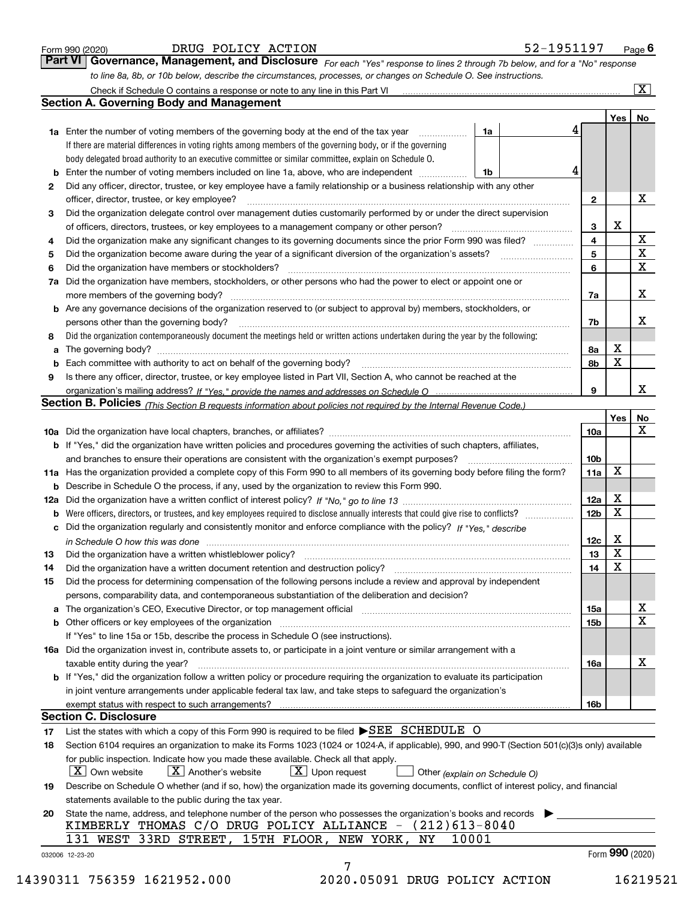|  | Form 990 (2020) |
|--|-----------------|
|  |                 |

| DRUG POLICY ACTION |  |
|--------------------|--|
|--------------------|--|

*For each "Yes" response to lines 2 through 7b below, and for a "No" response to line 8a, 8b, or 10b below, describe the circumstances, processes, or changes on Schedule O. See instructions.* Form 990 (2020) **Page 6**<br>**Part VI Governance, Management, and Disclosure** For each "Yes" response to lines 2 through 7b below, and for a "No" response

|              |                                                                                                                                                                               |                               |   |                 | Yes             | No                      |
|--------------|-------------------------------------------------------------------------------------------------------------------------------------------------------------------------------|-------------------------------|---|-----------------|-----------------|-------------------------|
|              | <b>1a</b> Enter the number of voting members of the governing body at the end of the tax year                                                                                 | 1a                            | 4 |                 |                 |                         |
|              | If there are material differences in voting rights among members of the governing body, or if the governing                                                                   |                               |   |                 |                 |                         |
|              | body delegated broad authority to an executive committee or similar committee, explain on Schedule O.                                                                         |                               |   |                 |                 |                         |
|              |                                                                                                                                                                               | 1b                            | 4 |                 |                 |                         |
| $\mathbf{2}$ | Did any officer, director, trustee, or key employee have a family relationship or a business relationship with any other                                                      |                               |   |                 |                 |                         |
|              | officer, director, trustee, or key employee?                                                                                                                                  |                               |   | $\mathbf{2}$    |                 | х                       |
| 3            | Did the organization delegate control over management duties customarily performed by or under the direct supervision                                                         |                               |   |                 |                 |                         |
|              |                                                                                                                                                                               |                               |   | 3               | x               |                         |
| 4            | Did the organization make any significant changes to its governing documents since the prior Form 990 was filed?                                                              |                               |   | 4               |                 | X                       |
| 5            |                                                                                                                                                                               |                               |   | 5               |                 | $\overline{\textbf{X}}$ |
| 6            | Did the organization have members or stockholders?                                                                                                                            |                               |   | 6               |                 | $\mathbf x$             |
|              | 7a Did the organization have members, stockholders, or other persons who had the power to elect or appoint one or                                                             |                               |   |                 |                 |                         |
|              |                                                                                                                                                                               |                               |   | 7a              |                 | x                       |
|              | <b>b</b> Are any governance decisions of the organization reserved to (or subject to approval by) members, stockholders, or                                                   |                               |   |                 |                 |                         |
|              | persons other than the governing body?                                                                                                                                        |                               |   | 7b              |                 | х                       |
| 8            | Did the organization contemporaneously document the meetings held or written actions undertaken during the year by the following:                                             |                               |   |                 |                 |                         |
| a            |                                                                                                                                                                               |                               |   | 8a              | X               |                         |
|              |                                                                                                                                                                               |                               |   | 8b              | X               |                         |
| 9            | Is there any officer, director, trustee, or key employee listed in Part VII, Section A, who cannot be reached at the                                                          |                               |   |                 |                 |                         |
|              |                                                                                                                                                                               |                               |   | 9               |                 | х                       |
|              | Section B. Policies (This Section B requests information about policies not required by the Internal Revenue Code.)                                                           |                               |   |                 |                 |                         |
|              |                                                                                                                                                                               |                               |   |                 | Yes             | No                      |
|              |                                                                                                                                                                               |                               |   |                 |                 | X                       |
|              |                                                                                                                                                                               |                               |   | 10a             |                 |                         |
|              | <b>b</b> If "Yes," did the organization have written policies and procedures governing the activities of such chapters, affiliates,                                           |                               |   |                 |                 |                         |
|              |                                                                                                                                                                               |                               |   | 10 <sub>b</sub> |                 |                         |
|              | 11a Has the organization provided a complete copy of this Form 990 to all members of its governing body before filing the form?                                               |                               |   | 11a             | X               |                         |
|              | <b>b</b> Describe in Schedule O the process, if any, used by the organization to review this Form 990.                                                                        |                               |   |                 |                 |                         |
|              |                                                                                                                                                                               |                               |   | 12a             | X               |                         |
| b            |                                                                                                                                                                               |                               |   | 12b             | X               |                         |
|              | c Did the organization regularly and consistently monitor and enforce compliance with the policy? If "Yes," describe                                                          |                               |   |                 |                 |                         |
|              | in Schedule O how this was done manufactured and continuum control of the Schedule O how this was done manufactured and continuum control of the Schedule O how this was done |                               |   | 12c             | х               |                         |
| 13           |                                                                                                                                                                               |                               |   | 13              | X               |                         |
| 14           | Did the organization have a written document retention and destruction policy? manufactured and the organization have a written document retention and destruction policy?    |                               |   | 14              | X               |                         |
| 15           | Did the process for determining compensation of the following persons include a review and approval by independent                                                            |                               |   |                 |                 |                         |
|              | persons, comparability data, and contemporaneous substantiation of the deliberation and decision?                                                                             |                               |   |                 |                 |                         |
|              |                                                                                                                                                                               |                               |   | 15a             |                 | X                       |
|              |                                                                                                                                                                               |                               |   | 15 <sub>b</sub> |                 | $\mathbf X$             |
|              | If "Yes" to line 15a or 15b, describe the process in Schedule O (see instructions).                                                                                           |                               |   |                 |                 |                         |
|              | 16a Did the organization invest in, contribute assets to, or participate in a joint venture or similar arrangement with a                                                     |                               |   |                 |                 |                         |
|              | taxable entity during the year?                                                                                                                                               |                               |   | 16a             |                 | X                       |
|              | b If "Yes," did the organization follow a written policy or procedure requiring the organization to evaluate its participation                                                |                               |   |                 |                 |                         |
|              | in joint venture arrangements under applicable federal tax law, and take steps to safequard the organization's                                                                |                               |   |                 |                 |                         |
|              | exempt status with respect to such arrangements?                                                                                                                              |                               |   | 16b             |                 |                         |
|              | <b>Section C. Disclosure</b>                                                                                                                                                  |                               |   |                 |                 |                         |
| 17           | List the states with which a copy of this Form 990 is required to be filed $\blacktriangleright$ SEE SCHEDULE O                                                               |                               |   |                 |                 |                         |
| 18           | Section 6104 requires an organization to make its Forms 1023 (1024 or 1024-A, if applicable), 990, and 990-T (Section 501(c)(3)s only) available                              |                               |   |                 |                 |                         |
|              | for public inspection. Indicate how you made these available. Check all that apply.                                                                                           |                               |   |                 |                 |                         |
|              | X   Own website<br>$X$ Another's website<br>$\lfloor x \rfloor$ Upon request                                                                                                  | Other (explain on Schedule O) |   |                 |                 |                         |
| 19           | Describe on Schedule O whether (and if so, how) the organization made its governing documents, conflict of interest policy, and financial                                     |                               |   |                 |                 |                         |
|              | statements available to the public during the tax year.                                                                                                                       |                               |   |                 |                 |                         |
|              | State the name, address, and telephone number of the person who possesses the organization's books and records                                                                |                               |   |                 |                 |                         |
|              |                                                                                                                                                                               |                               |   |                 |                 |                         |
|              |                                                                                                                                                                               |                               |   |                 |                 |                         |
|              | KIMBERLY THOMAS C/O DRUG POLICY ALLIANCE - $(212)613-8040$                                                                                                                    |                               |   |                 |                 |                         |
| 20           | 131 WEST 33RD STREET, 15TH FLOOR, NEW YORK,<br>10001<br>NY<br>032006 12-23-20                                                                                                 |                               |   |                 | Form 990 (2020) |                         |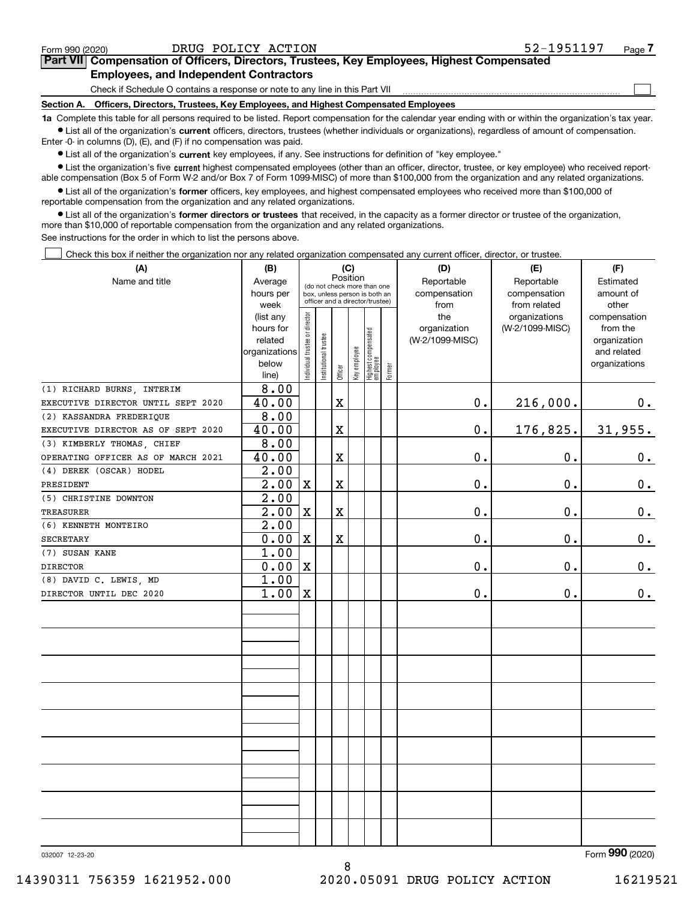|  |  | -- |
|--|--|----|
|  |  |    |
|  |  |    |
|  |  |    |

 $\mathcal{L}^{\text{max}}$ 

**7Part VII Compensation of Officers, Directors, Trustees, Key Employees, Highest Compensated Employees, and Independent Contractors**

Check if Schedule O contains a response or note to any line in this Part VII

**Section A. Officers, Directors, Trustees, Key Employees, and Highest Compensated Employees**

**1a**  Complete this table for all persons required to be listed. Report compensation for the calendar year ending with or within the organization's tax year. **•** List all of the organization's current officers, directors, trustees (whether individuals or organizations), regardless of amount of compensation.

Enter -0- in columns (D), (E), and (F) if no compensation was paid.

 $\bullet$  List all of the organization's  $\,$ current key employees, if any. See instructions for definition of "key employee."

**•** List the organization's five current highest compensated employees (other than an officer, director, trustee, or key employee) who received reportable compensation (Box 5 of Form W-2 and/or Box 7 of Form 1099-MISC) of more than \$100,000 from the organization and any related organizations.

**•** List all of the organization's former officers, key employees, and highest compensated employees who received more than \$100,000 of reportable compensation from the organization and any related organizations.

**former directors or trustees**  ¥ List all of the organization's that received, in the capacity as a former director or trustee of the organization, more than \$10,000 of reportable compensation from the organization and any related organizations.

See instructions for the order in which to list the persons above.

Check this box if neither the organization nor any related organization compensated any current officer, director, or trustee.  $\mathcal{L}^{\text{max}}$ 

| (A)                                | (B)               |                               |                      |             | (C)          |                                  |        | (D)             | (E)             | (F)           |
|------------------------------------|-------------------|-------------------------------|----------------------|-------------|--------------|----------------------------------|--------|-----------------|-----------------|---------------|
| Name and title                     | Average           |                               |                      | Position    |              | (do not check more than one      |        | Reportable      | Reportable      | Estimated     |
|                                    | hours per         |                               |                      |             |              | box, unless person is both an    |        | compensation    | compensation    | amount of     |
|                                    | week              |                               |                      |             |              | officer and a director/trustee)  |        | from            | from related    | other         |
|                                    | (list any         |                               |                      |             |              |                                  |        | the             | organizations   | compensation  |
|                                    | hours for         |                               |                      |             |              |                                  |        | organization    | (W-2/1099-MISC) | from the      |
|                                    | related           |                               |                      |             |              |                                  |        | (W-2/1099-MISC) |                 | organization  |
|                                    | organizations     |                               |                      |             |              |                                  |        |                 |                 | and related   |
|                                    | below<br>line)    | ndividual trustee or director | nstitutional trustee | Officer     | Key employee | Highest compensated<br> employee | Former |                 |                 | organizations |
| (1) RICHARD BURNS, INTERIM         | 8.00              |                               |                      |             |              |                                  |        |                 |                 |               |
| EXECUTIVE DIRECTOR UNTIL SEPT 2020 | 40.00             |                               |                      | $\mathbf X$ |              |                                  |        | $\mathbf 0$ .   | 216,000.        | 0.            |
| (2) KASSANDRA FREDERIQUE           | 8.00              |                               |                      |             |              |                                  |        |                 |                 |               |
| EXECUTIVE DIRECTOR AS OF SEPT 2020 | 40.00             |                               |                      | $\mathbf X$ |              |                                  |        | $0$ .           | 176,825.        | 31,955.       |
| (3) KIMBERLY THOMAS, CHIEF         | 8.00              |                               |                      |             |              |                                  |        |                 |                 |               |
| OPERATING OFFICER AS OF MARCH 2021 | 40.00             |                               |                      | $\mathbf X$ |              |                                  |        | 0.              | $\mathbf 0$ .   | $0_{.}$       |
| (4) DEREK (OSCAR) HODEL            | $\overline{2.00}$ |                               |                      |             |              |                                  |        |                 |                 |               |
| PRESIDENT                          | 2.00              | $\mathbf X$                   |                      | $\mathbf X$ |              |                                  |        | 0.              | $\mathbf 0$ .   | 0.            |
| (5) CHRISTINE DOWNTON              | $\overline{2.00}$ |                               |                      |             |              |                                  |        |                 |                 |               |
| TREASURER                          | 2.00              | $\mathbf X$                   |                      | $\mathbf X$ |              |                                  |        | 0.              | $\mathbf 0$ .   | $0_{.}$       |
| (6) KENNETH MONTEIRO               | $\overline{2.00}$ |                               |                      |             |              |                                  |        |                 |                 |               |
| SECRETARY                          | 0.00              | $\mathbf X$                   |                      | $\rm X$     |              |                                  |        | 0.              | $\mathbf 0$ .   | 0.            |
| (7) SUSAN KANE                     | 1.00              |                               |                      |             |              |                                  |        |                 |                 |               |
| <b>DIRECTOR</b>                    | 0.00              | $\mathbf X$                   |                      |             |              |                                  |        | 0.              | 0.              | $0_{.}$       |
| (8) DAVID C. LEWIS, MD             | 1.00              |                               |                      |             |              |                                  |        |                 |                 |               |
| DIRECTOR UNTIL DEC 2020            | 1.00              | X                             |                      |             |              |                                  |        | 0.              | $\mathbf 0$ .   | 0.            |
|                                    |                   |                               |                      |             |              |                                  |        |                 |                 |               |
|                                    |                   |                               |                      |             |              |                                  |        |                 |                 |               |
|                                    |                   |                               |                      |             |              |                                  |        |                 |                 |               |
|                                    |                   |                               |                      |             |              |                                  |        |                 |                 |               |
|                                    |                   |                               |                      |             |              |                                  |        |                 |                 |               |
|                                    |                   |                               |                      |             |              |                                  |        |                 |                 |               |
|                                    |                   |                               |                      |             |              |                                  |        |                 |                 |               |
|                                    |                   |                               |                      |             |              |                                  |        |                 |                 |               |
|                                    |                   |                               |                      |             |              |                                  |        |                 |                 |               |
|                                    |                   |                               |                      |             |              |                                  |        |                 |                 |               |
|                                    |                   |                               |                      |             |              |                                  |        |                 |                 |               |
|                                    |                   |                               |                      |             |              |                                  |        |                 |                 |               |
|                                    |                   |                               |                      |             |              |                                  |        |                 |                 |               |
|                                    |                   |                               |                      |             |              |                                  |        |                 |                 |               |
|                                    |                   |                               |                      |             |              |                                  |        |                 |                 |               |

8

032007 12-23-20

Form (2020) **990**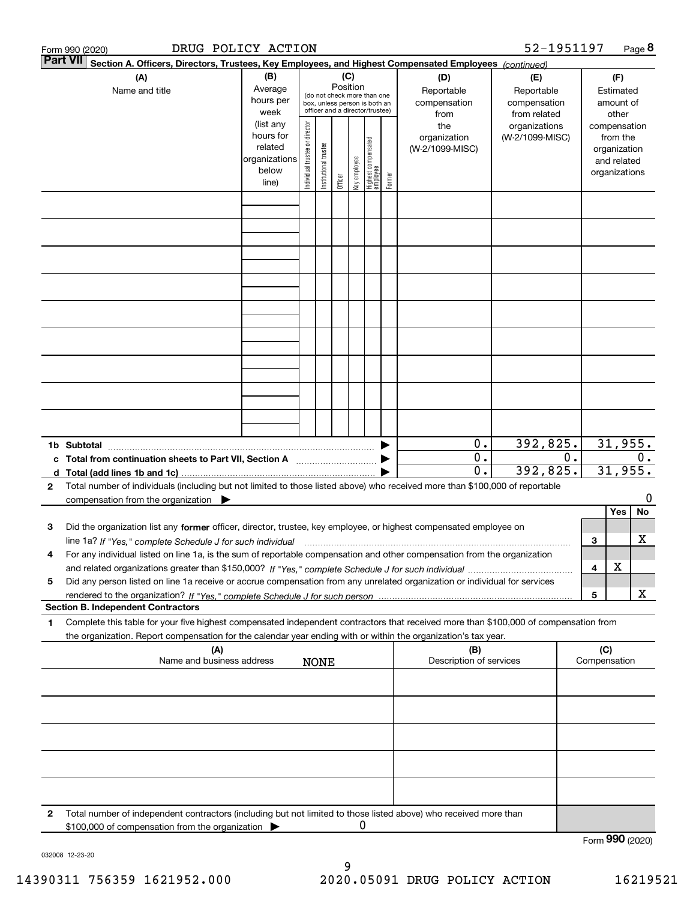|              | DRUG POLICY ACTION<br>Form 990 (2020)                                                                                                                                                                                                                                                               |                                                                                           |                                |                       |                 |              |                                                                                                     |        |                                                                | 52-1951197                                                       |    |     |                                                                                                | Page 8  |
|--------------|-----------------------------------------------------------------------------------------------------------------------------------------------------------------------------------------------------------------------------------------------------------------------------------------------------|-------------------------------------------------------------------------------------------|--------------------------------|-----------------------|-----------------|--------------|-----------------------------------------------------------------------------------------------------|--------|----------------------------------------------------------------|------------------------------------------------------------------|----|-----|------------------------------------------------------------------------------------------------|---------|
|              | <b>Part VII</b><br>Section A. Officers, Directors, Trustees, Key Employees, and Highest Compensated Employees (continued)                                                                                                                                                                           |                                                                                           |                                |                       |                 |              |                                                                                                     |        |                                                                |                                                                  |    |     |                                                                                                |         |
|              | (A)<br>Name and title                                                                                                                                                                                                                                                                               | (B)<br>Average                                                                            |                                |                       | (C)<br>Position |              | (do not check more than one                                                                         |        | (D)<br>Reportable                                              | (E)<br>Reportable                                                |    |     | (F)<br>Estimated                                                                               |         |
|              |                                                                                                                                                                                                                                                                                                     | hours per<br>week<br>(list any<br>hours for<br>related<br>organizations<br>below<br>line) | Individual trustee or director | Institutional trustee | Officer         | Key employee | box, unless person is both an<br>officer and a director/trustee)<br>Highest compensated<br>employee | Former | compensation<br>from<br>the<br>organization<br>(W-2/1099-MISC) | compensation<br>from related<br>organizations<br>(W-2/1099-MISC) |    |     | amount of<br>other<br>compensation<br>from the<br>organization<br>and related<br>organizations |         |
|              |                                                                                                                                                                                                                                                                                                     |                                                                                           |                                |                       |                 |              |                                                                                                     |        |                                                                |                                                                  |    |     |                                                                                                |         |
|              |                                                                                                                                                                                                                                                                                                     |                                                                                           |                                |                       |                 |              |                                                                                                     |        |                                                                |                                                                  |    |     |                                                                                                |         |
|              |                                                                                                                                                                                                                                                                                                     |                                                                                           |                                |                       |                 |              |                                                                                                     |        |                                                                |                                                                  |    |     |                                                                                                |         |
|              |                                                                                                                                                                                                                                                                                                     |                                                                                           |                                |                       |                 |              |                                                                                                     |        |                                                                |                                                                  |    |     |                                                                                                |         |
|              |                                                                                                                                                                                                                                                                                                     |                                                                                           |                                |                       |                 |              |                                                                                                     |        |                                                                |                                                                  |    |     |                                                                                                |         |
|              |                                                                                                                                                                                                                                                                                                     |                                                                                           |                                |                       |                 |              |                                                                                                     |        |                                                                |                                                                  |    |     |                                                                                                |         |
|              |                                                                                                                                                                                                                                                                                                     |                                                                                           |                                |                       |                 |              |                                                                                                     |        |                                                                |                                                                  |    |     |                                                                                                |         |
|              | 1b Subtotal                                                                                                                                                                                                                                                                                         |                                                                                           |                                |                       |                 |              |                                                                                                     |        | 0.                                                             | 392,825.                                                         |    |     | 31,955.                                                                                        |         |
|              | c Total from continuation sheets to Part VII, Section A <b>manual</b> contains the Total from continuum<br>d Total (add lines 1b and 1c).                                                                                                                                                           |                                                                                           |                                |                       |                 |              |                                                                                                     |        | $\overline{0}$ .<br>$\overline{0}$ .                           | 392, 825.                                                        | 0. |     | 31,955.                                                                                        | 0.      |
| $\mathbf{2}$ | Total number of individuals (including but not limited to those listed above) who received more than \$100,000 of reportable<br>compensation from the organization $\blacktriangleright$                                                                                                            |                                                                                           |                                |                       |                 |              |                                                                                                     |        |                                                                |                                                                  |    |     |                                                                                                | 0       |
| З            | Did the organization list any former officer, director, trustee, key employee, or highest compensated employee on                                                                                                                                                                                   |                                                                                           |                                |                       |                 |              |                                                                                                     |        |                                                                |                                                                  |    | 3   | Yes                                                                                            | No<br>х |
| 4            | For any individual listed on line 1a, is the sum of reportable compensation and other compensation from the organization                                                                                                                                                                            |                                                                                           |                                |                       |                 |              |                                                                                                     |        |                                                                |                                                                  |    | 4   | х                                                                                              |         |
| 5            | Did any person listed on line 1a receive or accrue compensation from any unrelated organization or individual for services                                                                                                                                                                          |                                                                                           |                                |                       |                 |              |                                                                                                     |        |                                                                |                                                                  |    | 5   |                                                                                                | x       |
| 1            | <b>Section B. Independent Contractors</b><br>Complete this table for your five highest compensated independent contractors that received more than \$100,000 of compensation from<br>the organization. Report compensation for the calendar year ending with or within the organization's tax year. |                                                                                           |                                |                       |                 |              |                                                                                                     |        |                                                                |                                                                  |    |     |                                                                                                |         |
|              | (A)<br>Name and business address                                                                                                                                                                                                                                                                    |                                                                                           |                                | <b>NONE</b>           |                 |              |                                                                                                     |        | (B)<br>Description of services                                 |                                                                  |    | (C) | Compensation                                                                                   |         |
|              |                                                                                                                                                                                                                                                                                                     |                                                                                           |                                |                       |                 |              |                                                                                                     |        |                                                                |                                                                  |    |     |                                                                                                |         |
|              |                                                                                                                                                                                                                                                                                                     |                                                                                           |                                |                       |                 |              |                                                                                                     |        |                                                                |                                                                  |    |     |                                                                                                |         |
|              |                                                                                                                                                                                                                                                                                                     |                                                                                           |                                |                       |                 |              |                                                                                                     |        |                                                                |                                                                  |    |     |                                                                                                |         |
|              |                                                                                                                                                                                                                                                                                                     |                                                                                           |                                |                       |                 |              |                                                                                                     |        |                                                                |                                                                  |    |     |                                                                                                |         |
| 2            | Total number of independent contractors (including but not limited to those listed above) who received more than<br>\$100,000 of compensation from the organization                                                                                                                                 |                                                                                           |                                |                       |                 | 0            |                                                                                                     |        |                                                                |                                                                  |    |     |                                                                                                |         |
|              |                                                                                                                                                                                                                                                                                                     |                                                                                           |                                |                       |                 |              |                                                                                                     |        |                                                                |                                                                  |    |     | Form 990 (2020)                                                                                |         |

032008 12-23-20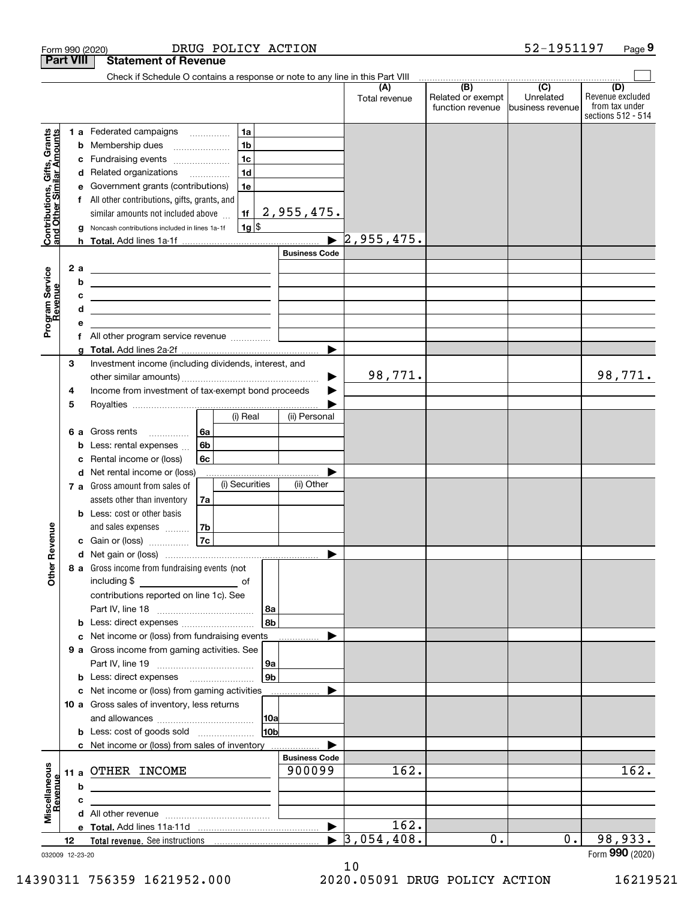| <b>Part VIII</b><br>Check if Schedule O contains a response or note to any line in this Part VIII<br>$\overline{(C)}$<br>(B)<br>(D)<br>(A)<br>Related or exempt<br>Unrelated<br>Total revenue<br>function revenue<br>lbusiness revenue<br>1a<br>Contributions, Gifts, Grants<br>and Other Similar Amounts<br>1 a Federated campaigns<br>1 <sub>b</sub><br>Membership dues<br>b<br>1 <sub>c</sub><br>Fundraising events<br>с<br>1 <sub>d</sub><br>Related organizations<br>d<br>1e<br>Government grants (contributions)<br>е<br>All other contributions, gifts, grants, and<br>f<br>2,955,475.<br>similar amounts not included above<br>1f<br> 1g <br>Noncash contributions included in lines 1a-1f<br>2,955,475.<br><b>Business Code</b><br>Program Service<br>Revenue<br>2 a<br><u> 1980 - Andrea Barbara, poeta espainiar político e a propia de la propia de la propia de la propia de la propia</u><br>b<br><u> Alexandria de la contrada de la contrada de la contrada de la contrada de la contrada de la contrada de la c</u><br>c<br><u>and the state of the state of the state of the state of the state of the state of the state of the state of the state of the state of the state of the state of the state of the state of the state of the state of the state</u><br>d<br><u> 1989 - Johann Barn, mars ann an t-Amhain an t-Amhain an t-Amhain an t-Amhain an t-Amhain an t-Amhain an t-A</u><br>е<br>All other program service revenue<br>f<br>▶<br>g<br>3<br>Investment income (including dividends, interest, and<br>98,771.<br>Income from investment of tax-exempt bond proceeds<br>4<br>5<br>(i) Real<br>(ii) Personal<br>6a<br>6 a Gross rents<br>6 <sub>b</sub><br>Less: rental expenses<br>b<br>6c<br>Rental income or (loss)<br>c<br>d Net rental income or (loss)<br>(i) Securities<br>(ii) Other<br>7 a Gross amount from sales of<br>assets other than inventory<br>7a<br><b>b</b> Less: cost or other basis<br>evenue<br>7b<br>and sales expenses<br>7c<br>c Gain or (loss)<br>œ<br>Other<br>8 a Gross income from fundraising events (not<br>contributions reported on line 1c). See<br> 8a<br>8b<br><b>b</b> Less: direct expenses <b>constants b</b><br>c Net income or (loss) from fundraising events<br>9 a Gross income from gaming activities. See<br>  9a<br>9 <sub>b</sub><br><b>b</b> Less: direct expenses <b>manually</b><br>c Net income or (loss) from gaming activities<br>.<br>10 a Gross sales of inventory, less returns<br>10 <sub>b</sub><br>c Net income or (loss) from sales of inventory<br><b>Business Code</b><br>Miscellaneous<br>162.<br>162.<br>900099<br>11 a OTHER INCOME<br>Revenue<br>b<br>c<br><u> 1989 - Johann Stein, mars an deutscher Stein und der Stein und der Stein und der Stein und der Stein und der</u><br>162.<br>$\blacktriangleright$ 3,054,408.<br>98,933.<br>0.<br>0.<br>12 |  | DRUG POLICY ACTION<br>Form 990 (2020) |  | 52-1951197 | Page 9                                                   |
|-------------------------------------------------------------------------------------------------------------------------------------------------------------------------------------------------------------------------------------------------------------------------------------------------------------------------------------------------------------------------------------------------------------------------------------------------------------------------------------------------------------------------------------------------------------------------------------------------------------------------------------------------------------------------------------------------------------------------------------------------------------------------------------------------------------------------------------------------------------------------------------------------------------------------------------------------------------------------------------------------------------------------------------------------------------------------------------------------------------------------------------------------------------------------------------------------------------------------------------------------------------------------------------------------------------------------------------------------------------------------------------------------------------------------------------------------------------------------------------------------------------------------------------------------------------------------------------------------------------------------------------------------------------------------------------------------------------------------------------------------------------------------------------------------------------------------------------------------------------------------------------------------------------------------------------------------------------------------------------------------------------------------------------------------------------------------------------------------------------------------------------------------------------------------------------------------------------------------------------------------------------------------------------------------------------------------------------------------------------------------------------------------------------------------------------------------------------------------------------------------------------------------------------------------------------------------------------------------------------------------------------------------------------------------------------------------------------------------------------------------------------------------------------------------------------------------------------------------------------|--|---------------------------------------|--|------------|----------------------------------------------------------|
|                                                                                                                                                                                                                                                                                                                                                                                                                                                                                                                                                                                                                                                                                                                                                                                                                                                                                                                                                                                                                                                                                                                                                                                                                                                                                                                                                                                                                                                                                                                                                                                                                                                                                                                                                                                                                                                                                                                                                                                                                                                                                                                                                                                                                                                                                                                                                                                                                                                                                                                                                                                                                                                                                                                                                                                                                                                             |  | <b>Statement of Revenue</b>           |  |            |                                                          |
|                                                                                                                                                                                                                                                                                                                                                                                                                                                                                                                                                                                                                                                                                                                                                                                                                                                                                                                                                                                                                                                                                                                                                                                                                                                                                                                                                                                                                                                                                                                                                                                                                                                                                                                                                                                                                                                                                                                                                                                                                                                                                                                                                                                                                                                                                                                                                                                                                                                                                                                                                                                                                                                                                                                                                                                                                                                             |  |                                       |  |            |                                                          |
|                                                                                                                                                                                                                                                                                                                                                                                                                                                                                                                                                                                                                                                                                                                                                                                                                                                                                                                                                                                                                                                                                                                                                                                                                                                                                                                                                                                                                                                                                                                                                                                                                                                                                                                                                                                                                                                                                                                                                                                                                                                                                                                                                                                                                                                                                                                                                                                                                                                                                                                                                                                                                                                                                                                                                                                                                                                             |  |                                       |  |            | Revenue excluded<br>from tax under<br>sections 512 - 514 |
|                                                                                                                                                                                                                                                                                                                                                                                                                                                                                                                                                                                                                                                                                                                                                                                                                                                                                                                                                                                                                                                                                                                                                                                                                                                                                                                                                                                                                                                                                                                                                                                                                                                                                                                                                                                                                                                                                                                                                                                                                                                                                                                                                                                                                                                                                                                                                                                                                                                                                                                                                                                                                                                                                                                                                                                                                                                             |  |                                       |  |            |                                                          |
|                                                                                                                                                                                                                                                                                                                                                                                                                                                                                                                                                                                                                                                                                                                                                                                                                                                                                                                                                                                                                                                                                                                                                                                                                                                                                                                                                                                                                                                                                                                                                                                                                                                                                                                                                                                                                                                                                                                                                                                                                                                                                                                                                                                                                                                                                                                                                                                                                                                                                                                                                                                                                                                                                                                                                                                                                                                             |  |                                       |  |            |                                                          |
|                                                                                                                                                                                                                                                                                                                                                                                                                                                                                                                                                                                                                                                                                                                                                                                                                                                                                                                                                                                                                                                                                                                                                                                                                                                                                                                                                                                                                                                                                                                                                                                                                                                                                                                                                                                                                                                                                                                                                                                                                                                                                                                                                                                                                                                                                                                                                                                                                                                                                                                                                                                                                                                                                                                                                                                                                                                             |  |                                       |  |            |                                                          |
|                                                                                                                                                                                                                                                                                                                                                                                                                                                                                                                                                                                                                                                                                                                                                                                                                                                                                                                                                                                                                                                                                                                                                                                                                                                                                                                                                                                                                                                                                                                                                                                                                                                                                                                                                                                                                                                                                                                                                                                                                                                                                                                                                                                                                                                                                                                                                                                                                                                                                                                                                                                                                                                                                                                                                                                                                                                             |  |                                       |  |            |                                                          |
|                                                                                                                                                                                                                                                                                                                                                                                                                                                                                                                                                                                                                                                                                                                                                                                                                                                                                                                                                                                                                                                                                                                                                                                                                                                                                                                                                                                                                                                                                                                                                                                                                                                                                                                                                                                                                                                                                                                                                                                                                                                                                                                                                                                                                                                                                                                                                                                                                                                                                                                                                                                                                                                                                                                                                                                                                                                             |  |                                       |  |            |                                                          |
|                                                                                                                                                                                                                                                                                                                                                                                                                                                                                                                                                                                                                                                                                                                                                                                                                                                                                                                                                                                                                                                                                                                                                                                                                                                                                                                                                                                                                                                                                                                                                                                                                                                                                                                                                                                                                                                                                                                                                                                                                                                                                                                                                                                                                                                                                                                                                                                                                                                                                                                                                                                                                                                                                                                                                                                                                                                             |  |                                       |  |            |                                                          |
|                                                                                                                                                                                                                                                                                                                                                                                                                                                                                                                                                                                                                                                                                                                                                                                                                                                                                                                                                                                                                                                                                                                                                                                                                                                                                                                                                                                                                                                                                                                                                                                                                                                                                                                                                                                                                                                                                                                                                                                                                                                                                                                                                                                                                                                                                                                                                                                                                                                                                                                                                                                                                                                                                                                                                                                                                                                             |  |                                       |  |            |                                                          |
|                                                                                                                                                                                                                                                                                                                                                                                                                                                                                                                                                                                                                                                                                                                                                                                                                                                                                                                                                                                                                                                                                                                                                                                                                                                                                                                                                                                                                                                                                                                                                                                                                                                                                                                                                                                                                                                                                                                                                                                                                                                                                                                                                                                                                                                                                                                                                                                                                                                                                                                                                                                                                                                                                                                                                                                                                                                             |  |                                       |  |            |                                                          |
|                                                                                                                                                                                                                                                                                                                                                                                                                                                                                                                                                                                                                                                                                                                                                                                                                                                                                                                                                                                                                                                                                                                                                                                                                                                                                                                                                                                                                                                                                                                                                                                                                                                                                                                                                                                                                                                                                                                                                                                                                                                                                                                                                                                                                                                                                                                                                                                                                                                                                                                                                                                                                                                                                                                                                                                                                                                             |  |                                       |  |            |                                                          |
|                                                                                                                                                                                                                                                                                                                                                                                                                                                                                                                                                                                                                                                                                                                                                                                                                                                                                                                                                                                                                                                                                                                                                                                                                                                                                                                                                                                                                                                                                                                                                                                                                                                                                                                                                                                                                                                                                                                                                                                                                                                                                                                                                                                                                                                                                                                                                                                                                                                                                                                                                                                                                                                                                                                                                                                                                                                             |  |                                       |  |            |                                                          |
|                                                                                                                                                                                                                                                                                                                                                                                                                                                                                                                                                                                                                                                                                                                                                                                                                                                                                                                                                                                                                                                                                                                                                                                                                                                                                                                                                                                                                                                                                                                                                                                                                                                                                                                                                                                                                                                                                                                                                                                                                                                                                                                                                                                                                                                                                                                                                                                                                                                                                                                                                                                                                                                                                                                                                                                                                                                             |  |                                       |  |            |                                                          |
|                                                                                                                                                                                                                                                                                                                                                                                                                                                                                                                                                                                                                                                                                                                                                                                                                                                                                                                                                                                                                                                                                                                                                                                                                                                                                                                                                                                                                                                                                                                                                                                                                                                                                                                                                                                                                                                                                                                                                                                                                                                                                                                                                                                                                                                                                                                                                                                                                                                                                                                                                                                                                                                                                                                                                                                                                                                             |  |                                       |  |            |                                                          |
|                                                                                                                                                                                                                                                                                                                                                                                                                                                                                                                                                                                                                                                                                                                                                                                                                                                                                                                                                                                                                                                                                                                                                                                                                                                                                                                                                                                                                                                                                                                                                                                                                                                                                                                                                                                                                                                                                                                                                                                                                                                                                                                                                                                                                                                                                                                                                                                                                                                                                                                                                                                                                                                                                                                                                                                                                                                             |  |                                       |  |            |                                                          |
|                                                                                                                                                                                                                                                                                                                                                                                                                                                                                                                                                                                                                                                                                                                                                                                                                                                                                                                                                                                                                                                                                                                                                                                                                                                                                                                                                                                                                                                                                                                                                                                                                                                                                                                                                                                                                                                                                                                                                                                                                                                                                                                                                                                                                                                                                                                                                                                                                                                                                                                                                                                                                                                                                                                                                                                                                                                             |  |                                       |  |            |                                                          |
|                                                                                                                                                                                                                                                                                                                                                                                                                                                                                                                                                                                                                                                                                                                                                                                                                                                                                                                                                                                                                                                                                                                                                                                                                                                                                                                                                                                                                                                                                                                                                                                                                                                                                                                                                                                                                                                                                                                                                                                                                                                                                                                                                                                                                                                                                                                                                                                                                                                                                                                                                                                                                                                                                                                                                                                                                                                             |  |                                       |  |            |                                                          |
|                                                                                                                                                                                                                                                                                                                                                                                                                                                                                                                                                                                                                                                                                                                                                                                                                                                                                                                                                                                                                                                                                                                                                                                                                                                                                                                                                                                                                                                                                                                                                                                                                                                                                                                                                                                                                                                                                                                                                                                                                                                                                                                                                                                                                                                                                                                                                                                                                                                                                                                                                                                                                                                                                                                                                                                                                                                             |  |                                       |  |            |                                                          |
|                                                                                                                                                                                                                                                                                                                                                                                                                                                                                                                                                                                                                                                                                                                                                                                                                                                                                                                                                                                                                                                                                                                                                                                                                                                                                                                                                                                                                                                                                                                                                                                                                                                                                                                                                                                                                                                                                                                                                                                                                                                                                                                                                                                                                                                                                                                                                                                                                                                                                                                                                                                                                                                                                                                                                                                                                                                             |  |                                       |  |            |                                                          |
|                                                                                                                                                                                                                                                                                                                                                                                                                                                                                                                                                                                                                                                                                                                                                                                                                                                                                                                                                                                                                                                                                                                                                                                                                                                                                                                                                                                                                                                                                                                                                                                                                                                                                                                                                                                                                                                                                                                                                                                                                                                                                                                                                                                                                                                                                                                                                                                                                                                                                                                                                                                                                                                                                                                                                                                                                                                             |  |                                       |  |            |                                                          |
|                                                                                                                                                                                                                                                                                                                                                                                                                                                                                                                                                                                                                                                                                                                                                                                                                                                                                                                                                                                                                                                                                                                                                                                                                                                                                                                                                                                                                                                                                                                                                                                                                                                                                                                                                                                                                                                                                                                                                                                                                                                                                                                                                                                                                                                                                                                                                                                                                                                                                                                                                                                                                                                                                                                                                                                                                                                             |  |                                       |  |            | 98,771.                                                  |
|                                                                                                                                                                                                                                                                                                                                                                                                                                                                                                                                                                                                                                                                                                                                                                                                                                                                                                                                                                                                                                                                                                                                                                                                                                                                                                                                                                                                                                                                                                                                                                                                                                                                                                                                                                                                                                                                                                                                                                                                                                                                                                                                                                                                                                                                                                                                                                                                                                                                                                                                                                                                                                                                                                                                                                                                                                                             |  |                                       |  |            |                                                          |
|                                                                                                                                                                                                                                                                                                                                                                                                                                                                                                                                                                                                                                                                                                                                                                                                                                                                                                                                                                                                                                                                                                                                                                                                                                                                                                                                                                                                                                                                                                                                                                                                                                                                                                                                                                                                                                                                                                                                                                                                                                                                                                                                                                                                                                                                                                                                                                                                                                                                                                                                                                                                                                                                                                                                                                                                                                                             |  |                                       |  |            |                                                          |
|                                                                                                                                                                                                                                                                                                                                                                                                                                                                                                                                                                                                                                                                                                                                                                                                                                                                                                                                                                                                                                                                                                                                                                                                                                                                                                                                                                                                                                                                                                                                                                                                                                                                                                                                                                                                                                                                                                                                                                                                                                                                                                                                                                                                                                                                                                                                                                                                                                                                                                                                                                                                                                                                                                                                                                                                                                                             |  |                                       |  |            |                                                          |
|                                                                                                                                                                                                                                                                                                                                                                                                                                                                                                                                                                                                                                                                                                                                                                                                                                                                                                                                                                                                                                                                                                                                                                                                                                                                                                                                                                                                                                                                                                                                                                                                                                                                                                                                                                                                                                                                                                                                                                                                                                                                                                                                                                                                                                                                                                                                                                                                                                                                                                                                                                                                                                                                                                                                                                                                                                                             |  |                                       |  |            |                                                          |
|                                                                                                                                                                                                                                                                                                                                                                                                                                                                                                                                                                                                                                                                                                                                                                                                                                                                                                                                                                                                                                                                                                                                                                                                                                                                                                                                                                                                                                                                                                                                                                                                                                                                                                                                                                                                                                                                                                                                                                                                                                                                                                                                                                                                                                                                                                                                                                                                                                                                                                                                                                                                                                                                                                                                                                                                                                                             |  |                                       |  |            |                                                          |
|                                                                                                                                                                                                                                                                                                                                                                                                                                                                                                                                                                                                                                                                                                                                                                                                                                                                                                                                                                                                                                                                                                                                                                                                                                                                                                                                                                                                                                                                                                                                                                                                                                                                                                                                                                                                                                                                                                                                                                                                                                                                                                                                                                                                                                                                                                                                                                                                                                                                                                                                                                                                                                                                                                                                                                                                                                                             |  |                                       |  |            |                                                          |
|                                                                                                                                                                                                                                                                                                                                                                                                                                                                                                                                                                                                                                                                                                                                                                                                                                                                                                                                                                                                                                                                                                                                                                                                                                                                                                                                                                                                                                                                                                                                                                                                                                                                                                                                                                                                                                                                                                                                                                                                                                                                                                                                                                                                                                                                                                                                                                                                                                                                                                                                                                                                                                                                                                                                                                                                                                                             |  |                                       |  |            |                                                          |
|                                                                                                                                                                                                                                                                                                                                                                                                                                                                                                                                                                                                                                                                                                                                                                                                                                                                                                                                                                                                                                                                                                                                                                                                                                                                                                                                                                                                                                                                                                                                                                                                                                                                                                                                                                                                                                                                                                                                                                                                                                                                                                                                                                                                                                                                                                                                                                                                                                                                                                                                                                                                                                                                                                                                                                                                                                                             |  |                                       |  |            |                                                          |
|                                                                                                                                                                                                                                                                                                                                                                                                                                                                                                                                                                                                                                                                                                                                                                                                                                                                                                                                                                                                                                                                                                                                                                                                                                                                                                                                                                                                                                                                                                                                                                                                                                                                                                                                                                                                                                                                                                                                                                                                                                                                                                                                                                                                                                                                                                                                                                                                                                                                                                                                                                                                                                                                                                                                                                                                                                                             |  |                                       |  |            |                                                          |
|                                                                                                                                                                                                                                                                                                                                                                                                                                                                                                                                                                                                                                                                                                                                                                                                                                                                                                                                                                                                                                                                                                                                                                                                                                                                                                                                                                                                                                                                                                                                                                                                                                                                                                                                                                                                                                                                                                                                                                                                                                                                                                                                                                                                                                                                                                                                                                                                                                                                                                                                                                                                                                                                                                                                                                                                                                                             |  |                                       |  |            |                                                          |
|                                                                                                                                                                                                                                                                                                                                                                                                                                                                                                                                                                                                                                                                                                                                                                                                                                                                                                                                                                                                                                                                                                                                                                                                                                                                                                                                                                                                                                                                                                                                                                                                                                                                                                                                                                                                                                                                                                                                                                                                                                                                                                                                                                                                                                                                                                                                                                                                                                                                                                                                                                                                                                                                                                                                                                                                                                                             |  |                                       |  |            |                                                          |
|                                                                                                                                                                                                                                                                                                                                                                                                                                                                                                                                                                                                                                                                                                                                                                                                                                                                                                                                                                                                                                                                                                                                                                                                                                                                                                                                                                                                                                                                                                                                                                                                                                                                                                                                                                                                                                                                                                                                                                                                                                                                                                                                                                                                                                                                                                                                                                                                                                                                                                                                                                                                                                                                                                                                                                                                                                                             |  |                                       |  |            |                                                          |
|                                                                                                                                                                                                                                                                                                                                                                                                                                                                                                                                                                                                                                                                                                                                                                                                                                                                                                                                                                                                                                                                                                                                                                                                                                                                                                                                                                                                                                                                                                                                                                                                                                                                                                                                                                                                                                                                                                                                                                                                                                                                                                                                                                                                                                                                                                                                                                                                                                                                                                                                                                                                                                                                                                                                                                                                                                                             |  |                                       |  |            |                                                          |
|                                                                                                                                                                                                                                                                                                                                                                                                                                                                                                                                                                                                                                                                                                                                                                                                                                                                                                                                                                                                                                                                                                                                                                                                                                                                                                                                                                                                                                                                                                                                                                                                                                                                                                                                                                                                                                                                                                                                                                                                                                                                                                                                                                                                                                                                                                                                                                                                                                                                                                                                                                                                                                                                                                                                                                                                                                                             |  |                                       |  |            |                                                          |
|                                                                                                                                                                                                                                                                                                                                                                                                                                                                                                                                                                                                                                                                                                                                                                                                                                                                                                                                                                                                                                                                                                                                                                                                                                                                                                                                                                                                                                                                                                                                                                                                                                                                                                                                                                                                                                                                                                                                                                                                                                                                                                                                                                                                                                                                                                                                                                                                                                                                                                                                                                                                                                                                                                                                                                                                                                                             |  |                                       |  |            |                                                          |
|                                                                                                                                                                                                                                                                                                                                                                                                                                                                                                                                                                                                                                                                                                                                                                                                                                                                                                                                                                                                                                                                                                                                                                                                                                                                                                                                                                                                                                                                                                                                                                                                                                                                                                                                                                                                                                                                                                                                                                                                                                                                                                                                                                                                                                                                                                                                                                                                                                                                                                                                                                                                                                                                                                                                                                                                                                                             |  |                                       |  |            |                                                          |
|                                                                                                                                                                                                                                                                                                                                                                                                                                                                                                                                                                                                                                                                                                                                                                                                                                                                                                                                                                                                                                                                                                                                                                                                                                                                                                                                                                                                                                                                                                                                                                                                                                                                                                                                                                                                                                                                                                                                                                                                                                                                                                                                                                                                                                                                                                                                                                                                                                                                                                                                                                                                                                                                                                                                                                                                                                                             |  |                                       |  |            |                                                          |
|                                                                                                                                                                                                                                                                                                                                                                                                                                                                                                                                                                                                                                                                                                                                                                                                                                                                                                                                                                                                                                                                                                                                                                                                                                                                                                                                                                                                                                                                                                                                                                                                                                                                                                                                                                                                                                                                                                                                                                                                                                                                                                                                                                                                                                                                                                                                                                                                                                                                                                                                                                                                                                                                                                                                                                                                                                                             |  |                                       |  |            |                                                          |
|                                                                                                                                                                                                                                                                                                                                                                                                                                                                                                                                                                                                                                                                                                                                                                                                                                                                                                                                                                                                                                                                                                                                                                                                                                                                                                                                                                                                                                                                                                                                                                                                                                                                                                                                                                                                                                                                                                                                                                                                                                                                                                                                                                                                                                                                                                                                                                                                                                                                                                                                                                                                                                                                                                                                                                                                                                                             |  |                                       |  |            |                                                          |
|                                                                                                                                                                                                                                                                                                                                                                                                                                                                                                                                                                                                                                                                                                                                                                                                                                                                                                                                                                                                                                                                                                                                                                                                                                                                                                                                                                                                                                                                                                                                                                                                                                                                                                                                                                                                                                                                                                                                                                                                                                                                                                                                                                                                                                                                                                                                                                                                                                                                                                                                                                                                                                                                                                                                                                                                                                                             |  |                                       |  |            |                                                          |
|                                                                                                                                                                                                                                                                                                                                                                                                                                                                                                                                                                                                                                                                                                                                                                                                                                                                                                                                                                                                                                                                                                                                                                                                                                                                                                                                                                                                                                                                                                                                                                                                                                                                                                                                                                                                                                                                                                                                                                                                                                                                                                                                                                                                                                                                                                                                                                                                                                                                                                                                                                                                                                                                                                                                                                                                                                                             |  |                                       |  |            |                                                          |
|                                                                                                                                                                                                                                                                                                                                                                                                                                                                                                                                                                                                                                                                                                                                                                                                                                                                                                                                                                                                                                                                                                                                                                                                                                                                                                                                                                                                                                                                                                                                                                                                                                                                                                                                                                                                                                                                                                                                                                                                                                                                                                                                                                                                                                                                                                                                                                                                                                                                                                                                                                                                                                                                                                                                                                                                                                                             |  |                                       |  |            |                                                          |
|                                                                                                                                                                                                                                                                                                                                                                                                                                                                                                                                                                                                                                                                                                                                                                                                                                                                                                                                                                                                                                                                                                                                                                                                                                                                                                                                                                                                                                                                                                                                                                                                                                                                                                                                                                                                                                                                                                                                                                                                                                                                                                                                                                                                                                                                                                                                                                                                                                                                                                                                                                                                                                                                                                                                                                                                                                                             |  |                                       |  |            |                                                          |
|                                                                                                                                                                                                                                                                                                                                                                                                                                                                                                                                                                                                                                                                                                                                                                                                                                                                                                                                                                                                                                                                                                                                                                                                                                                                                                                                                                                                                                                                                                                                                                                                                                                                                                                                                                                                                                                                                                                                                                                                                                                                                                                                                                                                                                                                                                                                                                                                                                                                                                                                                                                                                                                                                                                                                                                                                                                             |  |                                       |  |            |                                                          |
|                                                                                                                                                                                                                                                                                                                                                                                                                                                                                                                                                                                                                                                                                                                                                                                                                                                                                                                                                                                                                                                                                                                                                                                                                                                                                                                                                                                                                                                                                                                                                                                                                                                                                                                                                                                                                                                                                                                                                                                                                                                                                                                                                                                                                                                                                                                                                                                                                                                                                                                                                                                                                                                                                                                                                                                                                                                             |  |                                       |  |            |                                                          |
|                                                                                                                                                                                                                                                                                                                                                                                                                                                                                                                                                                                                                                                                                                                                                                                                                                                                                                                                                                                                                                                                                                                                                                                                                                                                                                                                                                                                                                                                                                                                                                                                                                                                                                                                                                                                                                                                                                                                                                                                                                                                                                                                                                                                                                                                                                                                                                                                                                                                                                                                                                                                                                                                                                                                                                                                                                                             |  |                                       |  |            |                                                          |
|                                                                                                                                                                                                                                                                                                                                                                                                                                                                                                                                                                                                                                                                                                                                                                                                                                                                                                                                                                                                                                                                                                                                                                                                                                                                                                                                                                                                                                                                                                                                                                                                                                                                                                                                                                                                                                                                                                                                                                                                                                                                                                                                                                                                                                                                                                                                                                                                                                                                                                                                                                                                                                                                                                                                                                                                                                                             |  |                                       |  |            |                                                          |
|                                                                                                                                                                                                                                                                                                                                                                                                                                                                                                                                                                                                                                                                                                                                                                                                                                                                                                                                                                                                                                                                                                                                                                                                                                                                                                                                                                                                                                                                                                                                                                                                                                                                                                                                                                                                                                                                                                                                                                                                                                                                                                                                                                                                                                                                                                                                                                                                                                                                                                                                                                                                                                                                                                                                                                                                                                                             |  |                                       |  |            |                                                          |
|                                                                                                                                                                                                                                                                                                                                                                                                                                                                                                                                                                                                                                                                                                                                                                                                                                                                                                                                                                                                                                                                                                                                                                                                                                                                                                                                                                                                                                                                                                                                                                                                                                                                                                                                                                                                                                                                                                                                                                                                                                                                                                                                                                                                                                                                                                                                                                                                                                                                                                                                                                                                                                                                                                                                                                                                                                                             |  |                                       |  |            |                                                          |
|                                                                                                                                                                                                                                                                                                                                                                                                                                                                                                                                                                                                                                                                                                                                                                                                                                                                                                                                                                                                                                                                                                                                                                                                                                                                                                                                                                                                                                                                                                                                                                                                                                                                                                                                                                                                                                                                                                                                                                                                                                                                                                                                                                                                                                                                                                                                                                                                                                                                                                                                                                                                                                                                                                                                                                                                                                                             |  |                                       |  |            |                                                          |
|                                                                                                                                                                                                                                                                                                                                                                                                                                                                                                                                                                                                                                                                                                                                                                                                                                                                                                                                                                                                                                                                                                                                                                                                                                                                                                                                                                                                                                                                                                                                                                                                                                                                                                                                                                                                                                                                                                                                                                                                                                                                                                                                                                                                                                                                                                                                                                                                                                                                                                                                                                                                                                                                                                                                                                                                                                                             |  |                                       |  |            |                                                          |
|                                                                                                                                                                                                                                                                                                                                                                                                                                                                                                                                                                                                                                                                                                                                                                                                                                                                                                                                                                                                                                                                                                                                                                                                                                                                                                                                                                                                                                                                                                                                                                                                                                                                                                                                                                                                                                                                                                                                                                                                                                                                                                                                                                                                                                                                                                                                                                                                                                                                                                                                                                                                                                                                                                                                                                                                                                                             |  |                                       |  |            |                                                          |
|                                                                                                                                                                                                                                                                                                                                                                                                                                                                                                                                                                                                                                                                                                                                                                                                                                                                                                                                                                                                                                                                                                                                                                                                                                                                                                                                                                                                                                                                                                                                                                                                                                                                                                                                                                                                                                                                                                                                                                                                                                                                                                                                                                                                                                                                                                                                                                                                                                                                                                                                                                                                                                                                                                                                                                                                                                                             |  |                                       |  |            |                                                          |
| 032009 12-23-20                                                                                                                                                                                                                                                                                                                                                                                                                                                                                                                                                                                                                                                                                                                                                                                                                                                                                                                                                                                                                                                                                                                                                                                                                                                                                                                                                                                                                                                                                                                                                                                                                                                                                                                                                                                                                                                                                                                                                                                                                                                                                                                                                                                                                                                                                                                                                                                                                                                                                                                                                                                                                                                                                                                                                                                                                                             |  |                                       |  |            | Form 990 (2020)                                          |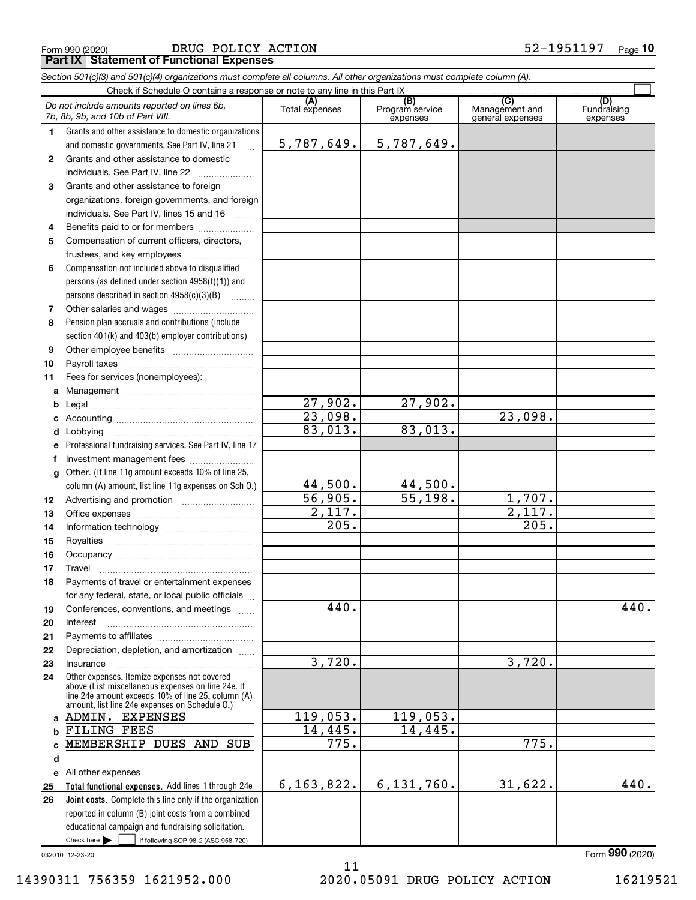| Form 990 (2020) | DRUG POLICY ACTION                              | 52-1951197 | $_{\text{Paae}}$ 10 |
|-----------------|-------------------------------------------------|------------|---------------------|
|                 | <b>Part IX Statement of Functional Expenses</b> |            |                     |

*Section 501(c)(3) and 501(c)(4) organizations must complete all columns. All other organizations must complete column (A).*

|              | Check if Schedule O contains a response or note to any line in this Part IX [11] contains a container contains a response or note to any line in this Part IX [12] contains a container container container and the container |                       |                                                 |                                           |                                |
|--------------|-------------------------------------------------------------------------------------------------------------------------------------------------------------------------------------------------------------------------------|-----------------------|-------------------------------------------------|-------------------------------------------|--------------------------------|
|              | Do not include amounts reported on lines 6b.<br>7b, 8b, 9b, and 10b of Part VIII.                                                                                                                                             | (A)<br>Total expenses | $\overline{(B)}$<br>Program service<br>expenses | (C)<br>Management and<br>general expenses | (D)<br>Fundraising<br>expenses |
| 1            | Grants and other assistance to domestic organizations                                                                                                                                                                         |                       |                                                 |                                           |                                |
|              | and domestic governments. See Part IV, line 21                                                                                                                                                                                | 5,787,649.            | 5,787,649.                                      |                                           |                                |
| $\mathbf{2}$ | Grants and other assistance to domestic                                                                                                                                                                                       |                       |                                                 |                                           |                                |
|              | individuals. See Part IV, line 22                                                                                                                                                                                             |                       |                                                 |                                           |                                |
| 3            | Grants and other assistance to foreign                                                                                                                                                                                        |                       |                                                 |                                           |                                |
|              | organizations, foreign governments, and foreign                                                                                                                                                                               |                       |                                                 |                                           |                                |
|              | individuals. See Part IV, lines 15 and 16                                                                                                                                                                                     |                       |                                                 |                                           |                                |
| 4            | Benefits paid to or for members                                                                                                                                                                                               |                       |                                                 |                                           |                                |
| 5            | Compensation of current officers, directors,                                                                                                                                                                                  |                       |                                                 |                                           |                                |
|              | trustees, and key employees                                                                                                                                                                                                   |                       |                                                 |                                           |                                |
| 6            | Compensation not included above to disqualified                                                                                                                                                                               |                       |                                                 |                                           |                                |
|              | persons (as defined under section 4958(f)(1)) and                                                                                                                                                                             |                       |                                                 |                                           |                                |
|              | persons described in section 4958(c)(3)(B)                                                                                                                                                                                    |                       |                                                 |                                           |                                |
| 7            | Other salaries and wages                                                                                                                                                                                                      |                       |                                                 |                                           |                                |
| 8            | Pension plan accruals and contributions (include                                                                                                                                                                              |                       |                                                 |                                           |                                |
|              | section 401(k) and 403(b) employer contributions)                                                                                                                                                                             |                       |                                                 |                                           |                                |
| 9            |                                                                                                                                                                                                                               |                       |                                                 |                                           |                                |
| 10           |                                                                                                                                                                                                                               |                       |                                                 |                                           |                                |
| 11           | Fees for services (nonemployees):                                                                                                                                                                                             |                       |                                                 |                                           |                                |
| a            |                                                                                                                                                                                                                               |                       |                                                 |                                           |                                |
| b            |                                                                                                                                                                                                                               | $\overline{27,902}$ . | $\overline{27,902}$ .                           |                                           |                                |
| c            |                                                                                                                                                                                                                               | 23,098.               |                                                 | 23,098.                                   |                                |
| d            |                                                                                                                                                                                                                               | 83,013.               | 83,013.                                         |                                           |                                |
| е            | Professional fundraising services. See Part IV, line 17                                                                                                                                                                       |                       |                                                 |                                           |                                |
| f            | Investment management fees                                                                                                                                                                                                    |                       |                                                 |                                           |                                |
| g            | Other. (If line 11g amount exceeds 10% of line 25,                                                                                                                                                                            |                       |                                                 |                                           |                                |
|              | column (A) amount, list line 11g expenses on Sch O.)                                                                                                                                                                          | 44,500.               | 44,500.                                         |                                           |                                |
| 12           |                                                                                                                                                                                                                               | 56,905.               | $\overline{55,198}$ .                           | 1,707.                                    |                                |
| 13           |                                                                                                                                                                                                                               | 2,117.                |                                                 | 2,117.                                    |                                |
| 14           |                                                                                                                                                                                                                               | 205.                  |                                                 | 205.                                      |                                |
| 15           |                                                                                                                                                                                                                               |                       |                                                 |                                           |                                |
| 16           |                                                                                                                                                                                                                               |                       |                                                 |                                           |                                |
| 17           | Travel                                                                                                                                                                                                                        |                       |                                                 |                                           |                                |
| 18           | Payments of travel or entertainment expenses                                                                                                                                                                                  |                       |                                                 |                                           |                                |
|              | for any federal, state, or local public officials                                                                                                                                                                             |                       |                                                 |                                           |                                |
| 19           | Conferences, conventions, and meetings                                                                                                                                                                                        | 440.                  |                                                 |                                           | 440.                           |
| 20           | Interest                                                                                                                                                                                                                      |                       |                                                 |                                           |                                |
| 21           |                                                                                                                                                                                                                               |                       |                                                 |                                           |                                |
| 22           | Depreciation, depletion, and amortization                                                                                                                                                                                     |                       |                                                 |                                           |                                |
| 23           | Insurance                                                                                                                                                                                                                     | 3,720.                |                                                 | 3,720.                                    |                                |
| 24           | Other expenses. Itemize expenses not covered<br>above (List miscellaneous expenses on line 24e. If<br>line 24e amount exceeds 10% of line 25, column (A)<br>amount, list line 24e expenses on Schedule O.)                    |                       |                                                 |                                           |                                |
|              | a ADMIN. EXPENSES                                                                                                                                                                                                             | 119,053.              | 119,053.                                        |                                           |                                |
|              | b FILING FEES                                                                                                                                                                                                                 | 14,445.               | 14,445.                                         |                                           |                                |
| <sub>c</sub> | MEMBERSHIP DUES AND SUB                                                                                                                                                                                                       | 775.                  |                                                 | 775.                                      |                                |
| d            |                                                                                                                                                                                                                               |                       |                                                 |                                           |                                |
| е            | All other expenses                                                                                                                                                                                                            |                       |                                                 |                                           |                                |
| 25           | Total functional expenses. Add lines 1 through 24e                                                                                                                                                                            | 6,163,822.            | 6, 131, 760.                                    | 31,622.                                   | 440.                           |
| 26           | Joint costs. Complete this line only if the organization                                                                                                                                                                      |                       |                                                 |                                           |                                |
|              | reported in column (B) joint costs from a combined                                                                                                                                                                            |                       |                                                 |                                           |                                |
|              | educational campaign and fundraising solicitation.                                                                                                                                                                            |                       |                                                 |                                           |                                |
|              | Check here $\blacktriangleright$<br>if following SOP 98-2 (ASC 958-720)                                                                                                                                                       |                       |                                                 |                                           |                                |

032010 12-23-20

14390311 756359 1621952.000 2020.05091 DRUG POLICY ACTION 16219521

11

Form (2020) **990**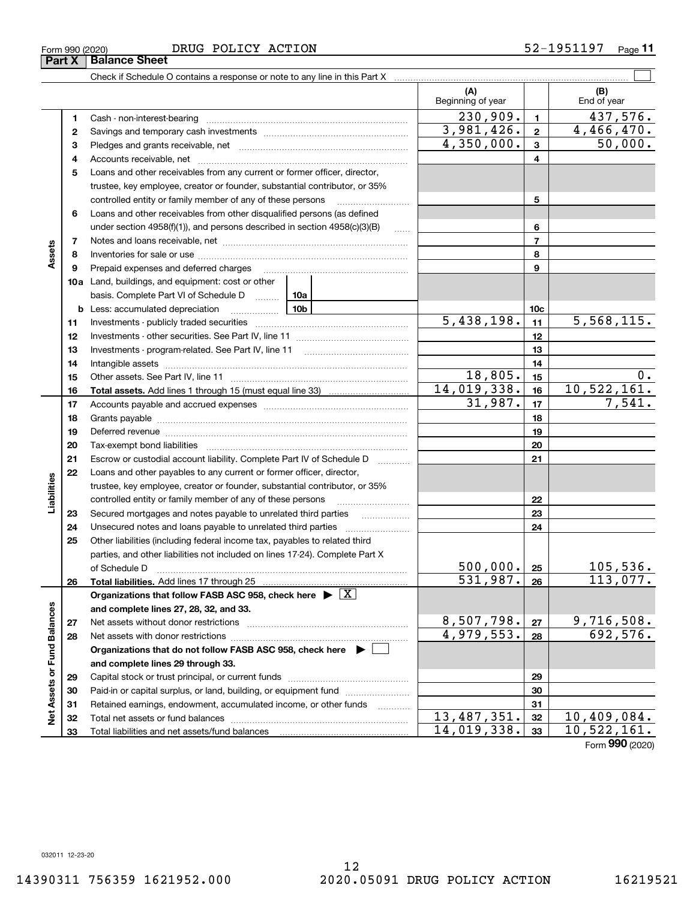12

**Part X Balance Sheet**

|                             |    |                                                                                                                                                                                                                                                                                                                                                                                                                                                                |                     | (A)<br>Beginning of year   |                 | (B)<br>End of year |  |
|-----------------------------|----|----------------------------------------------------------------------------------------------------------------------------------------------------------------------------------------------------------------------------------------------------------------------------------------------------------------------------------------------------------------------------------------------------------------------------------------------------------------|---------------------|----------------------------|-----------------|--------------------|--|
|                             | 1  | Cash - non-interest-bearing                                                                                                                                                                                                                                                                                                                                                                                                                                    |                     | 230,909.                   | $\mathbf{1}$    | 437,576.           |  |
|                             | 2  |                                                                                                                                                                                                                                                                                                                                                                                                                                                                |                     | 3,981,426.                 | $\mathbf{2}$    | 4,466,470.         |  |
|                             | з  |                                                                                                                                                                                                                                                                                                                                                                                                                                                                |                     | $\overline{4,350,000}$ .   | $\mathbf{3}$    | 50,000.            |  |
|                             | 4  |                                                                                                                                                                                                                                                                                                                                                                                                                                                                |                     |                            | 4               |                    |  |
|                             | 5  | Loans and other receivables from any current or former officer, director,                                                                                                                                                                                                                                                                                                                                                                                      |                     |                            |                 |                    |  |
|                             |    | trustee, key employee, creator or founder, substantial contributor, or 35%                                                                                                                                                                                                                                                                                                                                                                                     |                     |                            |                 |                    |  |
|                             |    | controlled entity or family member of any of these persons                                                                                                                                                                                                                                                                                                                                                                                                     |                     |                            | 5               |                    |  |
|                             | 6  | Loans and other receivables from other disqualified persons (as defined                                                                                                                                                                                                                                                                                                                                                                                        |                     |                            |                 |                    |  |
|                             |    | under section $4958(f)(1)$ , and persons described in section $4958(c)(3)(B)$                                                                                                                                                                                                                                                                                                                                                                                  | $\ldots$            |                            | 6               |                    |  |
|                             | 7  |                                                                                                                                                                                                                                                                                                                                                                                                                                                                |                     |                            | $\overline{7}$  |                    |  |
| Assets                      | 8  |                                                                                                                                                                                                                                                                                                                                                                                                                                                                |                     |                            | 8               |                    |  |
|                             | 9  | Prepaid expenses and deferred charges                                                                                                                                                                                                                                                                                                                                                                                                                          |                     |                            | 9               |                    |  |
|                             |    | 10a Land, buildings, and equipment: cost or other                                                                                                                                                                                                                                                                                                                                                                                                              |                     |                            |                 |                    |  |
|                             |    | basis. Complete Part VI of Schedule D  10a                                                                                                                                                                                                                                                                                                                                                                                                                     |                     |                            |                 |                    |  |
|                             |    | <b>b</b> Less: accumulated depreciation<br>. 1                                                                                                                                                                                                                                                                                                                                                                                                                 | 10 <sub>b</sub>     |                            | 10 <sub>c</sub> |                    |  |
|                             | 11 |                                                                                                                                                                                                                                                                                                                                                                                                                                                                |                     | $\overline{5,438,198}$ .   | 11              | 5,568,115.         |  |
|                             | 12 |                                                                                                                                                                                                                                                                                                                                                                                                                                                                |                     |                            | 12              |                    |  |
|                             | 13 |                                                                                                                                                                                                                                                                                                                                                                                                                                                                |                     |                            | 13              |                    |  |
|                             | 14 |                                                                                                                                                                                                                                                                                                                                                                                                                                                                |                     |                            | 14              |                    |  |
|                             | 15 |                                                                                                                                                                                                                                                                                                                                                                                                                                                                |                     | 18,805.                    | 15              | 0.                 |  |
|                             | 16 |                                                                                                                                                                                                                                                                                                                                                                                                                                                                |                     | 14,019,338.                | 16              | 10,522,161.        |  |
|                             | 17 |                                                                                                                                                                                                                                                                                                                                                                                                                                                                |                     | 31,987.                    | 17              | 7,541.             |  |
|                             | 18 |                                                                                                                                                                                                                                                                                                                                                                                                                                                                |                     |                            |                 |                    |  |
|                             | 19 | Deferred revenue manual contracts and contracts are contracted and contract and contract are contracted and contract are contracted and contract are contracted and contract are contracted and contract are contracted and co                                                                                                                                                                                                                                 |                     |                            | 19              |                    |  |
|                             | 20 |                                                                                                                                                                                                                                                                                                                                                                                                                                                                |                     |                            | 20              |                    |  |
|                             | 21 | Escrow or custodial account liability. Complete Part IV of Schedule D                                                                                                                                                                                                                                                                                                                                                                                          | 1.1.1.1.1.1.1.1.1.1 |                            | 21              |                    |  |
|                             | 22 | Loans and other payables to any current or former officer, director,                                                                                                                                                                                                                                                                                                                                                                                           |                     |                            |                 |                    |  |
| Liabilities                 |    | trustee, key employee, creator or founder, substantial contributor, or 35%                                                                                                                                                                                                                                                                                                                                                                                     |                     |                            |                 |                    |  |
|                             |    | controlled entity or family member of any of these persons                                                                                                                                                                                                                                                                                                                                                                                                     |                     |                            | 22              |                    |  |
|                             | 23 |                                                                                                                                                                                                                                                                                                                                                                                                                                                                |                     |                            | 23              |                    |  |
|                             | 24 |                                                                                                                                                                                                                                                                                                                                                                                                                                                                |                     |                            | 24              |                    |  |
|                             | 25 | Other liabilities (including federal income tax, payables to related third                                                                                                                                                                                                                                                                                                                                                                                     |                     |                            |                 |                    |  |
|                             |    | parties, and other liabilities not included on lines 17-24). Complete Part X                                                                                                                                                                                                                                                                                                                                                                                   |                     | 500,000.                   |                 |                    |  |
|                             |    | of Schedule D<br>$\begin{minipage}{0.5\textwidth} \begin{tabular}{ l l l } \hline & \multicolumn{1}{ l l } \hline & \multicolumn{1}{ l } \multicolumn{1}{ l } \hline \multicolumn{1}{ l } \multicolumn{1}{ l } \multicolumn{1}{ l } \multicolumn{1}{ l } \multicolumn{1}{ l } \multicolumn{1}{ l } \multicolumn{1}{ l } \multicolumn{1}{ l } \multicolumn{1}{ l } \multicolumn{1}{ l } \multicolumn{1}{ l } \multicolumn{1}{ l } \multicolumn{1}{ l } \multic$ |                     |                            | 25              | 105,536.           |  |
|                             | 26 |                                                                                                                                                                                                                                                                                                                                                                                                                                                                |                     | 531,987.                   | 26              | 113,077.           |  |
|                             |    | Organizations that follow FASB ASC 958, check here $\blacktriangleright \boxed{X}$                                                                                                                                                                                                                                                                                                                                                                             |                     |                            |                 |                    |  |
|                             |    | and complete lines 27, 28, 32, and 33.                                                                                                                                                                                                                                                                                                                                                                                                                         |                     | 8,507,798.                 |                 | <u>9,716,508.</u>  |  |
|                             | 27 | Net assets without donor restrictions                                                                                                                                                                                                                                                                                                                                                                                                                          |                     | 4,979,553.                 | 27<br>28        | 692,576.           |  |
|                             | 28 | Organizations that do not follow FASB ASC 958, check here $\blacktriangleright$                                                                                                                                                                                                                                                                                                                                                                                |                     |                            |                 |                    |  |
|                             |    |                                                                                                                                                                                                                                                                                                                                                                                                                                                                |                     |                            |                 |                    |  |
| Net Assets or Fund Balances | 29 | and complete lines 29 through 33.                                                                                                                                                                                                                                                                                                                                                                                                                              |                     |                            | 29              |                    |  |
|                             | 30 | Paid-in or capital surplus, or land, building, or equipment fund                                                                                                                                                                                                                                                                                                                                                                                               |                     |                            | 30              |                    |  |
|                             | 31 | Retained earnings, endowment, accumulated income, or other funds                                                                                                                                                                                                                                                                                                                                                                                               |                     |                            | 31              |                    |  |
|                             | 32 | Total net assets or fund balances                                                                                                                                                                                                                                                                                                                                                                                                                              | .                   | $\overline{13, 487, 351.}$ | 32              | 10,409,084.        |  |
|                             | 33 |                                                                                                                                                                                                                                                                                                                                                                                                                                                                |                     | 14,019,338.                | 33              | 10,522,161.        |  |
|                             |    |                                                                                                                                                                                                                                                                                                                                                                                                                                                                |                     |                            |                 |                    |  |

Form (2020) **990**

 $\Box$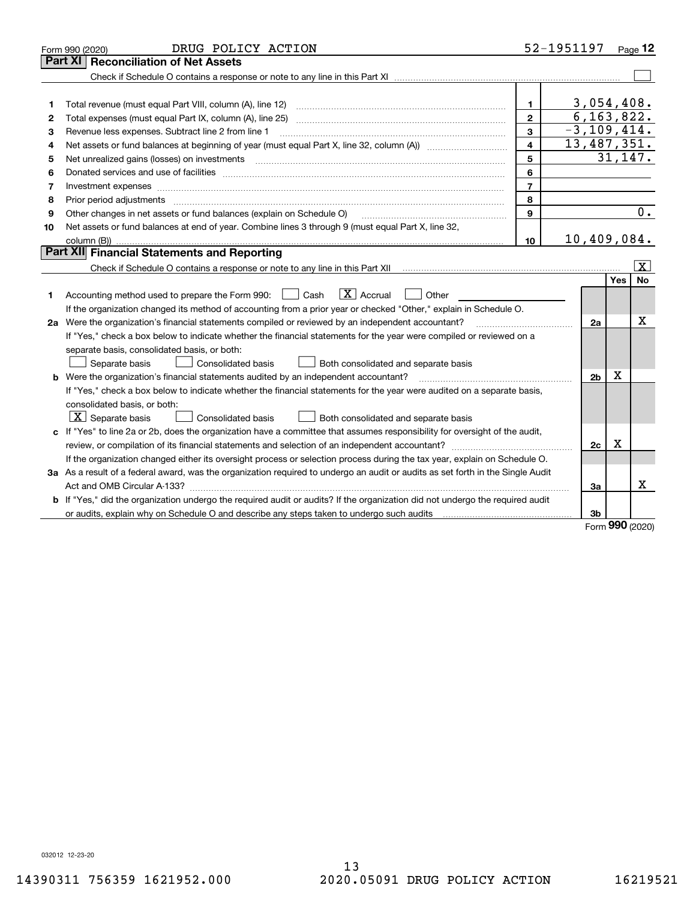|    | DRUG POLICY ACTION<br>Form 990 (2020)                                                                                           |                | 52-1951197 Page 12 |            |                         |
|----|---------------------------------------------------------------------------------------------------------------------------------|----------------|--------------------|------------|-------------------------|
|    | <b>Reconciliation of Net Assets</b><br>Part XI                                                                                  |                |                    |            |                         |
|    |                                                                                                                                 |                |                    |            |                         |
|    |                                                                                                                                 |                |                    |            |                         |
| 1  | Total revenue (must equal Part VIII, column (A), line 12)                                                                       | $\mathbf{1}$   | 3,054,408.         |            |                         |
| 2  |                                                                                                                                 | $\mathbf{2}$   | 6, 163, 822.       |            |                         |
| 3  | Revenue less expenses. Subtract line 2 from line 1                                                                              | 3              | $-3, 109, 414.$    |            |                         |
| 4  | Net assets or fund balances at beginning of year (must equal Part X, line 32, column (A)) manured manured                       | 4              | 13,487,351.        |            |                         |
| 5  | Net unrealized gains (losses) on investments                                                                                    | 5              |                    |            | 31,147.                 |
| 6  |                                                                                                                                 | 6              |                    |            |                         |
| 7  | Investment expenses www.communication.com/www.communication.com/www.communication.com/www.com/www.com/www.com/                  | $\overline{7}$ |                    |            |                         |
| 8  | Prior period adjustments                                                                                                        | 8              |                    |            |                         |
| 9  | Other changes in net assets or fund balances (explain on Schedule O)                                                            | 9              |                    |            | $\overline{0}$ .        |
| 10 | Net assets or fund balances at end of year. Combine lines 3 through 9 (must equal Part X, line 32,                              |                |                    |            |                         |
|    |                                                                                                                                 | 10             | 10,409,084.        |            |                         |
|    | Part XII Financial Statements and Reporting                                                                                     |                |                    |            |                         |
|    |                                                                                                                                 |                |                    |            | $\overline{\mathbf{X}}$ |
|    |                                                                                                                                 |                |                    | Yes        | No                      |
| 1  | $\boxed{\mathbf{X}}$ Accrual<br>Accounting method used to prepare the Form 990: <u>I</u> Cash<br>Other                          |                |                    |            |                         |
|    | If the organization changed its method of accounting from a prior year or checked "Other," explain in Schedule O.               |                |                    |            |                         |
|    | 2a Were the organization's financial statements compiled or reviewed by an independent accountant?                              |                | 2a                 |            | х                       |
|    | If "Yes," check a box below to indicate whether the financial statements for the year were compiled or reviewed on a            |                |                    |            |                         |
|    | separate basis, consolidated basis, or both:                                                                                    |                |                    |            |                         |
|    | Separate basis<br><b>Consolidated basis</b><br>Both consolidated and separate basis                                             |                |                    |            |                         |
|    | <b>b</b> Were the organization's financial statements audited by an independent accountant?                                     |                | 2 <sub>b</sub>     | X          |                         |
|    | If "Yes," check a box below to indicate whether the financial statements for the year were audited on a separate basis,         |                |                    |            |                         |
|    | consolidated basis, or both:                                                                                                    |                |                    |            |                         |
|    | $ \mathbf{X} $ Separate basis<br><b>Consolidated basis</b><br>Both consolidated and separate basis                              |                |                    |            |                         |
|    | c If "Yes" to line 2a or 2b, does the organization have a committee that assumes responsibility for oversight of the audit,     |                |                    |            |                         |
|    |                                                                                                                                 |                | 2c                 | х          |                         |
|    | If the organization changed either its oversight process or selection process during the tax year, explain on Schedule O.       |                |                    |            |                         |
|    | 3a As a result of a federal award, was the organization required to undergo an audit or audits as set forth in the Single Audit |                |                    |            |                         |
|    |                                                                                                                                 |                | За                 |            | х                       |
|    | b If "Yes," did the organization undergo the required audit or audits? If the organization did not undergo the required audit   |                |                    |            |                         |
|    |                                                                                                                                 |                | 3b                 | <u>nnn</u> |                         |

Form (2020) **990**

032012 12-23-20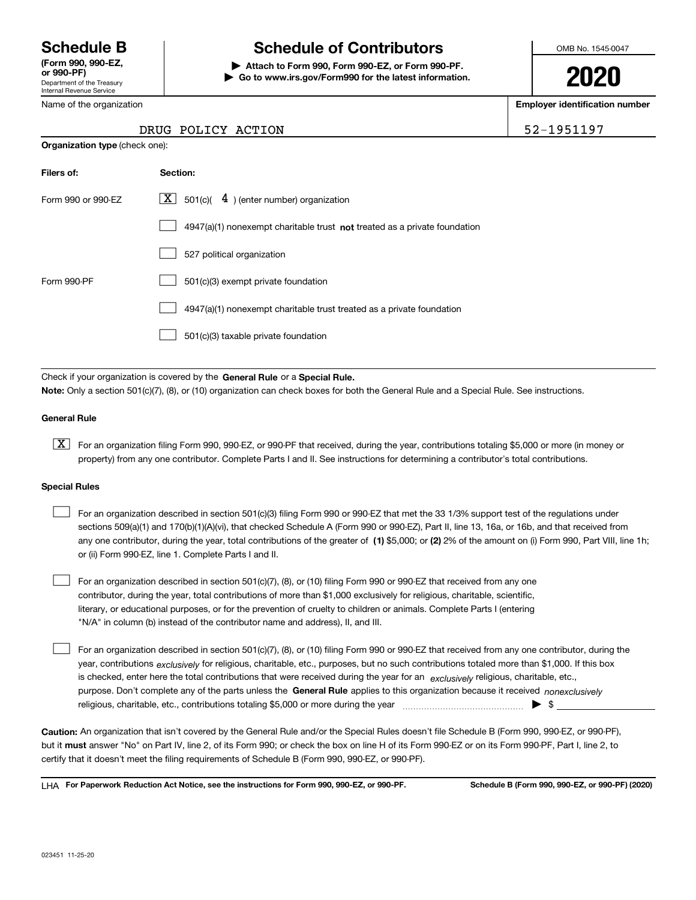Department of the Treasury Internal Revenue Service **(Form 990, 990-EZ, or 990-PF)**

Name of the organization

**Organization type** (check one):

# **Schedule B Schedule of Contributors**

**| Attach to Form 990, Form 990-EZ, or Form 990-PF. | Go to www.irs.gov/Form990 for the latest information.** OMB No. 1545-0047

**2020**

**Employer identification number**

52-1951197

| DRUG POLICY ACTION |  |
|--------------------|--|
|                    |  |

| Filers of:         | Section:                                                                    |
|--------------------|-----------------------------------------------------------------------------|
| Form 990 or 990-FZ | $\lfloor x \rfloor$ 501(c)( 4) (enter number) organization                  |
|                    | $4947(a)(1)$ nonexempt charitable trust not treated as a private foundation |
|                    | 527 political organization                                                  |
| Form 990-PF        | 501(c)(3) exempt private foundation                                         |
|                    | 4947(a)(1) nonexempt charitable trust treated as a private foundation       |
|                    | 501(c)(3) taxable private foundation                                        |

Check if your organization is covered by the **General Rule** or a **Special Rule. Note:**  Only a section 501(c)(7), (8), or (10) organization can check boxes for both the General Rule and a Special Rule. See instructions.

#### **General Rule**

 $\boxed{\textbf{X}}$  For an organization filing Form 990, 990-EZ, or 990-PF that received, during the year, contributions totaling \$5,000 or more (in money or property) from any one contributor. Complete Parts I and II. See instructions for determining a contributor's total contributions.

#### **Special Rules**

| For an organization described in section 501(c)(3) filing Form 990 or 990-EZ that met the 33 1/3% support test of the regulations under               |
|-------------------------------------------------------------------------------------------------------------------------------------------------------|
| sections 509(a)(1) and 170(b)(1)(A)(vi), that checked Schedule A (Form 990 or 990-EZ), Part II, line 13, 16a, or 16b, and that received from          |
| any one contributor, during the year, total contributions of the greater of (1) \$5,000; or (2) 2% of the amount on (i) Form 990, Part VIII, line 1h; |
| or (ii) Form 990-EZ, line 1. Complete Parts I and II.                                                                                                 |

For an organization described in section 501(c)(7), (8), or (10) filing Form 990 or 990-EZ that received from any one contributor, during the year, total contributions of more than \$1,000 exclusively for religious, charitable, scientific, literary, or educational purposes, or for the prevention of cruelty to children or animals. Complete Parts I (entering "N/A" in column (b) instead of the contributor name and address), II, and III.  $\mathcal{L}^{\text{max}}$ 

purpose. Don't complete any of the parts unless the **General Rule** applies to this organization because it received *nonexclusively* year, contributions <sub>exclusively</sub> for religious, charitable, etc., purposes, but no such contributions totaled more than \$1,000. If this box is checked, enter here the total contributions that were received during the year for an  $\;$ exclusively religious, charitable, etc., For an organization described in section 501(c)(7), (8), or (10) filing Form 990 or 990-EZ that received from any one contributor, during the religious, charitable, etc., contributions totaling \$5,000 or more during the year  $\Box$ — $\Box$   $\Box$  $\mathcal{L}^{\text{max}}$ 

**Caution:**  An organization that isn't covered by the General Rule and/or the Special Rules doesn't file Schedule B (Form 990, 990-EZ, or 990-PF),  **must** but it answer "No" on Part IV, line 2, of its Form 990; or check the box on line H of its Form 990-EZ or on its Form 990-PF, Part I, line 2, to certify that it doesn't meet the filing requirements of Schedule B (Form 990, 990-EZ, or 990-PF).

**For Paperwork Reduction Act Notice, see the instructions for Form 990, 990-EZ, or 990-PF. Schedule B (Form 990, 990-EZ, or 990-PF) (2020)** LHA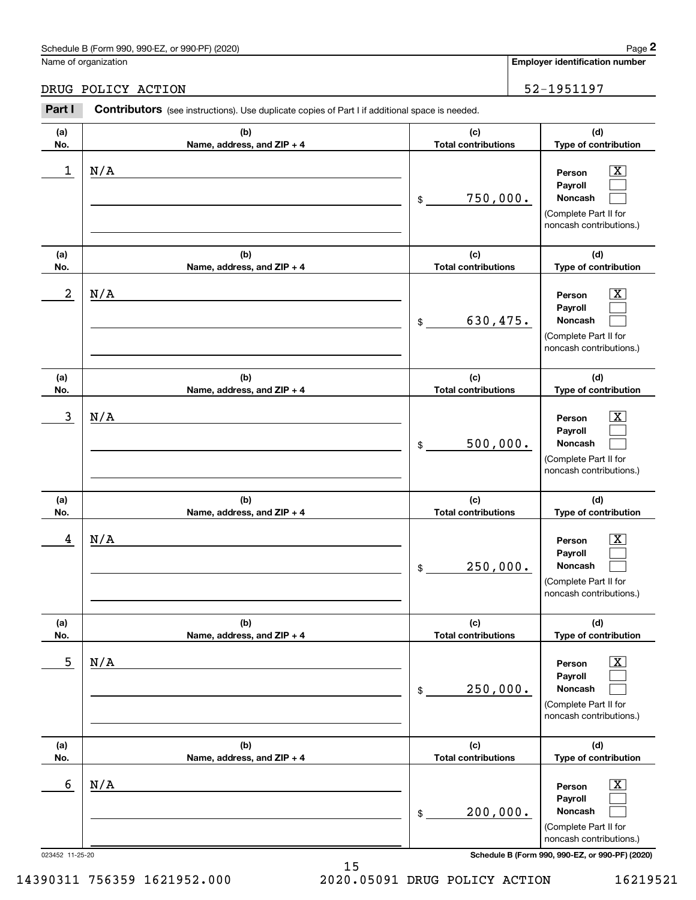# Schedule B (Form 990, 990-EZ, or 990-PF) (2020) Page 2

|                  | Schedule B (Form 990, 990-EZ, or 990-PF) (2020)                                                       |                                   | Page 2                                                                                                      |
|------------------|-------------------------------------------------------------------------------------------------------|-----------------------------------|-------------------------------------------------------------------------------------------------------------|
|                  | Name of organization                                                                                  |                                   | <b>Employer identification number</b>                                                                       |
|                  | DRUG POLICY ACTION                                                                                    |                                   | 52-1951197                                                                                                  |
| Part I           | <b>Contributors</b> (see instructions). Use duplicate copies of Part I if additional space is needed. |                                   |                                                                                                             |
| (a)<br>No.       | (b)<br>Name, address, and ZIP + 4                                                                     | (c)<br><b>Total contributions</b> | (d)<br>Type of contribution                                                                                 |
| 1                | N/A                                                                                                   | 750,000.<br>\$                    | $\overline{\mathbf{X}}$<br>Person<br>Payroll<br>Noncash<br>(Complete Part II for<br>noncash contributions.) |
| (a)<br>No.       | (b)<br>Name, address, and ZIP + 4                                                                     | (c)<br><b>Total contributions</b> | (d)<br>Type of contribution                                                                                 |
| $\boldsymbol{2}$ | N/A                                                                                                   | 630,475.<br>\$                    | $\overline{\mathbf{X}}$<br>Person<br>Payroll<br>Noncash<br>(Complete Part II for<br>noncash contributions.) |
| (a)<br>No.       | (b)<br>Name, address, and ZIP + 4                                                                     | (c)<br><b>Total contributions</b> | (d)<br>Type of contribution                                                                                 |
| 3                | N/A                                                                                                   | 500,000.<br>\$                    | $\overline{\mathbf{X}}$<br>Person<br>Payroll<br>Noncash<br>(Complete Part II for<br>noncash contributions.) |
| (a)<br>No.       | (b)<br>Name, address, and ZIP + 4                                                                     | (c)<br><b>Total contributions</b> | (d)<br>Type of contribution                                                                                 |
| 4                | N/A                                                                                                   | 250,000.<br>\$                    | $\overline{\mathbf{X}}$<br>Person<br>Payroll<br>Noncash<br>(Complete Part II for<br>noncash contributions.) |
| (a)<br>No.       | (b)<br>Name, address, and ZIP + 4                                                                     | (c)<br><b>Total contributions</b> | (d)<br>Type of contribution                                                                                 |
| 5                | N/A                                                                                                   | 250,000.<br>\$                    | $\overline{\mathbf{X}}$<br>Person<br>Payroll<br>Noncash<br>(Complete Part II for<br>noncash contributions.) |
| (a)<br>No.       | (b)<br>Name, address, and ZIP + 4                                                                     | (c)<br><b>Total contributions</b> | (d)<br>Type of contribution                                                                                 |
| 6                | N/A                                                                                                   | 200,000.<br>\$                    | $\overline{\mathbf{X}}$<br>Person<br>Payroll<br>Noncash<br>(Complete Part II for<br>noncash contributions.) |
| 023452 11-25-20  |                                                                                                       |                                   | Schedule B (Form 990, 990-EZ, or 990-PF) (2020)                                                             |

15 14390311 756359 1621952.000 2020.05091 DRUG POLICY ACTION 16219521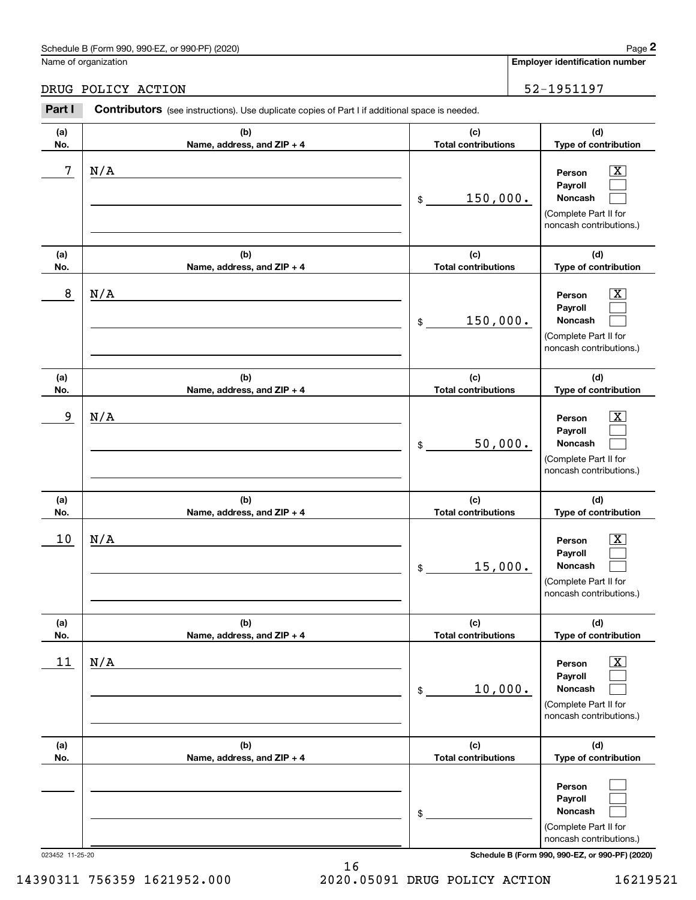# Schedule B (Form 990, 990-EZ, or 990-PF) (2020) Page 2

|                 | Schedule B (Form 990, 990-EZ, or 990-PF) (2020)                                                       |                                   | Page 2                                                                                                                              |
|-----------------|-------------------------------------------------------------------------------------------------------|-----------------------------------|-------------------------------------------------------------------------------------------------------------------------------------|
|                 | Name of organization                                                                                  |                                   | <b>Employer identification number</b>                                                                                               |
|                 | DRUG POLICY ACTION                                                                                    |                                   | 52-1951197                                                                                                                          |
| Part I          | <b>Contributors</b> (see instructions). Use duplicate copies of Part I if additional space is needed. |                                   |                                                                                                                                     |
| (a)<br>No.      | (b)<br>Name, address, and ZIP + 4                                                                     | (c)<br><b>Total contributions</b> | (d)<br>Type of contribution                                                                                                         |
| 7               | N/A                                                                                                   | 150,000.<br>\$                    | $\overline{\mathbf{X}}$<br>Person<br>Payroll<br>Noncash<br>(Complete Part II for<br>noncash contributions.)                         |
| (a)<br>No.      | (b)<br>Name, address, and ZIP + 4                                                                     | (c)<br><b>Total contributions</b> | (d)<br>Type of contribution                                                                                                         |
| 8               | N/A                                                                                                   | 150,000.<br>\$                    | $\overline{\mathbf{X}}$<br>Person<br>Payroll<br>Noncash<br>(Complete Part II for<br>noncash contributions.)                         |
| (a)<br>No.      | (b)<br>Name, address, and ZIP + 4                                                                     | (c)<br><b>Total contributions</b> | (d)<br>Type of contribution                                                                                                         |
| 9               | N/A                                                                                                   | 50,000.<br>\$                     | $\overline{\mathbf{X}}$<br>Person<br>Payroll<br>Noncash<br>(Complete Part II for<br>noncash contributions.)                         |
| (a)<br>No.      | (b)<br>Name, address, and ZIP + 4                                                                     | (c)<br><b>Total contributions</b> | (d)<br>Type of contribution                                                                                                         |
| 10              | N/A                                                                                                   | 15,000.<br>\$                     | $\overline{\mathbf{X}}$<br>Person<br>Payroll<br>Noncash<br>(Complete Part II for<br>noncash contributions.)                         |
| (a)<br>No.      | (b)<br>Name, address, and ZIP + 4                                                                     | (c)<br><b>Total contributions</b> | (d)<br>Type of contribution                                                                                                         |
| 11              | N/A                                                                                                   | 10,000.<br>\$                     | $\overline{\mathbf{X}}$<br>Person<br>Payroll<br>Noncash<br>(Complete Part II for<br>noncash contributions.)                         |
| (a)<br>No.      | (b)<br>Name, address, and ZIP + 4                                                                     | (c)<br><b>Total contributions</b> | (d)<br>Type of contribution                                                                                                         |
| 023452 11-25-20 |                                                                                                       | \$                                | Person<br>Payroll<br>Noncash<br>(Complete Part II for<br>noncash contributions.)<br>Schedule B (Form 990, 990-EZ, or 990-PF) (2020) |

16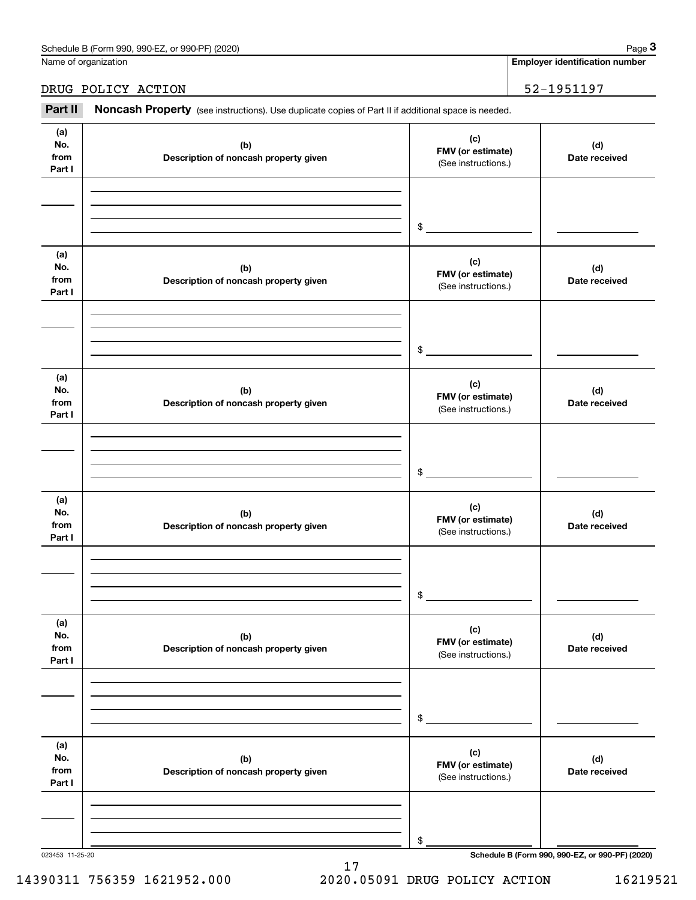Name of organization

**Employer identification number**

#### DRUG POLICY ACTION 52-1951197

Employer identification Page 3<br>
Iame of organization<br> **3Part II Noncash Property** (see instructions). Use duplicate copies of Part II if additional space is needed.<br> **Part II Noncash Property** (see instructions). Use d

| (a)<br>No.<br>from<br>Part I | (b)<br>Description of noncash property given | (c)<br>FMV (or estimate)<br>(See instructions.) | (d)<br>Date received                            |
|------------------------------|----------------------------------------------|-------------------------------------------------|-------------------------------------------------|
|                              |                                              | \$                                              |                                                 |
| (a)<br>No.<br>from<br>Part I | (b)<br>Description of noncash property given | (c)<br>FMV (or estimate)<br>(See instructions.) | (d)<br>Date received                            |
|                              |                                              | \$                                              |                                                 |
| (a)<br>No.<br>from<br>Part I | (b)<br>Description of noncash property given | (c)<br>FMV (or estimate)<br>(See instructions.) | (d)<br>Date received                            |
|                              |                                              | \$                                              |                                                 |
| (a)<br>No.<br>from<br>Part I | (b)<br>Description of noncash property given | (c)<br>FMV (or estimate)<br>(See instructions.) | (d)<br>Date received                            |
|                              |                                              | \$                                              |                                                 |
| (a)<br>No.<br>from<br>Part I | (b)<br>Description of noncash property given | (c)<br>FMV (or estimate)<br>(See instructions.) | (d)<br>Date received                            |
|                              |                                              | \$                                              |                                                 |
| (a)<br>No.<br>from<br>Part I | (b)<br>Description of noncash property given | (c)<br>FMV (or estimate)<br>(See instructions.) | (d)<br>Date received                            |
|                              |                                              | \$                                              |                                                 |
| 023453 11-25-20              |                                              |                                                 | Schedule B (Form 990, 990-EZ, or 990-PF) (2020) |

14390311 756359 1621952.000 2020.05091 DRUG POLICY ACTION 16219521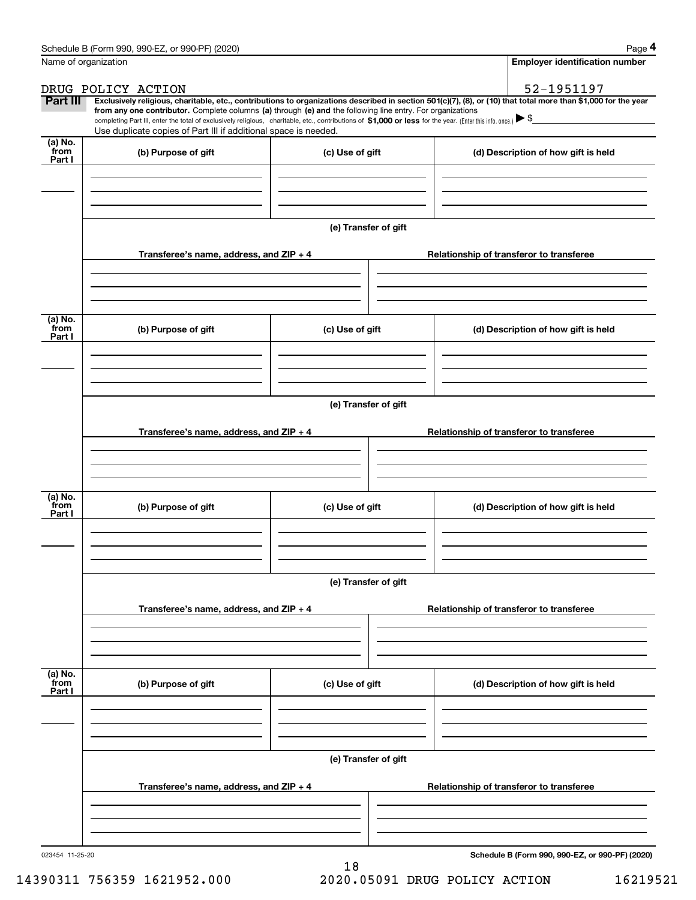|                 | Schedule B (Form 990, 990-EZ, or 990-PF) (2020)                                                                                                                                                                                                                                                 |                      | Page 4                                          |
|-----------------|-------------------------------------------------------------------------------------------------------------------------------------------------------------------------------------------------------------------------------------------------------------------------------------------------|----------------------|-------------------------------------------------|
|                 | Name of organization                                                                                                                                                                                                                                                                            |                      | <b>Employer identification number</b>           |
|                 | DRUG POLICY ACTION                                                                                                                                                                                                                                                                              |                      | 52-1951197                                      |
| Part III        | Exclusively religious, charitable, etc., contributions to organizations described in section 501(c)(7), (8), or (10) that total more than \$1,000 for the year                                                                                                                                  |                      |                                                 |
|                 | from any one contributor. Complete columns (a) through (e) and the following line entry. For organizations<br>completing Part III, enter the total of exclusively religious, charitable, etc., contributions of \$1,000 or less for the year. (Enter this info. once.) $\blacktriangleright$ \$ |                      |                                                 |
| (a) No.         | Use duplicate copies of Part III if additional space is needed.                                                                                                                                                                                                                                 |                      |                                                 |
| from<br>Part I  | (b) Purpose of gift                                                                                                                                                                                                                                                                             | (c) Use of gift      | (d) Description of how gift is held             |
|                 |                                                                                                                                                                                                                                                                                                 |                      |                                                 |
|                 |                                                                                                                                                                                                                                                                                                 |                      |                                                 |
|                 |                                                                                                                                                                                                                                                                                                 |                      |                                                 |
|                 |                                                                                                                                                                                                                                                                                                 |                      |                                                 |
|                 |                                                                                                                                                                                                                                                                                                 | (e) Transfer of gift |                                                 |
|                 | Transferee's name, address, and ZIP + 4                                                                                                                                                                                                                                                         |                      | Relationship of transferor to transferee        |
|                 |                                                                                                                                                                                                                                                                                                 |                      |                                                 |
|                 |                                                                                                                                                                                                                                                                                                 |                      |                                                 |
|                 |                                                                                                                                                                                                                                                                                                 |                      |                                                 |
| (a) No.<br>from |                                                                                                                                                                                                                                                                                                 |                      |                                                 |
| Part I          | (b) Purpose of gift                                                                                                                                                                                                                                                                             | (c) Use of gift      | (d) Description of how gift is held             |
|                 |                                                                                                                                                                                                                                                                                                 |                      |                                                 |
|                 |                                                                                                                                                                                                                                                                                                 |                      |                                                 |
|                 |                                                                                                                                                                                                                                                                                                 |                      |                                                 |
|                 |                                                                                                                                                                                                                                                                                                 | (e) Transfer of gift |                                                 |
|                 |                                                                                                                                                                                                                                                                                                 |                      |                                                 |
|                 | Transferee's name, address, and ZIP + 4                                                                                                                                                                                                                                                         |                      | Relationship of transferor to transferee        |
|                 |                                                                                                                                                                                                                                                                                                 |                      |                                                 |
|                 |                                                                                                                                                                                                                                                                                                 |                      |                                                 |
| (a) No.         |                                                                                                                                                                                                                                                                                                 |                      |                                                 |
| from<br>Part I  | (b) Purpose of gift                                                                                                                                                                                                                                                                             | (c) Use of gift      | (d) Description of how gift is held             |
|                 |                                                                                                                                                                                                                                                                                                 |                      |                                                 |
|                 |                                                                                                                                                                                                                                                                                                 |                      |                                                 |
|                 |                                                                                                                                                                                                                                                                                                 |                      |                                                 |
|                 |                                                                                                                                                                                                                                                                                                 | (e) Transfer of gift |                                                 |
|                 |                                                                                                                                                                                                                                                                                                 |                      |                                                 |
|                 | Transferee's name, address, and ZIP + 4                                                                                                                                                                                                                                                         |                      | Relationship of transferor to transferee        |
|                 |                                                                                                                                                                                                                                                                                                 |                      |                                                 |
|                 |                                                                                                                                                                                                                                                                                                 |                      |                                                 |
|                 |                                                                                                                                                                                                                                                                                                 |                      |                                                 |
| (a) No.<br>from | (b) Purpose of gift                                                                                                                                                                                                                                                                             | (c) Use of gift      | (d) Description of how gift is held             |
| Part I          |                                                                                                                                                                                                                                                                                                 |                      |                                                 |
|                 |                                                                                                                                                                                                                                                                                                 |                      |                                                 |
|                 |                                                                                                                                                                                                                                                                                                 |                      |                                                 |
|                 |                                                                                                                                                                                                                                                                                                 |                      |                                                 |
|                 |                                                                                                                                                                                                                                                                                                 | (e) Transfer of gift |                                                 |
|                 | Transferee's name, address, and ZIP + 4                                                                                                                                                                                                                                                         |                      | Relationship of transferor to transferee        |
|                 |                                                                                                                                                                                                                                                                                                 |                      |                                                 |
|                 |                                                                                                                                                                                                                                                                                                 |                      |                                                 |
|                 |                                                                                                                                                                                                                                                                                                 |                      |                                                 |
| 023454 11-25-20 |                                                                                                                                                                                                                                                                                                 |                      | Schedule B (Form 990, 990-EZ, or 990-PF) (2020) |
|                 |                                                                                                                                                                                                                                                                                                 |                      |                                                 |

14390311 756359 1621952.000 2020.05091 DRUG POLICY ACTION 16219521

18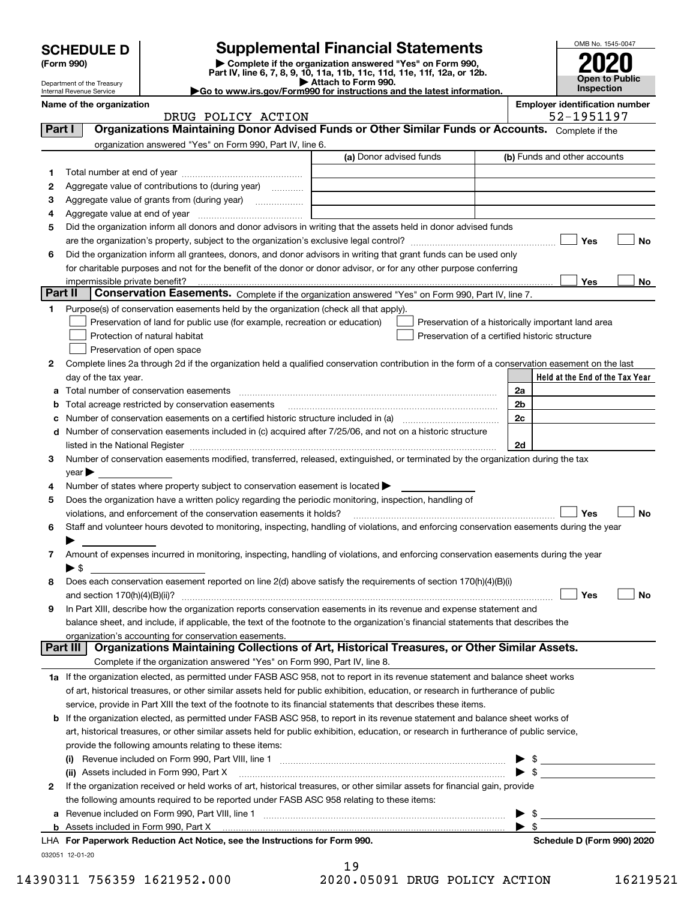|         | <b>SCHEDULE D</b>                                                                                 |                                                                                                        | <b>Supplemental Financial Statements</b>                                                                                                       |                          | OMB No. 1545-0047                                   |
|---------|---------------------------------------------------------------------------------------------------|--------------------------------------------------------------------------------------------------------|------------------------------------------------------------------------------------------------------------------------------------------------|--------------------------|-----------------------------------------------------|
|         | (Form 990)                                                                                        |                                                                                                        | Complete if the organization answered "Yes" on Form 990,                                                                                       |                          |                                                     |
|         |                                                                                                   |                                                                                                        | Part IV, line 6, 7, 8, 9, 10, 11a, 11b, 11c, 11d, 11e, 11f, 12a, or 12b.<br>Attach to Form 990.                                                |                          | Open to Public                                      |
|         | Department of the Treasury<br>Internal Revenue Service                                            |                                                                                                        | Go to www.irs.gov/Form990 for instructions and the latest information.                                                                         |                          | Inspection                                          |
|         | Name of the organization                                                                          | DRUG POLICY ACTION                                                                                     |                                                                                                                                                |                          | <b>Employer identification number</b><br>52-1951197 |
| Part I  | Organizations Maintaining Donor Advised Funds or Other Similar Funds or Accounts. Complete if the |                                                                                                        |                                                                                                                                                |                          |                                                     |
|         |                                                                                                   | organization answered "Yes" on Form 990, Part IV, line 6.                                              |                                                                                                                                                |                          |                                                     |
|         |                                                                                                   |                                                                                                        | (a) Donor advised funds                                                                                                                        |                          | (b) Funds and other accounts                        |
| 1       |                                                                                                   |                                                                                                        |                                                                                                                                                |                          |                                                     |
| 2       |                                                                                                   | Aggregate value of contributions to (during year)                                                      |                                                                                                                                                |                          |                                                     |
| з       |                                                                                                   |                                                                                                        |                                                                                                                                                |                          |                                                     |
| 4<br>5  |                                                                                                   |                                                                                                        | Did the organization inform all donors and donor advisors in writing that the assets held in donor advised funds                               |                          |                                                     |
|         |                                                                                                   |                                                                                                        |                                                                                                                                                |                          | Yes<br><b>No</b>                                    |
| 6       |                                                                                                   |                                                                                                        | Did the organization inform all grantees, donors, and donor advisors in writing that grant funds can be used only                              |                          |                                                     |
|         |                                                                                                   |                                                                                                        | for charitable purposes and not for the benefit of the donor or donor advisor, or for any other purpose conferring                             |                          |                                                     |
|         |                                                                                                   |                                                                                                        |                                                                                                                                                |                          | <b>Yes</b><br>No                                    |
| Part II |                                                                                                   |                                                                                                        | Conservation Easements. Complete if the organization answered "Yes" on Form 990, Part IV, line 7.                                              |                          |                                                     |
| 1       |                                                                                                   | Purpose(s) of conservation easements held by the organization (check all that apply).                  |                                                                                                                                                |                          |                                                     |
|         |                                                                                                   | Preservation of land for public use (for example, recreation or education)                             |                                                                                                                                                |                          | Preservation of a historically important land area  |
|         |                                                                                                   | Protection of natural habitat                                                                          | Preservation of a certified historic structure                                                                                                 |                          |                                                     |
|         |                                                                                                   | Preservation of open space                                                                             |                                                                                                                                                |                          |                                                     |
| 2       | day of the tax year.                                                                              |                                                                                                        | Complete lines 2a through 2d if the organization held a qualified conservation contribution in the form of a conservation easement on the last |                          | Held at the End of the Tax Year                     |
| а       |                                                                                                   |                                                                                                        |                                                                                                                                                | 2a                       |                                                     |
| b       |                                                                                                   |                                                                                                        |                                                                                                                                                | 2b                       |                                                     |
| c       |                                                                                                   |                                                                                                        | Number of conservation easements on a certified historic structure included in (a) manufacture of conservation                                 | 2c                       |                                                     |
| d       |                                                                                                   |                                                                                                        | Number of conservation easements included in (c) acquired after 7/25/06, and not on a historic structure                                       |                          |                                                     |
|         |                                                                                                   |                                                                                                        |                                                                                                                                                | 2d                       |                                                     |
| 3       |                                                                                                   |                                                                                                        | Number of conservation easements modified, transferred, released, extinguished, or terminated by the organization during the tax               |                          |                                                     |
|         | $year \blacktriangleright$                                                                        |                                                                                                        |                                                                                                                                                |                          |                                                     |
| 4       |                                                                                                   | Number of states where property subject to conservation easement is located $\blacktriangleright$      |                                                                                                                                                |                          |                                                     |
| 5       |                                                                                                   | Does the organization have a written policy regarding the periodic monitoring, inspection, handling of |                                                                                                                                                |                          |                                                     |
| 6       |                                                                                                   | violations, and enforcement of the conservation easements it holds?                                    | Staff and volunteer hours devoted to monitoring, inspecting, handling of violations, and enforcing conservation easements during the year      |                          | Yes<br><b>No</b>                                    |
|         |                                                                                                   |                                                                                                        |                                                                                                                                                |                          |                                                     |
| 7       |                                                                                                   |                                                                                                        | Amount of expenses incurred in monitoring, inspecting, handling of violations, and enforcing conservation easements during the year            |                          |                                                     |
|         | $\blacktriangleright$ \$                                                                          |                                                                                                        |                                                                                                                                                |                          |                                                     |
| 8       |                                                                                                   |                                                                                                        | Does each conservation easement reported on line 2(d) above satisfy the requirements of section 170(h)(4)(B)(i)                                |                          |                                                     |
|         |                                                                                                   |                                                                                                        |                                                                                                                                                |                          | Yes<br>No                                           |
| 9       |                                                                                                   |                                                                                                        | In Part XIII, describe how the organization reports conservation easements in its revenue and expense statement and                            |                          |                                                     |
|         |                                                                                                   |                                                                                                        | balance sheet, and include, if applicable, the text of the footnote to the organization's financial statements that describes the              |                          |                                                     |
|         | Part III                                                                                          | organization's accounting for conservation easements.                                                  | Organizations Maintaining Collections of Art, Historical Treasures, or Other Similar Assets.                                                   |                          |                                                     |
|         |                                                                                                   | Complete if the organization answered "Yes" on Form 990, Part IV, line 8.                              |                                                                                                                                                |                          |                                                     |
|         |                                                                                                   |                                                                                                        | 1a If the organization elected, as permitted under FASB ASC 958, not to report in its revenue statement and balance sheet works                |                          |                                                     |
|         |                                                                                                   |                                                                                                        | of art, historical treasures, or other similar assets held for public exhibition, education, or research in furtherance of public              |                          |                                                     |
|         |                                                                                                   |                                                                                                        | service, provide in Part XIII the text of the footnote to its financial statements that describes these items.                                 |                          |                                                     |
|         |                                                                                                   |                                                                                                        | <b>b</b> If the organization elected, as permitted under FASB ASC 958, to report in its revenue statement and balance sheet works of           |                          |                                                     |
|         |                                                                                                   |                                                                                                        | art, historical treasures, or other similar assets held for public exhibition, education, or research in furtherance of public service,        |                          |                                                     |
|         |                                                                                                   | provide the following amounts relating to these items:                                                 |                                                                                                                                                |                          |                                                     |
|         |                                                                                                   |                                                                                                        |                                                                                                                                                |                          | $\blacktriangleright$ \$                            |
|         |                                                                                                   | (ii) Assets included in Form 990, Part X                                                               |                                                                                                                                                | $\blacktriangleright$ \$ |                                                     |
| 2       |                                                                                                   |                                                                                                        | If the organization received or held works of art, historical treasures, or other similar assets for financial gain, provide                   |                          |                                                     |
|         |                                                                                                   | the following amounts required to be reported under FASB ASC 958 relating to these items:              |                                                                                                                                                |                          |                                                     |
|         |                                                                                                   |                                                                                                        |                                                                                                                                                |                          | \$                                                  |
|         |                                                                                                   | LHA For Paperwork Reduction Act Notice, see the Instructions for Form 990.                             |                                                                                                                                                | $\blacktriangleright$ \$ |                                                     |
|         |                                                                                                   |                                                                                                        |                                                                                                                                                |                          | Schedule D (Form 990) 2020                          |

032051 12-01-20

19 14390311 756359 1621952.000 2020.05091 DRUG POLICY ACTION 16219521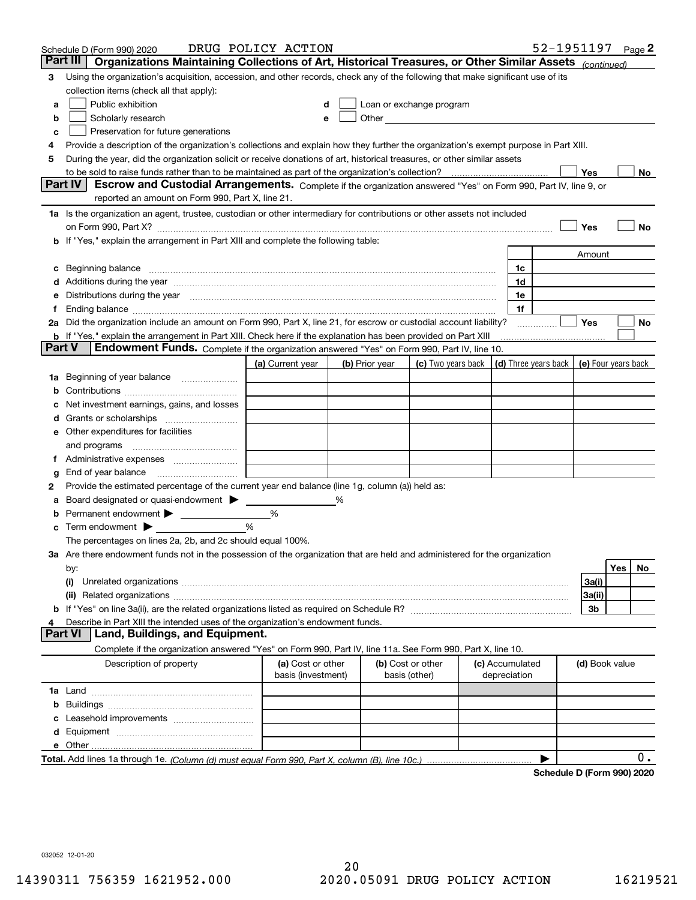|        | Schedule D (Form 990) 2020                                                                                                                                                                                                                                                                                                                                                                                                                                      | DRUG POLICY ACTION                      |   |                |                                                                                                                                                                                                                               |                                 | 52-1951197                 |                     |     | Page 2 |
|--------|-----------------------------------------------------------------------------------------------------------------------------------------------------------------------------------------------------------------------------------------------------------------------------------------------------------------------------------------------------------------------------------------------------------------------------------------------------------------|-----------------------------------------|---|----------------|-------------------------------------------------------------------------------------------------------------------------------------------------------------------------------------------------------------------------------|---------------------------------|----------------------------|---------------------|-----|--------|
|        | Part III<br>Organizations Maintaining Collections of Art, Historical Treasures, or Other Similar Assets (continued)                                                                                                                                                                                                                                                                                                                                             |                                         |   |                |                                                                                                                                                                                                                               |                                 |                            |                     |     |        |
| 3      | Using the organization's acquisition, accession, and other records, check any of the following that make significant use of its                                                                                                                                                                                                                                                                                                                                 |                                         |   |                |                                                                                                                                                                                                                               |                                 |                            |                     |     |        |
|        | collection items (check all that apply):                                                                                                                                                                                                                                                                                                                                                                                                                        |                                         |   |                |                                                                                                                                                                                                                               |                                 |                            |                     |     |        |
| a      | Public exhibition                                                                                                                                                                                                                                                                                                                                                                                                                                               |                                         |   |                | Loan or exchange program                                                                                                                                                                                                      |                                 |                            |                     |     |        |
| b      | Scholarly research                                                                                                                                                                                                                                                                                                                                                                                                                                              |                                         |   |                | Other and the contract of the contract of the contract of the contract of the contract of the contract of the contract of the contract of the contract of the contract of the contract of the contract of the contract of the |                                 |                            |                     |     |        |
| с      | Preservation for future generations                                                                                                                                                                                                                                                                                                                                                                                                                             |                                         |   |                |                                                                                                                                                                                                                               |                                 |                            |                     |     |        |
| 4      | Provide a description of the organization's collections and explain how they further the organization's exempt purpose in Part XIII.                                                                                                                                                                                                                                                                                                                            |                                         |   |                |                                                                                                                                                                                                                               |                                 |                            |                     |     |        |
| 5      | During the year, did the organization solicit or receive donations of art, historical treasures, or other similar assets                                                                                                                                                                                                                                                                                                                                        |                                         |   |                |                                                                                                                                                                                                                               |                                 |                            |                     |     |        |
|        | to be sold to raise funds rather than to be maintained as part of the organization's collection?                                                                                                                                                                                                                                                                                                                                                                |                                         |   |                |                                                                                                                                                                                                                               |                                 |                            | Yes                 |     | No     |
|        | Escrow and Custodial Arrangements. Complete if the organization answered "Yes" on Form 990, Part IV, line 9, or<br><b>Part IV</b><br>reported an amount on Form 990, Part X, line 21.                                                                                                                                                                                                                                                                           |                                         |   |                |                                                                                                                                                                                                                               |                                 |                            |                     |     |        |
|        |                                                                                                                                                                                                                                                                                                                                                                                                                                                                 |                                         |   |                |                                                                                                                                                                                                                               |                                 |                            |                     |     |        |
|        | 1a Is the organization an agent, trustee, custodian or other intermediary for contributions or other assets not included                                                                                                                                                                                                                                                                                                                                        |                                         |   |                |                                                                                                                                                                                                                               |                                 |                            |                     |     |        |
|        | on Form 990, Part X? <b>Entitled Structure Construction</b> Construction Construction Construction Construction Const                                                                                                                                                                                                                                                                                                                                           |                                         |   |                |                                                                                                                                                                                                                               |                                 |                            | Yes                 |     | No     |
|        | If "Yes," explain the arrangement in Part XIII and complete the following table:                                                                                                                                                                                                                                                                                                                                                                                |                                         |   |                |                                                                                                                                                                                                                               |                                 |                            | Amount              |     |        |
|        |                                                                                                                                                                                                                                                                                                                                                                                                                                                                 |                                         |   |                |                                                                                                                                                                                                                               | 1c                              |                            |                     |     |        |
| с      | Beginning balance manufactured and contain an account of the state of the state of the state of the state of the state of the state of the state of the state of the state of the state of the state of the state of the state<br>Additions during the year manufactured and an account of the year manufactured and account of the year manufactured and account of the state of the state of the state of the state of the state of the state of the state of |                                         |   |                |                                                                                                                                                                                                                               | 1d                              |                            |                     |     |        |
| е      | Distributions during the year manufactured and contain an account of the year manufactured and the year manufactured and the year manufactured and the year manufactured and the year manufactured and the state of the state                                                                                                                                                                                                                                   |                                         |   |                |                                                                                                                                                                                                                               | 1e                              |                            |                     |     |        |
| Ť.     |                                                                                                                                                                                                                                                                                                                                                                                                                                                                 |                                         |   |                |                                                                                                                                                                                                                               | 1f                              |                            |                     |     |        |
|        | 2a Did the organization include an amount on Form 990, Part X, line 21, for escrow or custodial account liability?                                                                                                                                                                                                                                                                                                                                              |                                         |   |                |                                                                                                                                                                                                                               |                                 | .                          | Yes                 |     | No     |
|        | <b>b</b> If "Yes," explain the arrangement in Part XIII. Check here if the explanation has been provided on Part XIII                                                                                                                                                                                                                                                                                                                                           |                                         |   |                |                                                                                                                                                                                                                               |                                 |                            |                     |     |        |
| Part V | Endowment Funds. Complete if the organization answered "Yes" on Form 990, Part IV, line 10.                                                                                                                                                                                                                                                                                                                                                                     |                                         |   |                |                                                                                                                                                                                                                               |                                 |                            |                     |     |        |
|        |                                                                                                                                                                                                                                                                                                                                                                                                                                                                 | (a) Current year                        |   | (b) Prior year | (c) Two years back                                                                                                                                                                                                            |                                 | (d) Three years back       | (e) Four years back |     |        |
| 1a     | Beginning of year balance                                                                                                                                                                                                                                                                                                                                                                                                                                       |                                         |   |                |                                                                                                                                                                                                                               |                                 |                            |                     |     |        |
| b      |                                                                                                                                                                                                                                                                                                                                                                                                                                                                 |                                         |   |                |                                                                                                                                                                                                                               |                                 |                            |                     |     |        |
|        | Net investment earnings, gains, and losses                                                                                                                                                                                                                                                                                                                                                                                                                      |                                         |   |                |                                                                                                                                                                                                                               |                                 |                            |                     |     |        |
| a      |                                                                                                                                                                                                                                                                                                                                                                                                                                                                 |                                         |   |                |                                                                                                                                                                                                                               |                                 |                            |                     |     |        |
| е      | Other expenditures for facilities                                                                                                                                                                                                                                                                                                                                                                                                                               |                                         |   |                |                                                                                                                                                                                                                               |                                 |                            |                     |     |        |
|        | and programs                                                                                                                                                                                                                                                                                                                                                                                                                                                    |                                         |   |                |                                                                                                                                                                                                                               |                                 |                            |                     |     |        |
|        |                                                                                                                                                                                                                                                                                                                                                                                                                                                                 |                                         |   |                |                                                                                                                                                                                                                               |                                 |                            |                     |     |        |
| g      | End of year balance                                                                                                                                                                                                                                                                                                                                                                                                                                             |                                         |   |                |                                                                                                                                                                                                                               |                                 |                            |                     |     |        |
| 2      | Provide the estimated percentage of the current year end balance (line 1g, column (a)) held as:                                                                                                                                                                                                                                                                                                                                                                 |                                         |   |                |                                                                                                                                                                                                                               |                                 |                            |                     |     |        |
| а      | Board designated or quasi-endowment                                                                                                                                                                                                                                                                                                                                                                                                                             |                                         | % |                |                                                                                                                                                                                                                               |                                 |                            |                     |     |        |
|        | Permanent endowment > <u>example</u>                                                                                                                                                                                                                                                                                                                                                                                                                            | %                                       |   |                |                                                                                                                                                                                                                               |                                 |                            |                     |     |        |
| с      | Term endowment $\blacktriangleright$                                                                                                                                                                                                                                                                                                                                                                                                                            | %                                       |   |                |                                                                                                                                                                                                                               |                                 |                            |                     |     |        |
|        | The percentages on lines 2a, 2b, and 2c should equal 100%.                                                                                                                                                                                                                                                                                                                                                                                                      |                                         |   |                |                                                                                                                                                                                                                               |                                 |                            |                     |     |        |
|        | 3a Are there endowment funds not in the possession of the organization that are held and administered for the organization                                                                                                                                                                                                                                                                                                                                      |                                         |   |                |                                                                                                                                                                                                                               |                                 |                            |                     |     |        |
|        | by:                                                                                                                                                                                                                                                                                                                                                                                                                                                             |                                         |   |                |                                                                                                                                                                                                                               |                                 |                            |                     | Yes | No     |
|        | (i)                                                                                                                                                                                                                                                                                                                                                                                                                                                             |                                         |   |                |                                                                                                                                                                                                                               |                                 |                            | 3a(i)               |     |        |
|        |                                                                                                                                                                                                                                                                                                                                                                                                                                                                 |                                         |   |                |                                                                                                                                                                                                                               |                                 |                            | 3a(ii)              |     |        |
|        |                                                                                                                                                                                                                                                                                                                                                                                                                                                                 |                                         |   |                |                                                                                                                                                                                                                               |                                 |                            | 3b                  |     |        |
|        | Describe in Part XIII the intended uses of the organization's endowment funds.                                                                                                                                                                                                                                                                                                                                                                                  |                                         |   |                |                                                                                                                                                                                                                               |                                 |                            |                     |     |        |
|        | Land, Buildings, and Equipment.<br>Part VI                                                                                                                                                                                                                                                                                                                                                                                                                      |                                         |   |                |                                                                                                                                                                                                                               |                                 |                            |                     |     |        |
|        | Complete if the organization answered "Yes" on Form 990, Part IV, line 11a. See Form 990, Part X, line 10.                                                                                                                                                                                                                                                                                                                                                      |                                         |   |                |                                                                                                                                                                                                                               |                                 |                            |                     |     |        |
|        | Description of property                                                                                                                                                                                                                                                                                                                                                                                                                                         | (a) Cost or other<br>basis (investment) |   |                | (b) Cost or other<br>basis (other)                                                                                                                                                                                            | (c) Accumulated<br>depreciation |                            | (d) Book value      |     |        |
|        |                                                                                                                                                                                                                                                                                                                                                                                                                                                                 |                                         |   |                |                                                                                                                                                                                                                               |                                 |                            |                     |     |        |
|        |                                                                                                                                                                                                                                                                                                                                                                                                                                                                 |                                         |   |                |                                                                                                                                                                                                                               |                                 |                            |                     |     |        |
| b      |                                                                                                                                                                                                                                                                                                                                                                                                                                                                 |                                         |   |                |                                                                                                                                                                                                                               |                                 |                            |                     |     |        |
|        |                                                                                                                                                                                                                                                                                                                                                                                                                                                                 |                                         |   |                |                                                                                                                                                                                                                               |                                 |                            |                     |     |        |
|        |                                                                                                                                                                                                                                                                                                                                                                                                                                                                 |                                         |   |                |                                                                                                                                                                                                                               |                                 |                            |                     |     |        |
|        |                                                                                                                                                                                                                                                                                                                                                                                                                                                                 |                                         |   |                |                                                                                                                                                                                                                               |                                 |                            |                     |     | 0.     |
|        |                                                                                                                                                                                                                                                                                                                                                                                                                                                                 |                                         |   |                |                                                                                                                                                                                                                               |                                 | Schedule D (Form 990) 2020 |                     |     |        |
|        |                                                                                                                                                                                                                                                                                                                                                                                                                                                                 |                                         |   |                |                                                                                                                                                                                                                               |                                 |                            |                     |     |        |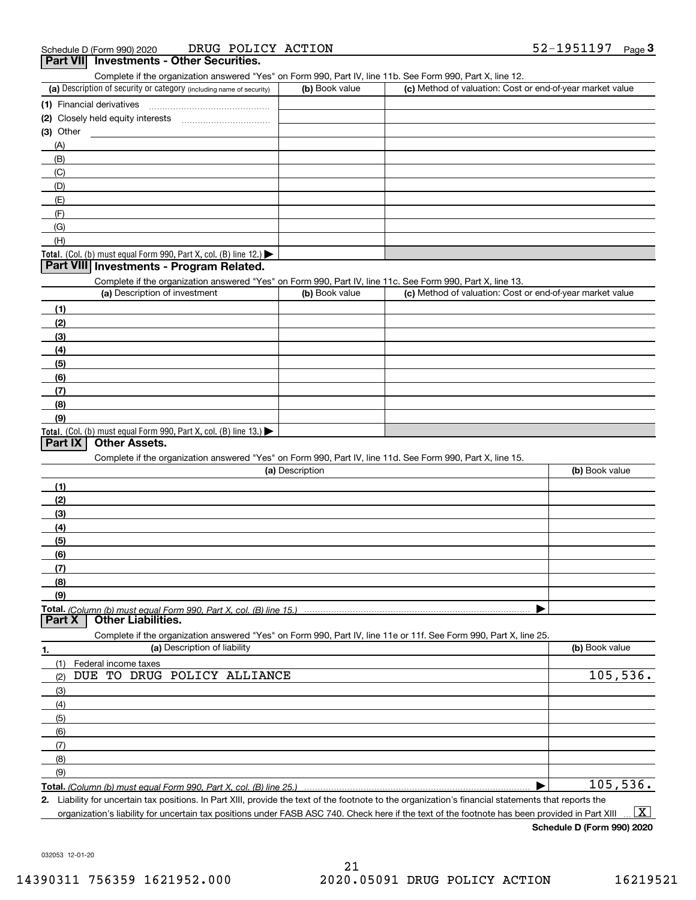|                | .<br><b>INVOURNMENT OUTSTANDING</b><br>Complete if the organization answered "Yes" on Form 990, Part IV, line 11b. See Form 990, Part X, line 12. |                 |                                                           |                |
|----------------|---------------------------------------------------------------------------------------------------------------------------------------------------|-----------------|-----------------------------------------------------------|----------------|
|                | (a) Description of security or category (including name of security)                                                                              | (b) Book value  | (c) Method of valuation: Cost or end-of-year market value |                |
|                | (1) Financial derivatives                                                                                                                         |                 |                                                           |                |
|                |                                                                                                                                                   |                 |                                                           |                |
| (3) Other      |                                                                                                                                                   |                 |                                                           |                |
| (A)            |                                                                                                                                                   |                 |                                                           |                |
| (B)            |                                                                                                                                                   |                 |                                                           |                |
| (C)            |                                                                                                                                                   |                 |                                                           |                |
| (D)            |                                                                                                                                                   |                 |                                                           |                |
| (E)            |                                                                                                                                                   |                 |                                                           |                |
| (F)            |                                                                                                                                                   |                 |                                                           |                |
| (G)            |                                                                                                                                                   |                 |                                                           |                |
| (H)            |                                                                                                                                                   |                 |                                                           |                |
|                |                                                                                                                                                   |                 |                                                           |                |
|                | Total. (Col. (b) must equal Form 990, Part X, col. (B) line 12.)<br>Part VIII Investments - Program Related.                                      |                 |                                                           |                |
|                |                                                                                                                                                   |                 |                                                           |                |
|                | Complete if the organization answered "Yes" on Form 990, Part IV, line 11c. See Form 990, Part X, line 13.<br>(a) Description of investment       | (b) Book value  | (c) Method of valuation: Cost or end-of-year market value |                |
|                |                                                                                                                                                   |                 |                                                           |                |
| (1)            |                                                                                                                                                   |                 |                                                           |                |
| (2)            |                                                                                                                                                   |                 |                                                           |                |
| (3)            |                                                                                                                                                   |                 |                                                           |                |
| (4)            |                                                                                                                                                   |                 |                                                           |                |
| (5)            |                                                                                                                                                   |                 |                                                           |                |
| (6)            |                                                                                                                                                   |                 |                                                           |                |
| (7)            |                                                                                                                                                   |                 |                                                           |                |
| (8)            |                                                                                                                                                   |                 |                                                           |                |
| (9)            |                                                                                                                                                   |                 |                                                           |                |
|                | Total. (Col. (b) must equal Form 990, Part X, col. (B) line 13.)                                                                                  |                 |                                                           |                |
| <b>Part IX</b> | <b>Other Assets.</b>                                                                                                                              |                 |                                                           |                |
|                | Complete if the organization answered "Yes" on Form 990, Part IV, line 11d. See Form 990, Part X, line 15.                                        |                 |                                                           |                |
|                |                                                                                                                                                   | (a) Description |                                                           | (b) Book value |
| (1)            |                                                                                                                                                   |                 |                                                           |                |
| (2)            |                                                                                                                                                   |                 |                                                           |                |
| (3)            |                                                                                                                                                   |                 |                                                           |                |
| (4)            |                                                                                                                                                   |                 |                                                           |                |
| (5)            |                                                                                                                                                   |                 |                                                           |                |
| (6)            |                                                                                                                                                   |                 |                                                           |                |
| (7)            |                                                                                                                                                   |                 |                                                           |                |
| (8)            |                                                                                                                                                   |                 |                                                           |                |
| (9)            |                                                                                                                                                   |                 |                                                           |                |
|                | Total. (Column (b) must equal Form 990. Part X, col. (B) line 15.)                                                                                |                 |                                                           |                |
| <b>Part X</b>  | <b>Other Liabilities.</b>                                                                                                                         |                 |                                                           |                |
|                | Complete if the organization answered "Yes" on Form 990, Part IV, line 11e or 11f. See Form 990, Part X, line 25.                                 |                 |                                                           |                |
| <u>1.</u>      | (a) Description of liability                                                                                                                      |                 |                                                           | (b) Book value |
| (1)            | Federal income taxes                                                                                                                              |                 |                                                           |                |
| (2)            | DUE TO DRUG POLICY ALLIANCE                                                                                                                       |                 |                                                           | 105,536.       |
| (3)            |                                                                                                                                                   |                 |                                                           |                |
| (4)            |                                                                                                                                                   |                 |                                                           |                |
| (5)            |                                                                                                                                                   |                 |                                                           |                |
| (6)            |                                                                                                                                                   |                 |                                                           |                |
| (7)            |                                                                                                                                                   |                 |                                                           |                |
| (8)            |                                                                                                                                                   |                 |                                                           |                |
| (9)            |                                                                                                                                                   |                 |                                                           |                |
|                |                                                                                                                                                   |                 |                                                           | 105,536.       |
|                | Total. (Column (b) must equal Form 990, Part X, col. (B) line 25.)                                                                                |                 |                                                           |                |

**2.** Liability for uncertain tax positions. In Part XIII, provide the text of the footnote to the organization's financial statements that reports the organization's liability for uncertain tax positions under FASB ASC 740. Check here if the text of the footnote has been provided in Part XIII  $\boxed{\text{X}}$ 

**Schedule D (Form 990) 2020**

032053 12-01-20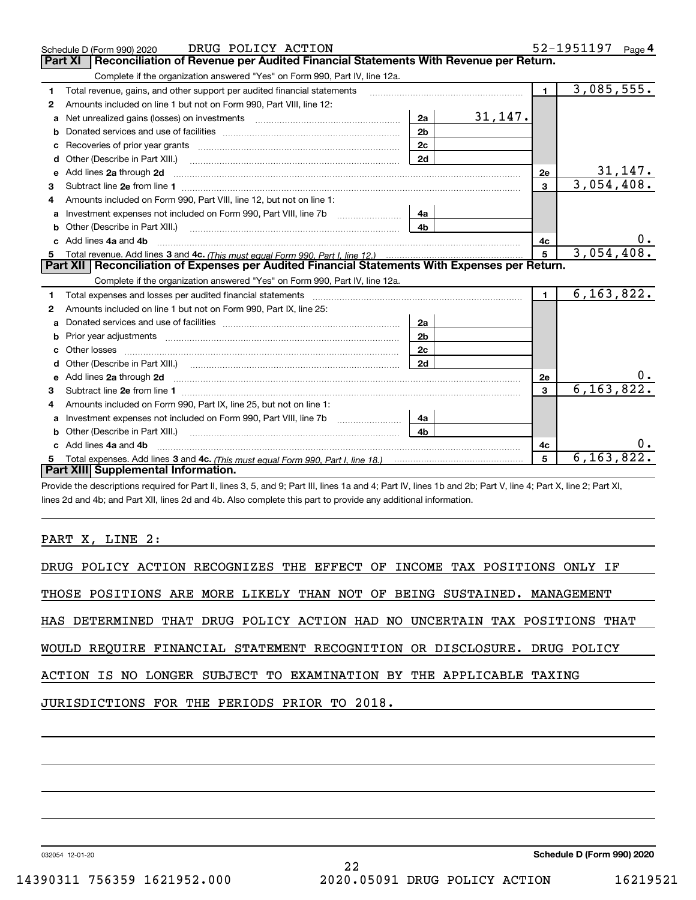|              | DRUG POLICY ACTION<br>Schedule D (Form 990) 2020                                                                                                                                                                                    |                |         |                | 52-1951197<br>Page $4$  |
|--------------|-------------------------------------------------------------------------------------------------------------------------------------------------------------------------------------------------------------------------------------|----------------|---------|----------------|-------------------------|
|              | Reconciliation of Revenue per Audited Financial Statements With Revenue per Return.<br><b>Part XI</b>                                                                                                                               |                |         |                |                         |
|              | Complete if the organization answered "Yes" on Form 990, Part IV, line 12a.                                                                                                                                                         |                |         |                |                         |
| 1            | Total revenue, gains, and other support per audited financial statements                                                                                                                                                            |                |         | $\mathbf{1}$   | 3,085,555.              |
| 2            | Amounts included on line 1 but not on Form 990, Part VIII, line 12:                                                                                                                                                                 |                |         |                |                         |
| a            | Net unrealized gains (losses) on investments [11] matter contracts and the unrealized gains (losses) on investments                                                                                                                 | 2a             | 31,147. |                |                         |
| b            |                                                                                                                                                                                                                                     | 2 <sub>b</sub> |         |                |                         |
|              |                                                                                                                                                                                                                                     | 2c             |         |                |                         |
| d            |                                                                                                                                                                                                                                     | 2d             |         |                |                         |
| e            | Add lines 2a through 2d                                                                                                                                                                                                             |                |         | 2e             | 31,147.                 |
| 3            |                                                                                                                                                                                                                                     |                |         | $\overline{3}$ | $\overline{3,054},408.$ |
| 4            | Amounts included on Form 990. Part VIII. line 12, but not on line 1:                                                                                                                                                                |                |         |                |                         |
| $\mathbf{a}$ |                                                                                                                                                                                                                                     | 4a             |         |                |                         |
|              | Other (Describe in Part XIII.) <b>2006</b> 2006 2010 2010 2010 2010 2011 2012 2013 2014 2014 2015 2016 2017 2018 2019 2016 2017 2018 2019 2016 2017 2018 2019 2016 2017 2018 2019 2018 2019 2019 2016 2017 2018 2019 2018 2019 2019 | 4 <sub>b</sub> |         |                |                         |
|              | c Add lines 4a and 4b                                                                                                                                                                                                               |                |         | 4с             |                         |
|              |                                                                                                                                                                                                                                     |                |         | 5              | 3,054,408.              |
|              |                                                                                                                                                                                                                                     |                |         |                |                         |
|              | Part XII   Reconciliation of Expenses per Audited Financial Statements With Expenses per Return.                                                                                                                                    |                |         |                |                         |
|              | Complete if the organization answered "Yes" on Form 990, Part IV, line 12a.                                                                                                                                                         |                |         |                |                         |
| 1            |                                                                                                                                                                                                                                     |                |         | $\mathbf{1}$   | 6, 163, 822.            |
| 2            | Amounts included on line 1 but not on Form 990, Part IX, line 25:                                                                                                                                                                   |                |         |                |                         |
| a            |                                                                                                                                                                                                                                     | 2a             |         |                |                         |
| b            |                                                                                                                                                                                                                                     | 2 <sub>b</sub> |         |                |                         |
|              |                                                                                                                                                                                                                                     | 2c             |         |                |                         |
| d            |                                                                                                                                                                                                                                     | 2d             |         |                |                         |
| e            | Add lines 2a through 2d <b>contained a contained a contained a contained a</b> contained a contained a contained a contained a contained a contained a contained a contained a contained a contained a contained a contained a cont |                |         | <b>2e</b>      | υ.                      |
| з            |                                                                                                                                                                                                                                     |                |         | 3              | 6, 163, 822.            |
| 4            | Amounts included on Form 990, Part IX, line 25, but not on line 1:                                                                                                                                                                  |                |         |                |                         |
| a            |                                                                                                                                                                                                                                     | 4a             |         |                |                         |
|              | Other (Describe in Part XIII.)                                                                                                                                                                                                      | 4 <sub>b</sub> |         |                |                         |
|              | c Add lines 4a and 4b                                                                                                                                                                                                               |                |         | 4c             |                         |
|              | Part XIII Supplemental Information.                                                                                                                                                                                                 |                |         | 5              | 6, 163, 822.            |

Provide the descriptions required for Part II, lines 3, 5, and 9; Part III, lines 1a and 4; Part IV, lines 1b and 2b; Part V, line 4; Part X, line 2; Part XI, lines 2d and 4b; and Part XII, lines 2d and 4b. Also complete this part to provide any additional information.

PART X, LINE 2:

|  | DRUG POLICY ACTION RECOGNIZES THE EFFECT OF INCOME TAX POSITIONS ONLY IF |  |  |  |  |  |
|--|--------------------------------------------------------------------------|--|--|--|--|--|
|  |                                                                          |  |  |  |  |  |

THOSE POSITIONS ARE MORE LIKELY THAN NOT OF BEING SUSTAINED. MANAGEMENT

HAS DETERMINED THAT DRUG POLICY ACTION HAD NO UNCERTAIN TAX POSITIONS THAT

WOULD REQUIRE FINANCIAL STATEMENT RECOGNITION OR DISCLOSURE. DRUG POLICY

#### ACTION IS NO LONGER SUBJECT TO EXAMINATION BY THE APPLICABLE TAXING

JURISDICTIONS FOR THE PERIODS PRIOR TO 2018.

032054 12-01-20

**Schedule D (Form 990) 2020**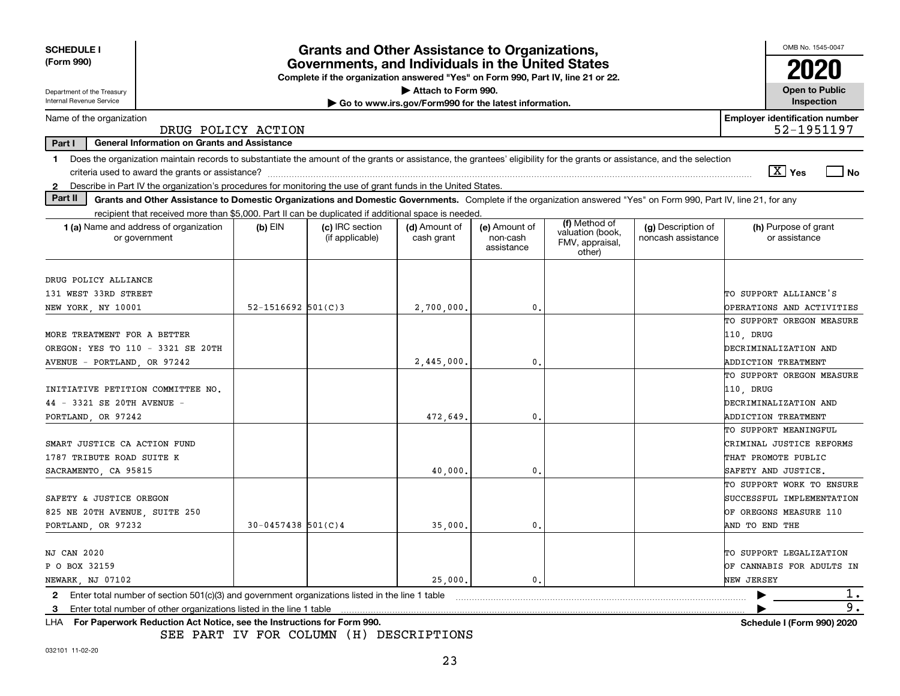| <b>SCHEDULE I</b>                                                                                                                                                                                                                  |                                                                                                                                       | <b>Grants and Other Assistance to Organizations,</b> |                                                       |                                         |                                               |                                          | OMB No. 1545-0047                                      |  |  |
|------------------------------------------------------------------------------------------------------------------------------------------------------------------------------------------------------------------------------------|---------------------------------------------------------------------------------------------------------------------------------------|------------------------------------------------------|-------------------------------------------------------|-----------------------------------------|-----------------------------------------------|------------------------------------------|--------------------------------------------------------|--|--|
| (Form 990)                                                                                                                                                                                                                         | Governments, and Individuals in the United States<br>Complete if the organization answered "Yes" on Form 990, Part IV, line 21 or 22. |                                                      |                                                       |                                         |                                               |                                          |                                                        |  |  |
| Department of the Treasury                                                                                                                                                                                                         |                                                                                                                                       |                                                      | Attach to Form 990.                                   |                                         |                                               |                                          | <b>Open to Public</b>                                  |  |  |
| Internal Revenue Service                                                                                                                                                                                                           |                                                                                                                                       |                                                      | Go to www.irs.gov/Form990 for the latest information. |                                         |                                               |                                          | Inspection                                             |  |  |
| Name of the organization                                                                                                                                                                                                           | DRUG POLICY ACTION                                                                                                                    |                                                      |                                                       |                                         |                                               |                                          | <b>Employer identification number</b><br>52-1951197    |  |  |
| <b>General Information on Grants and Assistance</b><br>Part I                                                                                                                                                                      |                                                                                                                                       |                                                      |                                                       |                                         |                                               |                                          |                                                        |  |  |
| Does the organization maintain records to substantiate the amount of the grants or assistance, the grantees' eligibility for the grants or assistance, and the selection<br>1.<br>criteria used to award the grants or assistance? |                                                                                                                                       |                                                      |                                                       |                                         |                                               |                                          | $\boxed{\text{X}}$ Yes<br>$ $ No                       |  |  |
| Describe in Part IV the organization's procedures for monitoring the use of grant funds in the United States.<br>2                                                                                                                 |                                                                                                                                       |                                                      |                                                       |                                         |                                               |                                          |                                                        |  |  |
| Part II<br>Grants and Other Assistance to Domestic Organizations and Domestic Governments. Complete if the organization answered "Yes" on Form 990, Part IV, line 21, for any                                                      |                                                                                                                                       |                                                      |                                                       |                                         |                                               |                                          |                                                        |  |  |
| recipient that received more than \$5,000. Part II can be duplicated if additional space is needed.                                                                                                                                |                                                                                                                                       |                                                      |                                                       |                                         | (f) Method of                                 |                                          |                                                        |  |  |
| 1 (a) Name and address of organization<br>or government                                                                                                                                                                            | $(b)$ EIN                                                                                                                             | (c) IRC section<br>(if applicable)                   | (d) Amount of<br>cash grant                           | (e) Amount of<br>non-cash<br>assistance | valuation (book,<br>FMV, appraisal,<br>other) | (g) Description of<br>noncash assistance | (h) Purpose of grant<br>or assistance                  |  |  |
|                                                                                                                                                                                                                                    |                                                                                                                                       |                                                      |                                                       |                                         |                                               |                                          |                                                        |  |  |
| DRUG POLICY ALLIANCE                                                                                                                                                                                                               |                                                                                                                                       |                                                      |                                                       |                                         |                                               |                                          |                                                        |  |  |
| 131 WEST 33RD STREET                                                                                                                                                                                                               |                                                                                                                                       |                                                      |                                                       | $\mathbf{0}$ .                          |                                               |                                          | TO SUPPORT ALLIANCE'S                                  |  |  |
| NEW YORK, NY 10001                                                                                                                                                                                                                 | $52 - 1516692$ $501(C)3$                                                                                                              |                                                      | 2,700,000,                                            |                                         |                                               |                                          | OPERATIONS AND ACTIVITIES<br>TO SUPPORT OREGON MEASURE |  |  |
| MORE TREATMENT FOR A BETTER                                                                                                                                                                                                        |                                                                                                                                       |                                                      |                                                       |                                         |                                               |                                          |                                                        |  |  |
| OREGON: YES TO 110 - 3321 SE 20TH                                                                                                                                                                                                  |                                                                                                                                       |                                                      |                                                       |                                         |                                               |                                          | 110, DRUG<br>DECRIMINALIZATION AND                     |  |  |
| AVENUE - PORTLAND, OR 97242                                                                                                                                                                                                        |                                                                                                                                       |                                                      | 2,445,000.                                            | 0.                                      |                                               |                                          | <b>ADDICTION TREATMENT</b>                             |  |  |
|                                                                                                                                                                                                                                    |                                                                                                                                       |                                                      |                                                       |                                         |                                               |                                          | TO SUPPORT OREGON MEASURE                              |  |  |
| INITIATIVE PETITION COMMITTEE NO.                                                                                                                                                                                                  |                                                                                                                                       |                                                      |                                                       |                                         |                                               |                                          | 110, DRUG                                              |  |  |
| 44 - 3321 SE 20TH AVENUE -                                                                                                                                                                                                         |                                                                                                                                       |                                                      |                                                       |                                         |                                               |                                          | DECRIMINALIZATION AND                                  |  |  |
| PORTLAND, OR 97242                                                                                                                                                                                                                 |                                                                                                                                       |                                                      | 472,649                                               | 0.                                      |                                               |                                          | ADDICTION TREATMENT                                    |  |  |
|                                                                                                                                                                                                                                    |                                                                                                                                       |                                                      |                                                       |                                         |                                               |                                          | TO SUPPORT MEANINGFUL                                  |  |  |
| SMART JUSTICE CA ACTION FUND                                                                                                                                                                                                       |                                                                                                                                       |                                                      |                                                       |                                         |                                               |                                          | CRIMINAL JUSTICE REFORMS                               |  |  |
| 1787 TRIBUTE ROAD SUITE K                                                                                                                                                                                                          |                                                                                                                                       |                                                      |                                                       |                                         |                                               |                                          | THAT PROMOTE PUBLIC                                    |  |  |
| SACRAMENTO, CA 95815                                                                                                                                                                                                               |                                                                                                                                       |                                                      | 40,000                                                | 0.                                      |                                               |                                          | SAFETY AND JUSTICE.                                    |  |  |
|                                                                                                                                                                                                                                    |                                                                                                                                       |                                                      |                                                       |                                         |                                               |                                          | TO SUPPORT WORK TO ENSURE                              |  |  |
| SAFETY & JUSTICE OREGON                                                                                                                                                                                                            |                                                                                                                                       |                                                      |                                                       |                                         |                                               |                                          | SUCCESSFUL IMPLEMENTATION                              |  |  |
| 825 NE 20TH AVENUE, SUITE 250                                                                                                                                                                                                      |                                                                                                                                       |                                                      |                                                       |                                         |                                               |                                          | OF OREGONS MEASURE 110                                 |  |  |
| PORTLAND, OR 97232                                                                                                                                                                                                                 | $30 - 0457438$ 501(C)4                                                                                                                |                                                      | 35,000                                                | 0                                       |                                               |                                          | AND TO END THE                                         |  |  |
|                                                                                                                                                                                                                                    |                                                                                                                                       |                                                      |                                                       |                                         |                                               |                                          |                                                        |  |  |
| <b>NJ CAN 2020</b>                                                                                                                                                                                                                 |                                                                                                                                       |                                                      |                                                       |                                         |                                               |                                          | TO SUPPORT LEGALIZATION                                |  |  |
| P O BOX 32159                                                                                                                                                                                                                      |                                                                                                                                       |                                                      |                                                       |                                         |                                               |                                          | OF CANNABIS FOR ADULTS IN                              |  |  |
| NEWARK, NJ 07102                                                                                                                                                                                                                   |                                                                                                                                       |                                                      | 25,000.                                               | 0.                                      |                                               |                                          | NEW JERSEY                                             |  |  |
| Enter total number of section 501(c)(3) and government organizations listed in the line 1 table<br>2                                                                                                                               |                                                                                                                                       |                                                      |                                                       |                                         |                                               |                                          | 1.                                                     |  |  |
| Enter total number of other organizations listed in the line 1 table<br>3                                                                                                                                                          |                                                                                                                                       |                                                      |                                                       |                                         |                                               |                                          | 9.                                                     |  |  |
| For Paperwork Reduction Act Notice, see the Instructions for Form 990.<br>LHA                                                                                                                                                      |                                                                                                                                       |                                                      |                                                       |                                         |                                               |                                          | <b>Schedule I (Form 990) 2020</b>                      |  |  |

SEE PART IV FOR COLUMN (H) DESCRIPTIONS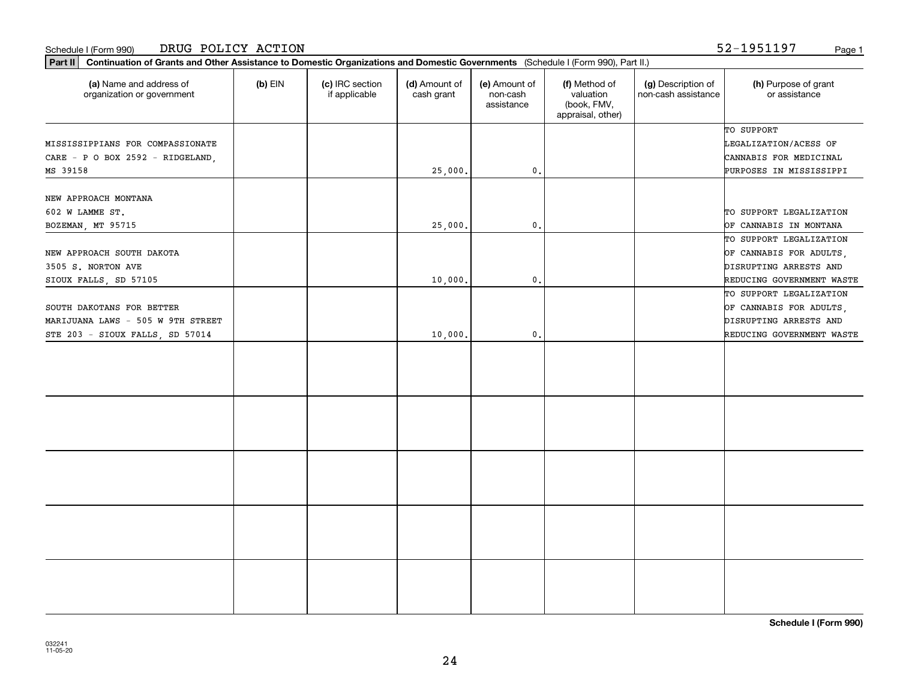| (a) Name and address of<br>organization or government | $(b)$ EIN | (c) IRC section<br>if applicable | (d) Amount of<br>cash grant | (e) Amount of<br>non-cash<br>assistance | (f) Method of<br>valuation<br>(book, FMV,<br>appraisal, other) | (g) Description of<br>non-cash assistance | (h) Purpose of grant<br>or assistance |
|-------------------------------------------------------|-----------|----------------------------------|-----------------------------|-----------------------------------------|----------------------------------------------------------------|-------------------------------------------|---------------------------------------|
|                                                       |           |                                  |                             |                                         |                                                                |                                           | TO SUPPORT                            |
| MISSISSIPPIANS FOR COMPASSIONATE                      |           |                                  |                             |                                         |                                                                |                                           | LEGALIZATION/ACESS OF                 |
| CARE - P O BOX 2592 - RIDGELAND,                      |           |                                  |                             |                                         |                                                                |                                           | CANNABIS FOR MEDICINAL                |
| MS 39158                                              |           |                                  | 25,000.                     | $\mathfrak{o}$ .                        |                                                                |                                           | PURPOSES IN MISSISSIPPI               |
|                                                       |           |                                  |                             |                                         |                                                                |                                           |                                       |
| NEW APPROACH MONTANA                                  |           |                                  |                             |                                         |                                                                |                                           |                                       |
| 602 W LAMME ST.                                       |           |                                  |                             |                                         |                                                                |                                           | TO SUPPORT LEGALIZATION               |
| BOZEMAN, MT 95715                                     |           |                                  | 25,000.                     | $\mathbf{0}$ .                          |                                                                |                                           | OF CANNABIS IN MONTANA                |
|                                                       |           |                                  |                             |                                         |                                                                |                                           | TO SUPPORT LEGALIZATION               |
| NEW APPROACH SOUTH DAKOTA                             |           |                                  |                             |                                         |                                                                |                                           | OF CANNABIS FOR ADULTS,               |
| 3505 S. NORTON AVE                                    |           |                                  |                             |                                         |                                                                |                                           | DISRUPTING ARRESTS AND                |
| SIOUX FALLS, SD 57105                                 |           |                                  | 10,000.                     | $\mathbf{0}$ .                          |                                                                |                                           | REDUCING GOVERNMENT WASTE             |
|                                                       |           |                                  |                             |                                         |                                                                |                                           | TO SUPPORT LEGALIZATION               |
| SOUTH DAKOTANS FOR BETTER                             |           |                                  |                             |                                         |                                                                |                                           | OF CANNABIS FOR ADULTS,               |
| MARIJUANA LAWS - 505 W 9TH STREET                     |           |                                  |                             |                                         |                                                                |                                           | DISRUPTING ARRESTS AND                |
| STE 203 - SIOUX FALLS, SD 57014                       |           |                                  | 10,000.                     | $\mathbf{0}$ .                          |                                                                |                                           | REDUCING GOVERNMENT WASTE             |
|                                                       |           |                                  |                             |                                         |                                                                |                                           |                                       |
|                                                       |           |                                  |                             |                                         |                                                                |                                           |                                       |
|                                                       |           |                                  |                             |                                         |                                                                |                                           |                                       |
|                                                       |           |                                  |                             |                                         |                                                                |                                           |                                       |
|                                                       |           |                                  |                             |                                         |                                                                |                                           |                                       |
|                                                       |           |                                  |                             |                                         |                                                                |                                           |                                       |
|                                                       |           |                                  |                             |                                         |                                                                |                                           |                                       |
|                                                       |           |                                  |                             |                                         |                                                                |                                           |                                       |
|                                                       |           |                                  |                             |                                         |                                                                |                                           |                                       |
|                                                       |           |                                  |                             |                                         |                                                                |                                           |                                       |
|                                                       |           |                                  |                             |                                         |                                                                |                                           |                                       |
|                                                       |           |                                  |                             |                                         |                                                                |                                           |                                       |
|                                                       |           |                                  |                             |                                         |                                                                |                                           |                                       |
|                                                       |           |                                  |                             |                                         |                                                                |                                           |                                       |
|                                                       |           |                                  |                             |                                         |                                                                |                                           |                                       |
|                                                       |           |                                  |                             |                                         |                                                                |                                           |                                       |
|                                                       |           |                                  |                             |                                         |                                                                |                                           |                                       |

**Part II Continuation of Grants and Other Assistance to Domestic Organizations and Domestic Governments**  (Schedule I (Form 990), Part II.)

#### Schedule I (Form 990) DRUG POLICY ACTION 52-1951197 <sub>Page 1</sub>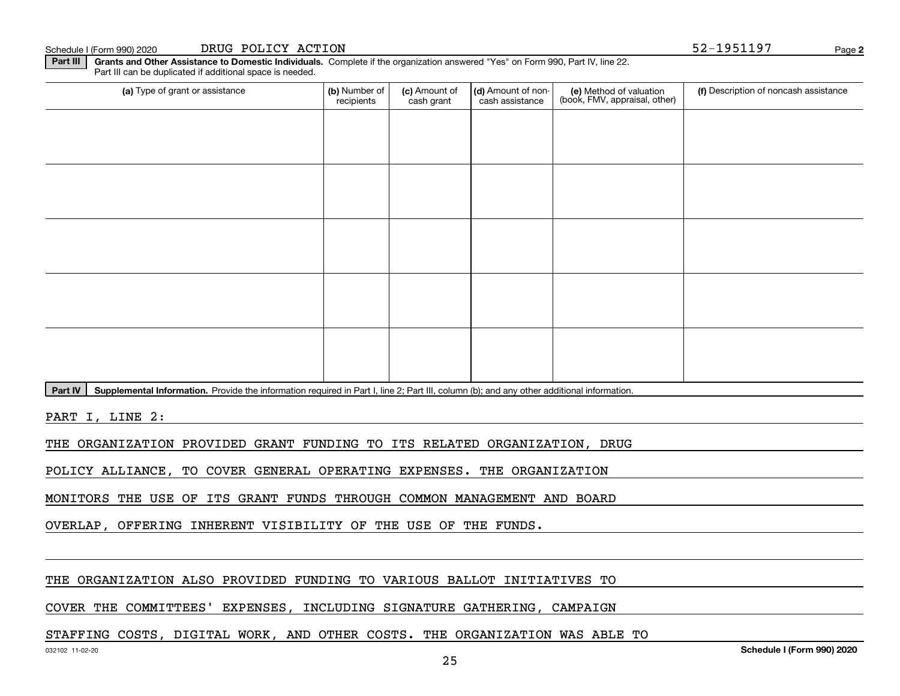**Part III | Grants and Other Assistance to Domestic Individuals. Complete if the organization answered "Yes" on Form 990, Part IV, line 22.** Part III can be duplicated if additional space is needed.

| (a) Type of grant or assistance                                                    | (b) Number of<br>recipients | (c) Amount of<br>cash grant | (d) Amount of non-<br>cash assistance | (e) Method of valuation<br>(book, FMV, appraisal, other) | (f) Description of noncash assistance |
|------------------------------------------------------------------------------------|-----------------------------|-----------------------------|---------------------------------------|----------------------------------------------------------|---------------------------------------|
|                                                                                    |                             |                             |                                       |                                                          |                                       |
|                                                                                    |                             |                             |                                       |                                                          |                                       |
|                                                                                    |                             |                             |                                       |                                                          |                                       |
|                                                                                    |                             |                             |                                       |                                                          |                                       |
|                                                                                    |                             |                             |                                       |                                                          |                                       |
|                                                                                    |                             |                             |                                       |                                                          |                                       |
|                                                                                    |                             |                             |                                       |                                                          |                                       |
|                                                                                    |                             |                             |                                       |                                                          |                                       |
|                                                                                    |                             |                             |                                       |                                                          |                                       |
|                                                                                    |                             |                             |                                       |                                                          |                                       |
| المتواصل والمستحيل والمتحدث والمستحول والمتحدث والمتحدث والمتحدث والمعاري والمعارض |                             |                             |                                       |                                                          |                                       |

Part IV | Supplemental Information. Provide the information required in Part I, line 2; Part III, column (b); and any other additional information.

PART I, LINE 2:

THE ORGANIZATION PROVIDED GRANT FUNDING TO ITS RELATED ORGANIZATION, DRUG

POLICY ALLIANCE, TO COVER GENERAL OPERATING EXPENSES. THE ORGANIZATION

MONITORS THE USE OF ITS GRANT FUNDS THROUGH COMMON MANAGEMENT AND BOARD

OVERLAP, OFFERING INHERENT VISIBILITY OF THE USE OF THE FUNDS.

#### THE ORGANIZATION ALSO PROVIDED FUNDING TO VARIOUS BALLOT INITIATIVES TO

#### COVER THE COMMITTEES' EXPENSES, INCLUDING SIGNATURE GATHERING, CAMPAIGN

#### STAFFING COSTS, DIGITAL WORK, AND OTHER COSTS. THE ORGANIZATION WAS ABLE TO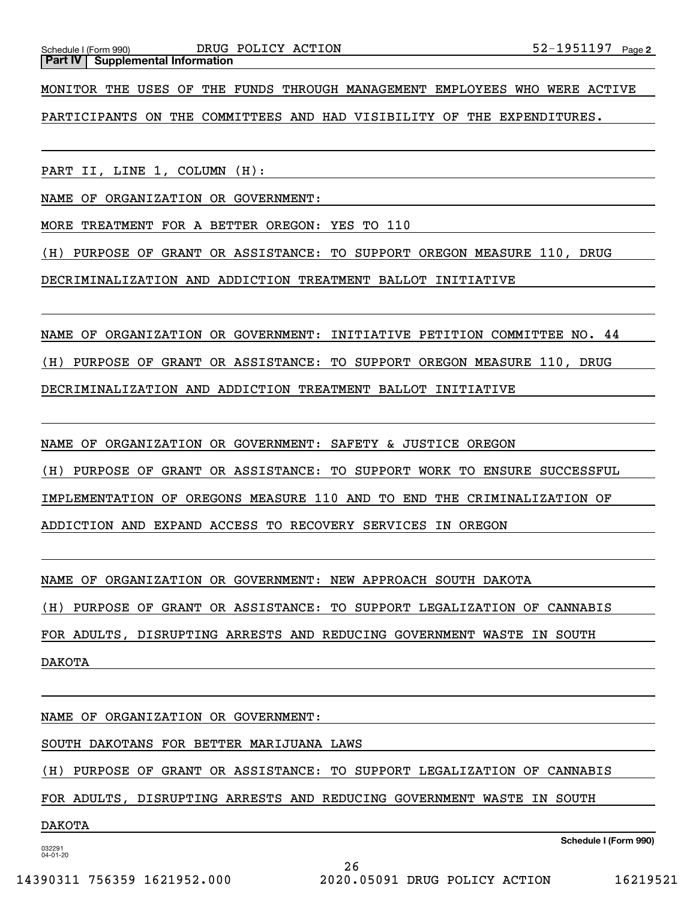**Part IV** Supplemental Information

MONITOR THE USES OF THE FUNDS THROUGH MANAGEMENT EMPLOYEES WHO WERE ACTIVE

PARTICIPANTS ON THE COMMITTEES AND HAD VISIBILITY OF THE EXPENDITURES.

PART II, LINE 1, COLUMN (H):

NAME OF ORGANIZATION OR GOVERNMENT:

MORE TREATMENT FOR A BETTER OREGON: YES TO 110

(H) PURPOSE OF GRANT OR ASSISTANCE: TO SUPPORT OREGON MEASURE 110, DRUG

DECRIMINALIZATION AND ADDICTION TREATMENT BALLOT INITIATIVE

NAME OF ORGANIZATION OR GOVERNMENT: INITIATIVE PETITION COMMITTEE NO. 44

(H) PURPOSE OF GRANT OR ASSISTANCE: TO SUPPORT OREGON MEASURE 110, DRUG

DECRIMINALIZATION AND ADDICTION TREATMENT BALLOT INITIATIVE

NAME OF ORGANIZATION OR GOVERNMENT: SAFETY & JUSTICE OREGON

(H) PURPOSE OF GRANT OR ASSISTANCE: TO SUPPORT WORK TO ENSURE SUCCESSFUL

IMPLEMENTATION OF OREGONS MEASURE 110 AND TO END THE CRIMINALIZATION OF

ADDICTION AND EXPAND ACCESS TO RECOVERY SERVICES IN OREGON

NAME OF ORGANIZATION OR GOVERNMENT: NEW APPROACH SOUTH DAKOTA

(H) PURPOSE OF GRANT OR ASSISTANCE: TO SUPPORT LEGALIZATION OF CANNABIS

FOR ADULTS, DISRUPTING ARRESTS AND REDUCING GOVERNMENT WASTE IN SOUTH

DAKOTA

NAME OF ORGANIZATION OR GOVERNMENT:

SOUTH DAKOTANS FOR BETTER MARIJUANA LAWS

(H) PURPOSE OF GRANT OR ASSISTANCE: TO SUPPORT LEGALIZATION OF CANNABIS

FOR ADULTS, DISRUPTING ARRESTS AND REDUCING GOVERNMENT WASTE IN SOUTH

#### DAKOTA

032291 04-01-20

**Schedule I (Form 990)**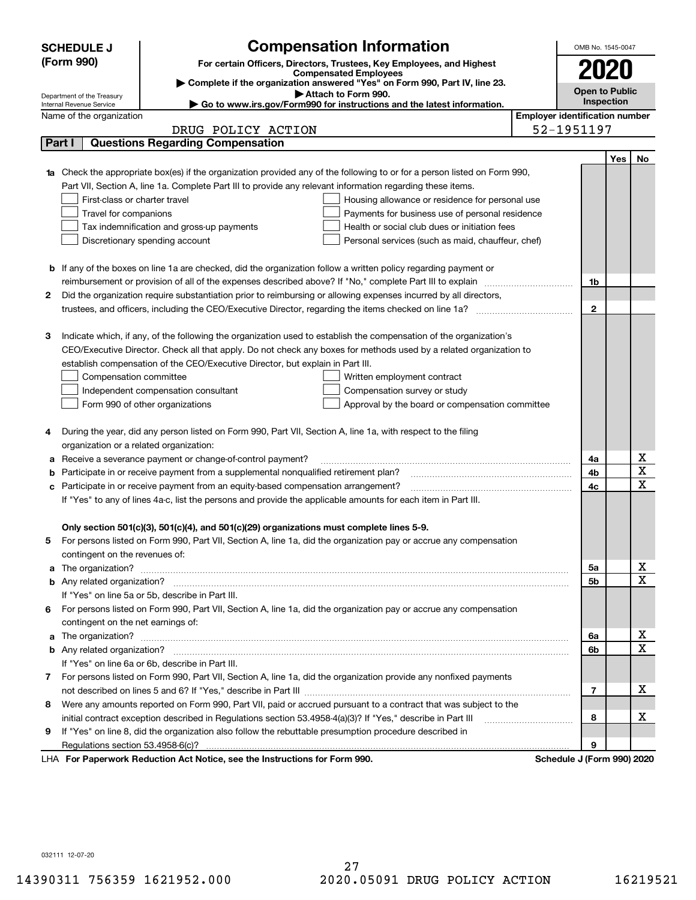| (Form 990)<br>For certain Officers, Directors, Trustees, Key Employees, and Highest<br>2020<br><b>Compensated Employees</b><br>Complete if the organization answered "Yes" on Form 990, Part IV, line 23.<br><b>Open to Public</b><br>Attach to Form 990.<br>Department of the Treasury<br><b>Inspection</b><br>► Go to www.irs.gov/Form990 for instructions and the latest information.<br>Internal Revenue Service<br><b>Employer identification number</b><br>Name of the organization<br>52-1951197<br>DRUG POLICY ACTION<br><b>Questions Regarding Compensation</b><br>Part I<br>No<br>Yes<br><b>1a</b> Check the appropriate box(es) if the organization provided any of the following to or for a person listed on Form 990,<br>Part VII, Section A, line 1a. Complete Part III to provide any relevant information regarding these items.<br>First-class or charter travel<br>Housing allowance or residence for personal use<br>Travel for companions<br>Payments for business use of personal residence<br>Health or social club dues or initiation fees<br>Tax indemnification and gross-up payments<br>Discretionary spending account<br>Personal services (such as maid, chauffeur, chef)<br><b>b</b> If any of the boxes on line 1a are checked, did the organization follow a written policy regarding payment or<br>1b<br>Did the organization require substantiation prior to reimbursing or allowing expenses incurred by all directors,<br>2<br>$\mathbf{2}$<br>Indicate which, if any, of the following the organization used to establish the compensation of the organization's<br>З<br>CEO/Executive Director. Check all that apply. Do not check any boxes for methods used by a related organization to<br>establish compensation of the CEO/Executive Director, but explain in Part III.<br>Compensation committee<br>Written employment contract<br>Compensation survey or study<br>Independent compensation consultant<br>Form 990 of other organizations<br>Approval by the board or compensation committee<br>During the year, did any person listed on Form 990, Part VII, Section A, line 1a, with respect to the filing<br>4<br>organization or a related organization:<br>х<br>Receive a severance payment or change-of-control payment?<br>4a<br>а<br>$\overline{\textbf{X}}$<br>4b<br>Participate in or receive payment from a supplemental nonqualified retirement plan?<br>b<br>$\mathbf X$<br>4c<br>Participate in or receive payment from an equity-based compensation arrangement?<br>с<br>If "Yes" to any of lines 4a-c, list the persons and provide the applicable amounts for each item in Part III.<br>Only section 501(c)(3), 501(c)(4), and 501(c)(29) organizations must complete lines 5-9.<br>For persons listed on Form 990, Part VII, Section A, line 1a, did the organization pay or accrue any compensation<br>contingent on the revenues of:<br>x<br>a The organization? <b>Entitation</b> and the organization?<br>5а<br>$\overline{\mathbf{x}}$<br><b>5b</b><br>If "Yes" on line 5a or 5b, describe in Part III.<br>For persons listed on Form 990, Part VII, Section A, line 1a, did the organization pay or accrue any compensation<br>6.<br>contingent on the net earnings of:<br>х<br>a The organization? <b>Entitled Strategies and Strategies and Strategies and Strategies and Strategies and Strategies and Strategies and Strategies and Strategies and Strategies and Strategies and Strategies and Strategies a</b><br>6a<br>$\overline{\mathbf{X}}$<br>6b<br>If "Yes" on line 6a or 6b, describe in Part III.<br>7 For persons listed on Form 990, Part VII, Section A, line 1a, did the organization provide any nonfixed payments<br>х<br>$\overline{7}$<br>Were any amounts reported on Form 990, Part VII, paid or accrued pursuant to a contract that was subject to the<br>8<br>х<br>initial contract exception described in Regulations section 53.4958-4(a)(3)? If "Yes," describe in Part III<br>8<br>If "Yes" on line 8, did the organization also follow the rebuttable presumption procedure described in<br>9<br>9<br>LHA For Paperwork Reduction Act Notice, see the Instructions for Form 990.<br>Schedule J (Form 990) 2020 | <b>SCHEDULE J</b> | <b>Compensation Information</b> | OMB No. 1545-0047 |  |  |  |  |  |
|-------------------------------------------------------------------------------------------------------------------------------------------------------------------------------------------------------------------------------------------------------------------------------------------------------------------------------------------------------------------------------------------------------------------------------------------------------------------------------------------------------------------------------------------------------------------------------------------------------------------------------------------------------------------------------------------------------------------------------------------------------------------------------------------------------------------------------------------------------------------------------------------------------------------------------------------------------------------------------------------------------------------------------------------------------------------------------------------------------------------------------------------------------------------------------------------------------------------------------------------------------------------------------------------------------------------------------------------------------------------------------------------------------------------------------------------------------------------------------------------------------------------------------------------------------------------------------------------------------------------------------------------------------------------------------------------------------------------------------------------------------------------------------------------------------------------------------------------------------------------------------------------------------------------------------------------------------------------------------------------------------------------------------------------------------------------------------------------------------------------------------------------------------------------------------------------------------------------------------------------------------------------------------------------------------------------------------------------------------------------------------------------------------------------------------------------------------------------------------------------------------------------------------------------------------------------------------------------------------------------------------------------------------------------------------------------------------------------------------------------------------------------------------------------------------------------------------------------------------------------------------------------------------------------------------------------------------------------------------------------------------------------------------------------------------------------------------------------------------------------------------------------------------------------------------------------------------------------------------------------------------------------------------------------------------------------------------------------------------------------------------------------------------------------------------------------------------------------------------------------------------------------------------------------------------------------------------------------------------------------------------------------------------------------------------------------------------------------------------------------------------------------------------------------------------------------------------------------------------------------------------------------------------------------------------------------------------------------------------------------------------------------------------------------------------------------------------------------------------------------------------------------------------------------------------------------------------------------|-------------------|---------------------------------|-------------------|--|--|--|--|--|
|                                                                                                                                                                                                                                                                                                                                                                                                                                                                                                                                                                                                                                                                                                                                                                                                                                                                                                                                                                                                                                                                                                                                                                                                                                                                                                                                                                                                                                                                                                                                                                                                                                                                                                                                                                                                                                                                                                                                                                                                                                                                                                                                                                                                                                                                                                                                                                                                                                                                                                                                                                                                                                                                                                                                                                                                                                                                                                                                                                                                                                                                                                                                                                                                                                                                                                                                                                                                                                                                                                                                                                                                                                                                                                                                                                                                                                                                                                                                                                                                                                                                                                                                                                                                                   |                   |                                 |                   |  |  |  |  |  |
|                                                                                                                                                                                                                                                                                                                                                                                                                                                                                                                                                                                                                                                                                                                                                                                                                                                                                                                                                                                                                                                                                                                                                                                                                                                                                                                                                                                                                                                                                                                                                                                                                                                                                                                                                                                                                                                                                                                                                                                                                                                                                                                                                                                                                                                                                                                                                                                                                                                                                                                                                                                                                                                                                                                                                                                                                                                                                                                                                                                                                                                                                                                                                                                                                                                                                                                                                                                                                                                                                                                                                                                                                                                                                                                                                                                                                                                                                                                                                                                                                                                                                                                                                                                                                   |                   |                                 |                   |  |  |  |  |  |
|                                                                                                                                                                                                                                                                                                                                                                                                                                                                                                                                                                                                                                                                                                                                                                                                                                                                                                                                                                                                                                                                                                                                                                                                                                                                                                                                                                                                                                                                                                                                                                                                                                                                                                                                                                                                                                                                                                                                                                                                                                                                                                                                                                                                                                                                                                                                                                                                                                                                                                                                                                                                                                                                                                                                                                                                                                                                                                                                                                                                                                                                                                                                                                                                                                                                                                                                                                                                                                                                                                                                                                                                                                                                                                                                                                                                                                                                                                                                                                                                                                                                                                                                                                                                                   |                   |                                 |                   |  |  |  |  |  |
|                                                                                                                                                                                                                                                                                                                                                                                                                                                                                                                                                                                                                                                                                                                                                                                                                                                                                                                                                                                                                                                                                                                                                                                                                                                                                                                                                                                                                                                                                                                                                                                                                                                                                                                                                                                                                                                                                                                                                                                                                                                                                                                                                                                                                                                                                                                                                                                                                                                                                                                                                                                                                                                                                                                                                                                                                                                                                                                                                                                                                                                                                                                                                                                                                                                                                                                                                                                                                                                                                                                                                                                                                                                                                                                                                                                                                                                                                                                                                                                                                                                                                                                                                                                                                   |                   |                                 |                   |  |  |  |  |  |
|                                                                                                                                                                                                                                                                                                                                                                                                                                                                                                                                                                                                                                                                                                                                                                                                                                                                                                                                                                                                                                                                                                                                                                                                                                                                                                                                                                                                                                                                                                                                                                                                                                                                                                                                                                                                                                                                                                                                                                                                                                                                                                                                                                                                                                                                                                                                                                                                                                                                                                                                                                                                                                                                                                                                                                                                                                                                                                                                                                                                                                                                                                                                                                                                                                                                                                                                                                                                                                                                                                                                                                                                                                                                                                                                                                                                                                                                                                                                                                                                                                                                                                                                                                                                                   |                   |                                 |                   |  |  |  |  |  |
|                                                                                                                                                                                                                                                                                                                                                                                                                                                                                                                                                                                                                                                                                                                                                                                                                                                                                                                                                                                                                                                                                                                                                                                                                                                                                                                                                                                                                                                                                                                                                                                                                                                                                                                                                                                                                                                                                                                                                                                                                                                                                                                                                                                                                                                                                                                                                                                                                                                                                                                                                                                                                                                                                                                                                                                                                                                                                                                                                                                                                                                                                                                                                                                                                                                                                                                                                                                                                                                                                                                                                                                                                                                                                                                                                                                                                                                                                                                                                                                                                                                                                                                                                                                                                   |                   |                                 |                   |  |  |  |  |  |
|                                                                                                                                                                                                                                                                                                                                                                                                                                                                                                                                                                                                                                                                                                                                                                                                                                                                                                                                                                                                                                                                                                                                                                                                                                                                                                                                                                                                                                                                                                                                                                                                                                                                                                                                                                                                                                                                                                                                                                                                                                                                                                                                                                                                                                                                                                                                                                                                                                                                                                                                                                                                                                                                                                                                                                                                                                                                                                                                                                                                                                                                                                                                                                                                                                                                                                                                                                                                                                                                                                                                                                                                                                                                                                                                                                                                                                                                                                                                                                                                                                                                                                                                                                                                                   |                   |                                 |                   |  |  |  |  |  |
|                                                                                                                                                                                                                                                                                                                                                                                                                                                                                                                                                                                                                                                                                                                                                                                                                                                                                                                                                                                                                                                                                                                                                                                                                                                                                                                                                                                                                                                                                                                                                                                                                                                                                                                                                                                                                                                                                                                                                                                                                                                                                                                                                                                                                                                                                                                                                                                                                                                                                                                                                                                                                                                                                                                                                                                                                                                                                                                                                                                                                                                                                                                                                                                                                                                                                                                                                                                                                                                                                                                                                                                                                                                                                                                                                                                                                                                                                                                                                                                                                                                                                                                                                                                                                   |                   |                                 |                   |  |  |  |  |  |
|                                                                                                                                                                                                                                                                                                                                                                                                                                                                                                                                                                                                                                                                                                                                                                                                                                                                                                                                                                                                                                                                                                                                                                                                                                                                                                                                                                                                                                                                                                                                                                                                                                                                                                                                                                                                                                                                                                                                                                                                                                                                                                                                                                                                                                                                                                                                                                                                                                                                                                                                                                                                                                                                                                                                                                                                                                                                                                                                                                                                                                                                                                                                                                                                                                                                                                                                                                                                                                                                                                                                                                                                                                                                                                                                                                                                                                                                                                                                                                                                                                                                                                                                                                                                                   |                   |                                 |                   |  |  |  |  |  |
|                                                                                                                                                                                                                                                                                                                                                                                                                                                                                                                                                                                                                                                                                                                                                                                                                                                                                                                                                                                                                                                                                                                                                                                                                                                                                                                                                                                                                                                                                                                                                                                                                                                                                                                                                                                                                                                                                                                                                                                                                                                                                                                                                                                                                                                                                                                                                                                                                                                                                                                                                                                                                                                                                                                                                                                                                                                                                                                                                                                                                                                                                                                                                                                                                                                                                                                                                                                                                                                                                                                                                                                                                                                                                                                                                                                                                                                                                                                                                                                                                                                                                                                                                                                                                   |                   |                                 |                   |  |  |  |  |  |
|                                                                                                                                                                                                                                                                                                                                                                                                                                                                                                                                                                                                                                                                                                                                                                                                                                                                                                                                                                                                                                                                                                                                                                                                                                                                                                                                                                                                                                                                                                                                                                                                                                                                                                                                                                                                                                                                                                                                                                                                                                                                                                                                                                                                                                                                                                                                                                                                                                                                                                                                                                                                                                                                                                                                                                                                                                                                                                                                                                                                                                                                                                                                                                                                                                                                                                                                                                                                                                                                                                                                                                                                                                                                                                                                                                                                                                                                                                                                                                                                                                                                                                                                                                                                                   |                   |                                 |                   |  |  |  |  |  |
|                                                                                                                                                                                                                                                                                                                                                                                                                                                                                                                                                                                                                                                                                                                                                                                                                                                                                                                                                                                                                                                                                                                                                                                                                                                                                                                                                                                                                                                                                                                                                                                                                                                                                                                                                                                                                                                                                                                                                                                                                                                                                                                                                                                                                                                                                                                                                                                                                                                                                                                                                                                                                                                                                                                                                                                                                                                                                                                                                                                                                                                                                                                                                                                                                                                                                                                                                                                                                                                                                                                                                                                                                                                                                                                                                                                                                                                                                                                                                                                                                                                                                                                                                                                                                   |                   |                                 |                   |  |  |  |  |  |
|                                                                                                                                                                                                                                                                                                                                                                                                                                                                                                                                                                                                                                                                                                                                                                                                                                                                                                                                                                                                                                                                                                                                                                                                                                                                                                                                                                                                                                                                                                                                                                                                                                                                                                                                                                                                                                                                                                                                                                                                                                                                                                                                                                                                                                                                                                                                                                                                                                                                                                                                                                                                                                                                                                                                                                                                                                                                                                                                                                                                                                                                                                                                                                                                                                                                                                                                                                                                                                                                                                                                                                                                                                                                                                                                                                                                                                                                                                                                                                                                                                                                                                                                                                                                                   |                   |                                 |                   |  |  |  |  |  |
|                                                                                                                                                                                                                                                                                                                                                                                                                                                                                                                                                                                                                                                                                                                                                                                                                                                                                                                                                                                                                                                                                                                                                                                                                                                                                                                                                                                                                                                                                                                                                                                                                                                                                                                                                                                                                                                                                                                                                                                                                                                                                                                                                                                                                                                                                                                                                                                                                                                                                                                                                                                                                                                                                                                                                                                                                                                                                                                                                                                                                                                                                                                                                                                                                                                                                                                                                                                                                                                                                                                                                                                                                                                                                                                                                                                                                                                                                                                                                                                                                                                                                                                                                                                                                   |                   |                                 |                   |  |  |  |  |  |
|                                                                                                                                                                                                                                                                                                                                                                                                                                                                                                                                                                                                                                                                                                                                                                                                                                                                                                                                                                                                                                                                                                                                                                                                                                                                                                                                                                                                                                                                                                                                                                                                                                                                                                                                                                                                                                                                                                                                                                                                                                                                                                                                                                                                                                                                                                                                                                                                                                                                                                                                                                                                                                                                                                                                                                                                                                                                                                                                                                                                                                                                                                                                                                                                                                                                                                                                                                                                                                                                                                                                                                                                                                                                                                                                                                                                                                                                                                                                                                                                                                                                                                                                                                                                                   |                   |                                 |                   |  |  |  |  |  |
|                                                                                                                                                                                                                                                                                                                                                                                                                                                                                                                                                                                                                                                                                                                                                                                                                                                                                                                                                                                                                                                                                                                                                                                                                                                                                                                                                                                                                                                                                                                                                                                                                                                                                                                                                                                                                                                                                                                                                                                                                                                                                                                                                                                                                                                                                                                                                                                                                                                                                                                                                                                                                                                                                                                                                                                                                                                                                                                                                                                                                                                                                                                                                                                                                                                                                                                                                                                                                                                                                                                                                                                                                                                                                                                                                                                                                                                                                                                                                                                                                                                                                                                                                                                                                   |                   |                                 |                   |  |  |  |  |  |
|                                                                                                                                                                                                                                                                                                                                                                                                                                                                                                                                                                                                                                                                                                                                                                                                                                                                                                                                                                                                                                                                                                                                                                                                                                                                                                                                                                                                                                                                                                                                                                                                                                                                                                                                                                                                                                                                                                                                                                                                                                                                                                                                                                                                                                                                                                                                                                                                                                                                                                                                                                                                                                                                                                                                                                                                                                                                                                                                                                                                                                                                                                                                                                                                                                                                                                                                                                                                                                                                                                                                                                                                                                                                                                                                                                                                                                                                                                                                                                                                                                                                                                                                                                                                                   |                   |                                 |                   |  |  |  |  |  |
|                                                                                                                                                                                                                                                                                                                                                                                                                                                                                                                                                                                                                                                                                                                                                                                                                                                                                                                                                                                                                                                                                                                                                                                                                                                                                                                                                                                                                                                                                                                                                                                                                                                                                                                                                                                                                                                                                                                                                                                                                                                                                                                                                                                                                                                                                                                                                                                                                                                                                                                                                                                                                                                                                                                                                                                                                                                                                                                                                                                                                                                                                                                                                                                                                                                                                                                                                                                                                                                                                                                                                                                                                                                                                                                                                                                                                                                                                                                                                                                                                                                                                                                                                                                                                   |                   |                                 |                   |  |  |  |  |  |
|                                                                                                                                                                                                                                                                                                                                                                                                                                                                                                                                                                                                                                                                                                                                                                                                                                                                                                                                                                                                                                                                                                                                                                                                                                                                                                                                                                                                                                                                                                                                                                                                                                                                                                                                                                                                                                                                                                                                                                                                                                                                                                                                                                                                                                                                                                                                                                                                                                                                                                                                                                                                                                                                                                                                                                                                                                                                                                                                                                                                                                                                                                                                                                                                                                                                                                                                                                                                                                                                                                                                                                                                                                                                                                                                                                                                                                                                                                                                                                                                                                                                                                                                                                                                                   |                   |                                 |                   |  |  |  |  |  |
|                                                                                                                                                                                                                                                                                                                                                                                                                                                                                                                                                                                                                                                                                                                                                                                                                                                                                                                                                                                                                                                                                                                                                                                                                                                                                                                                                                                                                                                                                                                                                                                                                                                                                                                                                                                                                                                                                                                                                                                                                                                                                                                                                                                                                                                                                                                                                                                                                                                                                                                                                                                                                                                                                                                                                                                                                                                                                                                                                                                                                                                                                                                                                                                                                                                                                                                                                                                                                                                                                                                                                                                                                                                                                                                                                                                                                                                                                                                                                                                                                                                                                                                                                                                                                   |                   |                                 |                   |  |  |  |  |  |
|                                                                                                                                                                                                                                                                                                                                                                                                                                                                                                                                                                                                                                                                                                                                                                                                                                                                                                                                                                                                                                                                                                                                                                                                                                                                                                                                                                                                                                                                                                                                                                                                                                                                                                                                                                                                                                                                                                                                                                                                                                                                                                                                                                                                                                                                                                                                                                                                                                                                                                                                                                                                                                                                                                                                                                                                                                                                                                                                                                                                                                                                                                                                                                                                                                                                                                                                                                                                                                                                                                                                                                                                                                                                                                                                                                                                                                                                                                                                                                                                                                                                                                                                                                                                                   |                   |                                 |                   |  |  |  |  |  |
|                                                                                                                                                                                                                                                                                                                                                                                                                                                                                                                                                                                                                                                                                                                                                                                                                                                                                                                                                                                                                                                                                                                                                                                                                                                                                                                                                                                                                                                                                                                                                                                                                                                                                                                                                                                                                                                                                                                                                                                                                                                                                                                                                                                                                                                                                                                                                                                                                                                                                                                                                                                                                                                                                                                                                                                                                                                                                                                                                                                                                                                                                                                                                                                                                                                                                                                                                                                                                                                                                                                                                                                                                                                                                                                                                                                                                                                                                                                                                                                                                                                                                                                                                                                                                   |                   |                                 |                   |  |  |  |  |  |
|                                                                                                                                                                                                                                                                                                                                                                                                                                                                                                                                                                                                                                                                                                                                                                                                                                                                                                                                                                                                                                                                                                                                                                                                                                                                                                                                                                                                                                                                                                                                                                                                                                                                                                                                                                                                                                                                                                                                                                                                                                                                                                                                                                                                                                                                                                                                                                                                                                                                                                                                                                                                                                                                                                                                                                                                                                                                                                                                                                                                                                                                                                                                                                                                                                                                                                                                                                                                                                                                                                                                                                                                                                                                                                                                                                                                                                                                                                                                                                                                                                                                                                                                                                                                                   |                   |                                 |                   |  |  |  |  |  |
|                                                                                                                                                                                                                                                                                                                                                                                                                                                                                                                                                                                                                                                                                                                                                                                                                                                                                                                                                                                                                                                                                                                                                                                                                                                                                                                                                                                                                                                                                                                                                                                                                                                                                                                                                                                                                                                                                                                                                                                                                                                                                                                                                                                                                                                                                                                                                                                                                                                                                                                                                                                                                                                                                                                                                                                                                                                                                                                                                                                                                                                                                                                                                                                                                                                                                                                                                                                                                                                                                                                                                                                                                                                                                                                                                                                                                                                                                                                                                                                                                                                                                                                                                                                                                   |                   |                                 |                   |  |  |  |  |  |
|                                                                                                                                                                                                                                                                                                                                                                                                                                                                                                                                                                                                                                                                                                                                                                                                                                                                                                                                                                                                                                                                                                                                                                                                                                                                                                                                                                                                                                                                                                                                                                                                                                                                                                                                                                                                                                                                                                                                                                                                                                                                                                                                                                                                                                                                                                                                                                                                                                                                                                                                                                                                                                                                                                                                                                                                                                                                                                                                                                                                                                                                                                                                                                                                                                                                                                                                                                                                                                                                                                                                                                                                                                                                                                                                                                                                                                                                                                                                                                                                                                                                                                                                                                                                                   |                   |                                 |                   |  |  |  |  |  |
|                                                                                                                                                                                                                                                                                                                                                                                                                                                                                                                                                                                                                                                                                                                                                                                                                                                                                                                                                                                                                                                                                                                                                                                                                                                                                                                                                                                                                                                                                                                                                                                                                                                                                                                                                                                                                                                                                                                                                                                                                                                                                                                                                                                                                                                                                                                                                                                                                                                                                                                                                                                                                                                                                                                                                                                                                                                                                                                                                                                                                                                                                                                                                                                                                                                                                                                                                                                                                                                                                                                                                                                                                                                                                                                                                                                                                                                                                                                                                                                                                                                                                                                                                                                                                   |                   |                                 |                   |  |  |  |  |  |
|                                                                                                                                                                                                                                                                                                                                                                                                                                                                                                                                                                                                                                                                                                                                                                                                                                                                                                                                                                                                                                                                                                                                                                                                                                                                                                                                                                                                                                                                                                                                                                                                                                                                                                                                                                                                                                                                                                                                                                                                                                                                                                                                                                                                                                                                                                                                                                                                                                                                                                                                                                                                                                                                                                                                                                                                                                                                                                                                                                                                                                                                                                                                                                                                                                                                                                                                                                                                                                                                                                                                                                                                                                                                                                                                                                                                                                                                                                                                                                                                                                                                                                                                                                                                                   |                   |                                 |                   |  |  |  |  |  |
|                                                                                                                                                                                                                                                                                                                                                                                                                                                                                                                                                                                                                                                                                                                                                                                                                                                                                                                                                                                                                                                                                                                                                                                                                                                                                                                                                                                                                                                                                                                                                                                                                                                                                                                                                                                                                                                                                                                                                                                                                                                                                                                                                                                                                                                                                                                                                                                                                                                                                                                                                                                                                                                                                                                                                                                                                                                                                                                                                                                                                                                                                                                                                                                                                                                                                                                                                                                                                                                                                                                                                                                                                                                                                                                                                                                                                                                                                                                                                                                                                                                                                                                                                                                                                   |                   |                                 |                   |  |  |  |  |  |
|                                                                                                                                                                                                                                                                                                                                                                                                                                                                                                                                                                                                                                                                                                                                                                                                                                                                                                                                                                                                                                                                                                                                                                                                                                                                                                                                                                                                                                                                                                                                                                                                                                                                                                                                                                                                                                                                                                                                                                                                                                                                                                                                                                                                                                                                                                                                                                                                                                                                                                                                                                                                                                                                                                                                                                                                                                                                                                                                                                                                                                                                                                                                                                                                                                                                                                                                                                                                                                                                                                                                                                                                                                                                                                                                                                                                                                                                                                                                                                                                                                                                                                                                                                                                                   |                   |                                 |                   |  |  |  |  |  |
|                                                                                                                                                                                                                                                                                                                                                                                                                                                                                                                                                                                                                                                                                                                                                                                                                                                                                                                                                                                                                                                                                                                                                                                                                                                                                                                                                                                                                                                                                                                                                                                                                                                                                                                                                                                                                                                                                                                                                                                                                                                                                                                                                                                                                                                                                                                                                                                                                                                                                                                                                                                                                                                                                                                                                                                                                                                                                                                                                                                                                                                                                                                                                                                                                                                                                                                                                                                                                                                                                                                                                                                                                                                                                                                                                                                                                                                                                                                                                                                                                                                                                                                                                                                                                   |                   |                                 |                   |  |  |  |  |  |
|                                                                                                                                                                                                                                                                                                                                                                                                                                                                                                                                                                                                                                                                                                                                                                                                                                                                                                                                                                                                                                                                                                                                                                                                                                                                                                                                                                                                                                                                                                                                                                                                                                                                                                                                                                                                                                                                                                                                                                                                                                                                                                                                                                                                                                                                                                                                                                                                                                                                                                                                                                                                                                                                                                                                                                                                                                                                                                                                                                                                                                                                                                                                                                                                                                                                                                                                                                                                                                                                                                                                                                                                                                                                                                                                                                                                                                                                                                                                                                                                                                                                                                                                                                                                                   |                   |                                 |                   |  |  |  |  |  |
|                                                                                                                                                                                                                                                                                                                                                                                                                                                                                                                                                                                                                                                                                                                                                                                                                                                                                                                                                                                                                                                                                                                                                                                                                                                                                                                                                                                                                                                                                                                                                                                                                                                                                                                                                                                                                                                                                                                                                                                                                                                                                                                                                                                                                                                                                                                                                                                                                                                                                                                                                                                                                                                                                                                                                                                                                                                                                                                                                                                                                                                                                                                                                                                                                                                                                                                                                                                                                                                                                                                                                                                                                                                                                                                                                                                                                                                                                                                                                                                                                                                                                                                                                                                                                   |                   |                                 |                   |  |  |  |  |  |
|                                                                                                                                                                                                                                                                                                                                                                                                                                                                                                                                                                                                                                                                                                                                                                                                                                                                                                                                                                                                                                                                                                                                                                                                                                                                                                                                                                                                                                                                                                                                                                                                                                                                                                                                                                                                                                                                                                                                                                                                                                                                                                                                                                                                                                                                                                                                                                                                                                                                                                                                                                                                                                                                                                                                                                                                                                                                                                                                                                                                                                                                                                                                                                                                                                                                                                                                                                                                                                                                                                                                                                                                                                                                                                                                                                                                                                                                                                                                                                                                                                                                                                                                                                                                                   |                   |                                 |                   |  |  |  |  |  |
|                                                                                                                                                                                                                                                                                                                                                                                                                                                                                                                                                                                                                                                                                                                                                                                                                                                                                                                                                                                                                                                                                                                                                                                                                                                                                                                                                                                                                                                                                                                                                                                                                                                                                                                                                                                                                                                                                                                                                                                                                                                                                                                                                                                                                                                                                                                                                                                                                                                                                                                                                                                                                                                                                                                                                                                                                                                                                                                                                                                                                                                                                                                                                                                                                                                                                                                                                                                                                                                                                                                                                                                                                                                                                                                                                                                                                                                                                                                                                                                                                                                                                                                                                                                                                   |                   |                                 |                   |  |  |  |  |  |
|                                                                                                                                                                                                                                                                                                                                                                                                                                                                                                                                                                                                                                                                                                                                                                                                                                                                                                                                                                                                                                                                                                                                                                                                                                                                                                                                                                                                                                                                                                                                                                                                                                                                                                                                                                                                                                                                                                                                                                                                                                                                                                                                                                                                                                                                                                                                                                                                                                                                                                                                                                                                                                                                                                                                                                                                                                                                                                                                                                                                                                                                                                                                                                                                                                                                                                                                                                                                                                                                                                                                                                                                                                                                                                                                                                                                                                                                                                                                                                                                                                                                                                                                                                                                                   |                   |                                 |                   |  |  |  |  |  |
|                                                                                                                                                                                                                                                                                                                                                                                                                                                                                                                                                                                                                                                                                                                                                                                                                                                                                                                                                                                                                                                                                                                                                                                                                                                                                                                                                                                                                                                                                                                                                                                                                                                                                                                                                                                                                                                                                                                                                                                                                                                                                                                                                                                                                                                                                                                                                                                                                                                                                                                                                                                                                                                                                                                                                                                                                                                                                                                                                                                                                                                                                                                                                                                                                                                                                                                                                                                                                                                                                                                                                                                                                                                                                                                                                                                                                                                                                                                                                                                                                                                                                                                                                                                                                   |                   |                                 |                   |  |  |  |  |  |
|                                                                                                                                                                                                                                                                                                                                                                                                                                                                                                                                                                                                                                                                                                                                                                                                                                                                                                                                                                                                                                                                                                                                                                                                                                                                                                                                                                                                                                                                                                                                                                                                                                                                                                                                                                                                                                                                                                                                                                                                                                                                                                                                                                                                                                                                                                                                                                                                                                                                                                                                                                                                                                                                                                                                                                                                                                                                                                                                                                                                                                                                                                                                                                                                                                                                                                                                                                                                                                                                                                                                                                                                                                                                                                                                                                                                                                                                                                                                                                                                                                                                                                                                                                                                                   |                   |                                 |                   |  |  |  |  |  |
|                                                                                                                                                                                                                                                                                                                                                                                                                                                                                                                                                                                                                                                                                                                                                                                                                                                                                                                                                                                                                                                                                                                                                                                                                                                                                                                                                                                                                                                                                                                                                                                                                                                                                                                                                                                                                                                                                                                                                                                                                                                                                                                                                                                                                                                                                                                                                                                                                                                                                                                                                                                                                                                                                                                                                                                                                                                                                                                                                                                                                                                                                                                                                                                                                                                                                                                                                                                                                                                                                                                                                                                                                                                                                                                                                                                                                                                                                                                                                                                                                                                                                                                                                                                                                   |                   |                                 |                   |  |  |  |  |  |
|                                                                                                                                                                                                                                                                                                                                                                                                                                                                                                                                                                                                                                                                                                                                                                                                                                                                                                                                                                                                                                                                                                                                                                                                                                                                                                                                                                                                                                                                                                                                                                                                                                                                                                                                                                                                                                                                                                                                                                                                                                                                                                                                                                                                                                                                                                                                                                                                                                                                                                                                                                                                                                                                                                                                                                                                                                                                                                                                                                                                                                                                                                                                                                                                                                                                                                                                                                                                                                                                                                                                                                                                                                                                                                                                                                                                                                                                                                                                                                                                                                                                                                                                                                                                                   |                   |                                 |                   |  |  |  |  |  |
|                                                                                                                                                                                                                                                                                                                                                                                                                                                                                                                                                                                                                                                                                                                                                                                                                                                                                                                                                                                                                                                                                                                                                                                                                                                                                                                                                                                                                                                                                                                                                                                                                                                                                                                                                                                                                                                                                                                                                                                                                                                                                                                                                                                                                                                                                                                                                                                                                                                                                                                                                                                                                                                                                                                                                                                                                                                                                                                                                                                                                                                                                                                                                                                                                                                                                                                                                                                                                                                                                                                                                                                                                                                                                                                                                                                                                                                                                                                                                                                                                                                                                                                                                                                                                   |                   |                                 |                   |  |  |  |  |  |
|                                                                                                                                                                                                                                                                                                                                                                                                                                                                                                                                                                                                                                                                                                                                                                                                                                                                                                                                                                                                                                                                                                                                                                                                                                                                                                                                                                                                                                                                                                                                                                                                                                                                                                                                                                                                                                                                                                                                                                                                                                                                                                                                                                                                                                                                                                                                                                                                                                                                                                                                                                                                                                                                                                                                                                                                                                                                                                                                                                                                                                                                                                                                                                                                                                                                                                                                                                                                                                                                                                                                                                                                                                                                                                                                                                                                                                                                                                                                                                                                                                                                                                                                                                                                                   |                   |                                 |                   |  |  |  |  |  |
|                                                                                                                                                                                                                                                                                                                                                                                                                                                                                                                                                                                                                                                                                                                                                                                                                                                                                                                                                                                                                                                                                                                                                                                                                                                                                                                                                                                                                                                                                                                                                                                                                                                                                                                                                                                                                                                                                                                                                                                                                                                                                                                                                                                                                                                                                                                                                                                                                                                                                                                                                                                                                                                                                                                                                                                                                                                                                                                                                                                                                                                                                                                                                                                                                                                                                                                                                                                                                                                                                                                                                                                                                                                                                                                                                                                                                                                                                                                                                                                                                                                                                                                                                                                                                   |                   |                                 |                   |  |  |  |  |  |
|                                                                                                                                                                                                                                                                                                                                                                                                                                                                                                                                                                                                                                                                                                                                                                                                                                                                                                                                                                                                                                                                                                                                                                                                                                                                                                                                                                                                                                                                                                                                                                                                                                                                                                                                                                                                                                                                                                                                                                                                                                                                                                                                                                                                                                                                                                                                                                                                                                                                                                                                                                                                                                                                                                                                                                                                                                                                                                                                                                                                                                                                                                                                                                                                                                                                                                                                                                                                                                                                                                                                                                                                                                                                                                                                                                                                                                                                                                                                                                                                                                                                                                                                                                                                                   |                   |                                 |                   |  |  |  |  |  |
|                                                                                                                                                                                                                                                                                                                                                                                                                                                                                                                                                                                                                                                                                                                                                                                                                                                                                                                                                                                                                                                                                                                                                                                                                                                                                                                                                                                                                                                                                                                                                                                                                                                                                                                                                                                                                                                                                                                                                                                                                                                                                                                                                                                                                                                                                                                                                                                                                                                                                                                                                                                                                                                                                                                                                                                                                                                                                                                                                                                                                                                                                                                                                                                                                                                                                                                                                                                                                                                                                                                                                                                                                                                                                                                                                                                                                                                                                                                                                                                                                                                                                                                                                                                                                   |                   |                                 |                   |  |  |  |  |  |
|                                                                                                                                                                                                                                                                                                                                                                                                                                                                                                                                                                                                                                                                                                                                                                                                                                                                                                                                                                                                                                                                                                                                                                                                                                                                                                                                                                                                                                                                                                                                                                                                                                                                                                                                                                                                                                                                                                                                                                                                                                                                                                                                                                                                                                                                                                                                                                                                                                                                                                                                                                                                                                                                                                                                                                                                                                                                                                                                                                                                                                                                                                                                                                                                                                                                                                                                                                                                                                                                                                                                                                                                                                                                                                                                                                                                                                                                                                                                                                                                                                                                                                                                                                                                                   |                   |                                 |                   |  |  |  |  |  |
|                                                                                                                                                                                                                                                                                                                                                                                                                                                                                                                                                                                                                                                                                                                                                                                                                                                                                                                                                                                                                                                                                                                                                                                                                                                                                                                                                                                                                                                                                                                                                                                                                                                                                                                                                                                                                                                                                                                                                                                                                                                                                                                                                                                                                                                                                                                                                                                                                                                                                                                                                                                                                                                                                                                                                                                                                                                                                                                                                                                                                                                                                                                                                                                                                                                                                                                                                                                                                                                                                                                                                                                                                                                                                                                                                                                                                                                                                                                                                                                                                                                                                                                                                                                                                   |                   |                                 |                   |  |  |  |  |  |
|                                                                                                                                                                                                                                                                                                                                                                                                                                                                                                                                                                                                                                                                                                                                                                                                                                                                                                                                                                                                                                                                                                                                                                                                                                                                                                                                                                                                                                                                                                                                                                                                                                                                                                                                                                                                                                                                                                                                                                                                                                                                                                                                                                                                                                                                                                                                                                                                                                                                                                                                                                                                                                                                                                                                                                                                                                                                                                                                                                                                                                                                                                                                                                                                                                                                                                                                                                                                                                                                                                                                                                                                                                                                                                                                                                                                                                                                                                                                                                                                                                                                                                                                                                                                                   |                   |                                 |                   |  |  |  |  |  |
|                                                                                                                                                                                                                                                                                                                                                                                                                                                                                                                                                                                                                                                                                                                                                                                                                                                                                                                                                                                                                                                                                                                                                                                                                                                                                                                                                                                                                                                                                                                                                                                                                                                                                                                                                                                                                                                                                                                                                                                                                                                                                                                                                                                                                                                                                                                                                                                                                                                                                                                                                                                                                                                                                                                                                                                                                                                                                                                                                                                                                                                                                                                                                                                                                                                                                                                                                                                                                                                                                                                                                                                                                                                                                                                                                                                                                                                                                                                                                                                                                                                                                                                                                                                                                   |                   |                                 |                   |  |  |  |  |  |
|                                                                                                                                                                                                                                                                                                                                                                                                                                                                                                                                                                                                                                                                                                                                                                                                                                                                                                                                                                                                                                                                                                                                                                                                                                                                                                                                                                                                                                                                                                                                                                                                                                                                                                                                                                                                                                                                                                                                                                                                                                                                                                                                                                                                                                                                                                                                                                                                                                                                                                                                                                                                                                                                                                                                                                                                                                                                                                                                                                                                                                                                                                                                                                                                                                                                                                                                                                                                                                                                                                                                                                                                                                                                                                                                                                                                                                                                                                                                                                                                                                                                                                                                                                                                                   |                   |                                 |                   |  |  |  |  |  |
|                                                                                                                                                                                                                                                                                                                                                                                                                                                                                                                                                                                                                                                                                                                                                                                                                                                                                                                                                                                                                                                                                                                                                                                                                                                                                                                                                                                                                                                                                                                                                                                                                                                                                                                                                                                                                                                                                                                                                                                                                                                                                                                                                                                                                                                                                                                                                                                                                                                                                                                                                                                                                                                                                                                                                                                                                                                                                                                                                                                                                                                                                                                                                                                                                                                                                                                                                                                                                                                                                                                                                                                                                                                                                                                                                                                                                                                                                                                                                                                                                                                                                                                                                                                                                   |                   |                                 |                   |  |  |  |  |  |

032111 12-07-20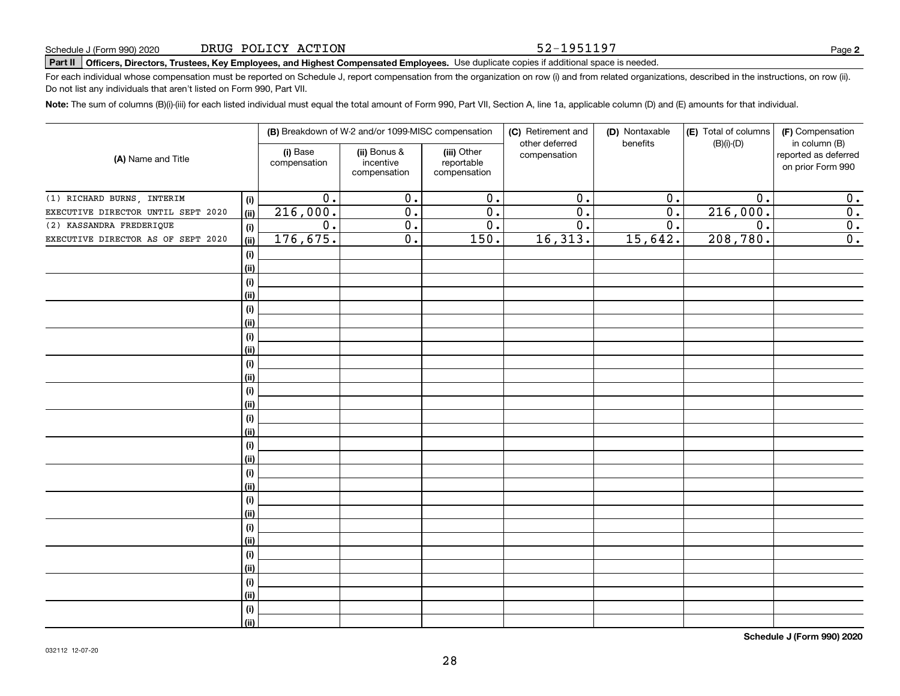#### 52-1951197

# **Part II Officers, Directors, Trustees, Key Employees, and Highest Compensated Employees.**  Schedule J (Form 990) 2020 Page Use duplicate copies if additional space is needed.

For each individual whose compensation must be reported on Schedule J, report compensation from the organization on row (i) and from related organizations, described in the instructions, on row (ii). Do not list any individuals that aren't listed on Form 990, Part VII.

**Note:**  The sum of columns (B)(i)-(iii) for each listed individual must equal the total amount of Form 990, Part VII, Section A, line 1a, applicable column (D) and (E) amounts for that individual.

|                                    |             |                          | (B) Breakdown of W-2 and/or 1099-MISC compensation |                                           | (C) Retirement and<br>other deferred | (D) Nontaxable<br>benefits | (E) Total of columns<br>$(B)(i)-(D)$ | (F) Compensation<br>in column (B)         |
|------------------------------------|-------------|--------------------------|----------------------------------------------------|-------------------------------------------|--------------------------------------|----------------------------|--------------------------------------|-------------------------------------------|
| (A) Name and Title                 |             | (i) Base<br>compensation | (ii) Bonus &<br>incentive<br>compensation          | (iii) Other<br>reportable<br>compensation | compensation                         |                            |                                      | reported as deferred<br>on prior Form 990 |
| (1) RICHARD BURNS, INTERIM         | (i)         | 0.                       | 0.                                                 | 0.                                        | $\overline{0}$ .                     | 0.                         | 0.                                   | 0.                                        |
| EXECUTIVE DIRECTOR UNTIL SEPT 2020 | (ii)        | 216,000.                 | 0.                                                 | 0.                                        | 0.                                   | 0.                         | 216,000.                             | 0.                                        |
| (2) KASSANDRA FREDERIQUE           | (i)         | 0.                       | 0.                                                 | 0.                                        | 0.                                   | 0.                         | $\overline{0}$ .                     | 0.                                        |
| EXECUTIVE DIRECTOR AS OF SEPT 2020 | (ii)        | 176,675.                 | 0.                                                 | 150.                                      | 16,313.                              | 15,642.                    | 208,780.                             | 0.                                        |
|                                    | (i)         |                          |                                                    |                                           |                                      |                            |                                      |                                           |
|                                    | (ii)        |                          |                                                    |                                           |                                      |                            |                                      |                                           |
|                                    | (i)         |                          |                                                    |                                           |                                      |                            |                                      |                                           |
|                                    | (ii)        |                          |                                                    |                                           |                                      |                            |                                      |                                           |
|                                    | (i)         |                          |                                                    |                                           |                                      |                            |                                      |                                           |
|                                    | (ii)        |                          |                                                    |                                           |                                      |                            |                                      |                                           |
|                                    | (i)         |                          |                                                    |                                           |                                      |                            |                                      |                                           |
|                                    | (ii)        |                          |                                                    |                                           |                                      |                            |                                      |                                           |
|                                    | (i)         |                          |                                                    |                                           |                                      |                            |                                      |                                           |
|                                    | (ii)        |                          |                                                    |                                           |                                      |                            |                                      |                                           |
|                                    | (i)         |                          |                                                    |                                           |                                      |                            |                                      |                                           |
|                                    | (ii)        |                          |                                                    |                                           |                                      |                            |                                      |                                           |
|                                    | (i)         |                          |                                                    |                                           |                                      |                            |                                      |                                           |
|                                    | (ii)        |                          |                                                    |                                           |                                      |                            |                                      |                                           |
|                                    | (i)         |                          |                                                    |                                           |                                      |                            |                                      |                                           |
|                                    | (ii)        |                          |                                                    |                                           |                                      |                            |                                      |                                           |
|                                    | (i)         |                          |                                                    |                                           |                                      |                            |                                      |                                           |
|                                    | (ii)        |                          |                                                    |                                           |                                      |                            |                                      |                                           |
|                                    | (i)         |                          |                                                    |                                           |                                      |                            |                                      |                                           |
|                                    | (ii)<br>(i) |                          |                                                    |                                           |                                      |                            |                                      |                                           |
|                                    | (ii)        |                          |                                                    |                                           |                                      |                            |                                      |                                           |
|                                    | (i)         |                          |                                                    |                                           |                                      |                            |                                      |                                           |
|                                    | (ii)        |                          |                                                    |                                           |                                      |                            |                                      |                                           |
|                                    | (i)         |                          |                                                    |                                           |                                      |                            |                                      |                                           |
|                                    | (ii)        |                          |                                                    |                                           |                                      |                            |                                      |                                           |
|                                    | (i)         |                          |                                                    |                                           |                                      |                            |                                      |                                           |
|                                    | (ii)        |                          |                                                    |                                           |                                      |                            |                                      |                                           |
|                                    |             |                          |                                                    |                                           |                                      |                            |                                      |                                           |

**Schedule J (Form 990) 2020**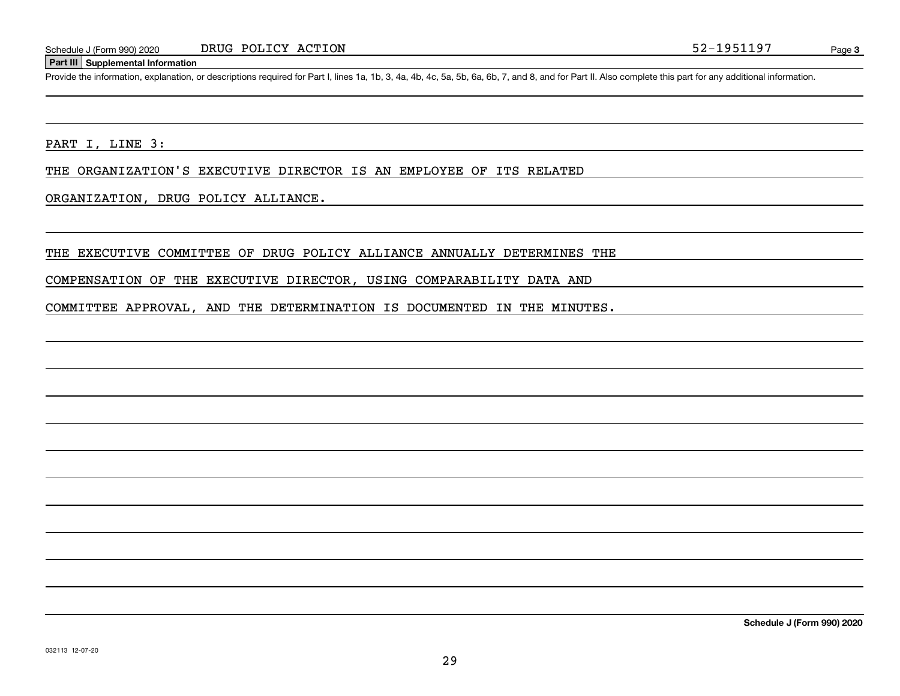#### **Part III Supplemental Information**

Schedule J (Form 990) 2020 DRUG POLICY ACTION 52-1951197<br>
Part III Supplemental Information<br>
Provide the information, explanation, or descriptions required for Part I, lines 1a, 1b, 3, 4a, 4b, 4c, 5a, 5b, 6a, 6b, 7, and 8,

PART I, LINE 3:

THE ORGANIZATION'S EXECUTIVE DIRECTOR IS AN EMPLOYEE OF ITS RELATED

ORGANIZATION, DRUG POLICY ALLIANCE.

THE EXECUTIVE COMMITTEE OF DRUG POLICY ALLIANCE ANNUALLY DETERMINES THE

COMPENSATION OF THE EXECUTIVE DIRECTOR, USING COMPARABILITY DATA AND

COMMITTEE APPROVAL, AND THE DETERMINATION IS DOCUMENTED IN THE MINUTES.

**Schedule J (Form 990) 2020**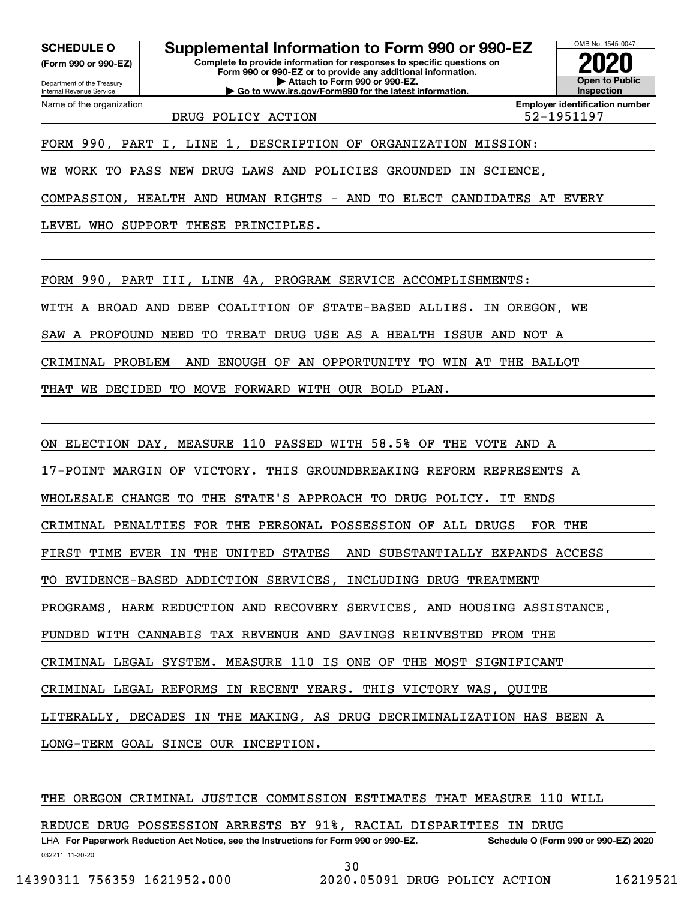**(Form 990 or 990-EZ)**

Department of the Treasury Internal Revenue Service Name of the organization

**Complete to provide information for responses to specific questions on SCHEDULE O Supplemental Information to Form 990 or 990-EZ**

**Form 990 or 990-EZ or to provide any additional information. | Attach to Form 990 or 990-EZ. | Go to www.irs.gov/Form990 for the latest information.**

OMB No. 1545-0047 **Open to Public Inspection2020**

DRUG POLICY ACTION 52-1951197

**Employer identification number**

FORM 990, PART I, LINE 1, DESCRIPTION OF ORGANIZATION MISSION:

WE WORK TO PASS NEW DRUG LAWS AND POLICIES GROUNDED IN SCIENCE,

COMPASSION, HEALTH AND HUMAN RIGHTS - AND TO ELECT CANDIDATES AT EVERY

LEVEL WHO SUPPORT THESE PRINCIPLES.

FORM 990, PART III, LINE 4A, PROGRAM SERVICE ACCOMPLISHMENTS:

WITH A BROAD AND DEEP COALITION OF STATE-BASED ALLIES. IN OREGON, WE

SAW A PROFOUND NEED TO TREAT DRUG USE AS A HEALTH ISSUE AND NOT A

CRIMINAL PROBLEM AND ENOUGH OF AN OPPORTUNITY TO WIN AT THE BALLOT

THAT WE DECIDED TO MOVE FORWARD WITH OUR BOLD PLAN.

ON ELECTION DAY, MEASURE 110 PASSED WITH 58.5% OF THE VOTE AND A

17-POINT MARGIN OF VICTORY. THIS GROUNDBREAKING REFORM REPRESENTS A

WHOLESALE CHANGE TO THE STATE'S APPROACH TO DRUG POLICY. IT ENDS

CRIMINAL PENALTIES FOR THE PERSONAL POSSESSION OF ALL DRUGS FOR THE

FIRST TIME EVER IN THE UNITED STATES AND SUBSTANTIALLY EXPANDS ACCESS

TO EVIDENCE-BASED ADDICTION SERVICES, INCLUDING DRUG TREATMENT

PROGRAMS, HARM REDUCTION AND RECOVERY SERVICES, AND HOUSING ASSISTANCE,

FUNDED WITH CANNABIS TAX REVENUE AND SAVINGS REINVESTED FROM THE

CRIMINAL LEGAL SYSTEM. MEASURE 110 IS ONE OF THE MOST SIGNIFICANT

CRIMINAL LEGAL REFORMS IN RECENT YEARS. THIS VICTORY WAS, QUITE

LITERALLY, DECADES IN THE MAKING, AS DRUG DECRIMINALIZATION HAS BEEN A

LONG-TERM GOAL SINCE OUR INCEPTION.

THE OREGON CRIMINAL JUSTICE COMMISSION ESTIMATES THAT MEASURE 110 WILL

REDUCE DRUG POSSESSION ARRESTS BY 91%, RACIAL DISPARITIES IN DRUG

032211 11-20-20 LHA For Paperwork Reduction Act Notice, see the Instructions for Form 990 or 990-EZ. Schedule O (Form 990 or 990-EZ) 2020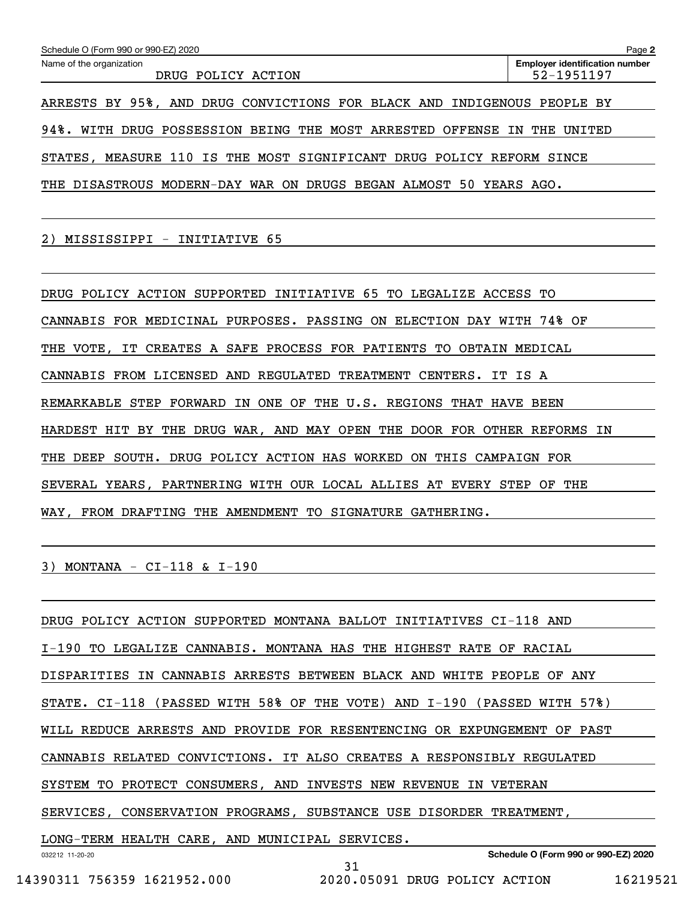| Schedule O (Form 990 or 990-EZ) 2020                                    | Page 2                                              |
|-------------------------------------------------------------------------|-----------------------------------------------------|
| Name of the organization<br>DRUG POLICY ACTION                          | <b>Employer identification number</b><br>52-1951197 |
| ARRESTS BY 95%, AND DRUG CONVICTIONS FOR BLACK AND INDIGENOUS PEOPLE BY |                                                     |
| 94%. WITH DRUG POSSESSION BEING THE MOST ARRESTED OFFENSE IN THE UNITED |                                                     |
| MEASURE 110 IS THE MOST SIGNIFICANT DRUG POLICY REFORM SINCE<br>STATES, |                                                     |
| THE DISASTROUS MODERN-DAY WAR ON DRUGS BEGAN ALMOST 50 YEARS AGO.       |                                                     |

2) MISSISSIPPI - INITIATIVE 65

DRUG POLICY ACTION SUPPORTED INITIATIVE 65 TO LEGALIZE ACCESS TO CANNABIS FOR MEDICINAL PURPOSES. PASSING ON ELECTION DAY WITH 74% OF THE VOTE, IT CREATES A SAFE PROCESS FOR PATIENTS TO OBTAIN MEDICAL CANNABIS FROM LICENSED AND REGULATED TREATMENT CENTERS. IT IS A REMARKABLE STEP FORWARD IN ONE OF THE U.S. REGIONS THAT HAVE BEEN HARDEST HIT BY THE DRUG WAR, AND MAY OPEN THE DOOR FOR OTHER REFORMS IN THE DEEP SOUTH. DRUG POLICY ACTION HAS WORKED ON THIS CAMPAIGN FOR SEVERAL YEARS, PARTNERING WITH OUR LOCAL ALLIES AT EVERY STEP OF THE WAY, FROM DRAFTING THE AMENDMENT TO SIGNATURE GATHERING.

3) MONTANA - CI-118 & I-190

032212 11-20-20 **Schedule O (Form 990 or 990-EZ) 2020** DRUG POLICY ACTION SUPPORTED MONTANA BALLOT INITIATIVES CI-118 AND I-190 TO LEGALIZE CANNABIS. MONTANA HAS THE HIGHEST RATE OF RACIAL DISPARITIES IN CANNABIS ARRESTS BETWEEN BLACK AND WHITE PEOPLE OF ANY STATE. CI-118 (PASSED WITH 58% OF THE VOTE) AND I-190 (PASSED WITH 57%) WILL REDUCE ARRESTS AND PROVIDE FOR RESENTENCING OR EXPUNGEMENT OF PAST CANNABIS RELATED CONVICTIONS. IT ALSO CREATES A RESPONSIBLY REGULATED SYSTEM TO PROTECT CONSUMERS, AND INVESTS NEW REVENUE IN VETERAN SERVICES, CONSERVATION PROGRAMS, SUBSTANCE USE DISORDER TREATMENT, LONG-TERM HEALTH CARE, AND MUNICIPAL SERVICES. 31

14390311 756359 1621952.000 2020.05091 DRUG POLICY ACTION 16219521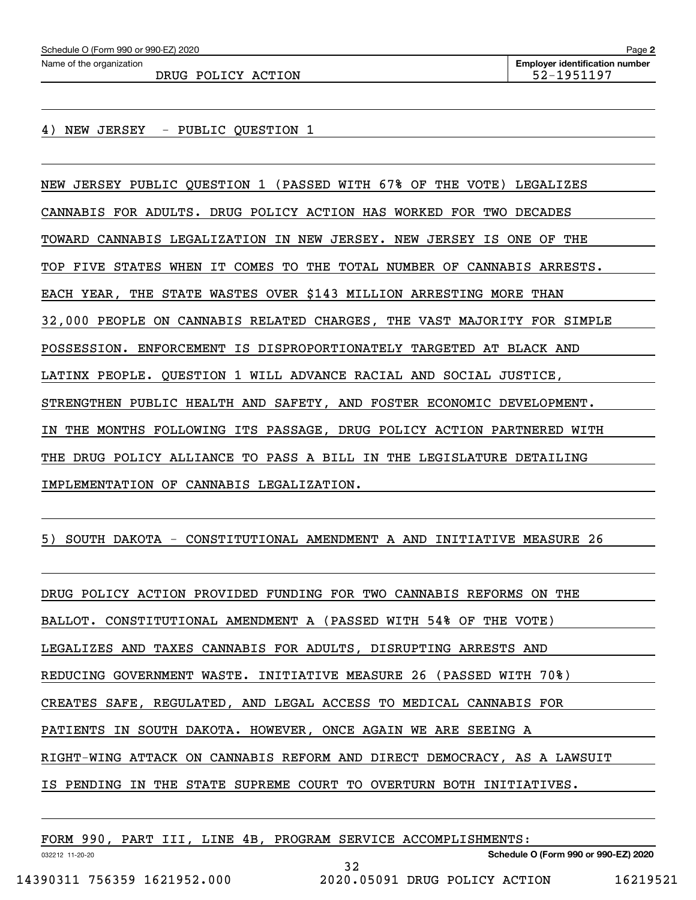DRUG POLICY ACTION 52-1951197

4) NEW JERSEY - PUBLIC QUESTION 1

NEW JERSEY PUBLIC QUESTION 1 (PASSED WITH 67% OF THE VOTE) LEGALIZES CANNABIS FOR ADULTS. DRUG POLICY ACTION HAS WORKED FOR TWO DECADES TOWARD CANNABIS LEGALIZATION IN NEW JERSEY. NEW JERSEY IS ONE OF THE TOP FIVE STATES WHEN IT COMES TO THE TOTAL NUMBER OF CANNABIS ARRESTS. EACH YEAR, THE STATE WASTES OVER \$143 MILLION ARRESTING MORE THAN 32,000 PEOPLE ON CANNABIS RELATED CHARGES, THE VAST MAJORITY FOR SIMPLE POSSESSION. ENFORCEMENT IS DISPROPORTIONATELY TARGETED AT BLACK AND LATINX PEOPLE. QUESTION 1 WILL ADVANCE RACIAL AND SOCIAL JUSTICE, STRENGTHEN PUBLIC HEALTH AND SAFETY, AND FOSTER ECONOMIC DEVELOPMENT. IN THE MONTHS FOLLOWING ITS PASSAGE, DRUG POLICY ACTION PARTNERED WITH THE DRUG POLICY ALLIANCE TO PASS A BILL IN THE LEGISLATURE DETAILING IMPLEMENTATION OF CANNABIS LEGALIZATION.

5) SOUTH DAKOTA - CONSTITUTIONAL AMENDMENT A AND INITIATIVE MEASURE 26

DRUG POLICY ACTION PROVIDED FUNDING FOR TWO CANNABIS REFORMS ON THE BALLOT. CONSTITUTIONAL AMENDMENT A (PASSED WITH 54% OF THE VOTE) LEGALIZES AND TAXES CANNABIS FOR ADULTS, DISRUPTING ARRESTS AND REDUCING GOVERNMENT WASTE. INITIATIVE MEASURE 26 (PASSED WITH 70%) CREATES SAFE, REGULATED, AND LEGAL ACCESS TO MEDICAL CANNABIS FOR PATIENTS IN SOUTH DAKOTA. HOWEVER, ONCE AGAIN WE ARE SEEING A RIGHT-WING ATTACK ON CANNABIS REFORM AND DIRECT DEMOCRACY, AS A LAWSUIT IS PENDING IN THE STATE SUPREME COURT TO OVERTURN BOTH INITIATIVES.

| 990<br>FORM     | PART | III. | LINE |  | 4B, PROGRAM SERVICE ACCOMPLISHMENTS: |  |
|-----------------|------|------|------|--|--------------------------------------|--|
| 032212 11-20-20 |      |      |      |  | Schedule O (Form 990 or 990-EZ) 2020 |  |

32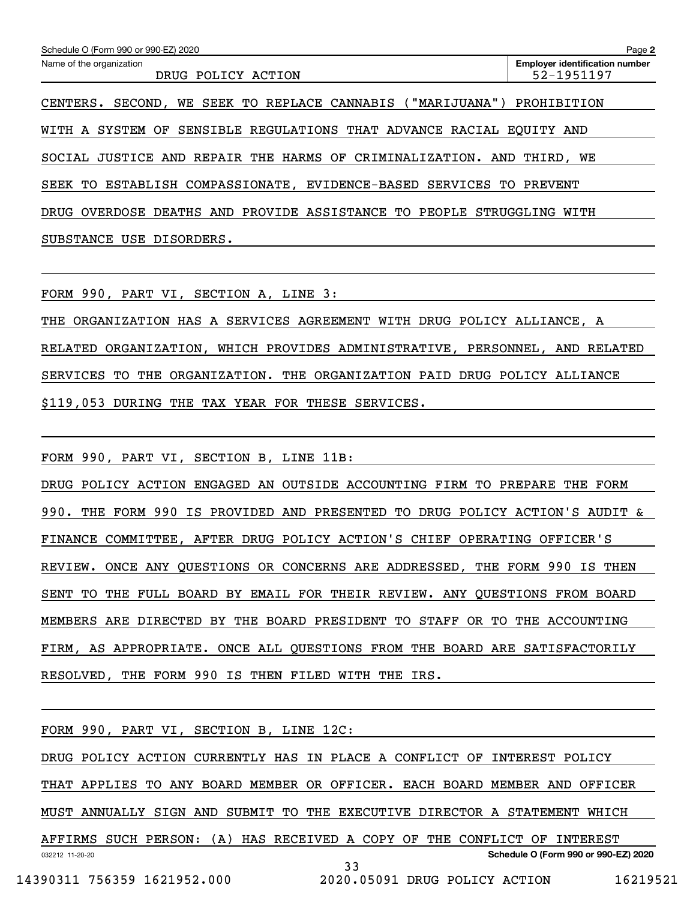| Schedule O (Form 990 or 990-EZ) 2020                                  | Page 2                                              |
|-----------------------------------------------------------------------|-----------------------------------------------------|
| Name of the organization<br>DRUG POLICY ACTION                        | <b>Employer identification number</b><br>52-1951197 |
| SECOND, WE SEEK TO REPLACE CANNABIS ("MARIJUANA")<br>CENTERS.         | PROHIBITION                                         |
| WITH A SYSTEM OF SENSIBLE REGULATIONS THAT ADVANCE RACIAL EOUITY AND  |                                                     |
| SOCIAL JUSTICE AND REPAIR THE HARMS OF CRIMINALIZATION. AND THIRD, WE |                                                     |
| ESTABLISH COMPASSIONATE, EVIDENCE-BASED SERVICES TO<br>SEEK TO        | PREVENT                                             |
| DRUG OVERDOSE DEATHS AND PROVIDE ASSISTANCE TO PEOPLE STRUGGLING      | WITH                                                |
| USE DISORDERS.<br>SUBSTANCE                                           |                                                     |

FORM 990, PART VI, SECTION A, LINE 3:

THE ORGANIZATION HAS A SERVICES AGREEMENT WITH DRUG POLICY ALLIANCE, A RELATED ORGANIZATION, WHICH PROVIDES ADMINISTRATIVE, PERSONNEL, AND RELATED SERVICES TO THE ORGANIZATION. THE ORGANIZATION PAID DRUG POLICY ALLIANCE \$119,053 DURING THE TAX YEAR FOR THESE SERVICES.

FORM 990, PART VI, SECTION B, LINE 11B:

DRUG POLICY ACTION ENGAGED AN OUTSIDE ACCOUNTING FIRM TO PREPARE THE FORM 990. THE FORM 990 IS PROVIDED AND PRESENTED TO DRUG POLICY ACTION'S AUDIT & FINANCE COMMITTEE, AFTER DRUG POLICY ACTION'S CHIEF OPERATING OFFICER'S REVIEW. ONCE ANY QUESTIONS OR CONCERNS ARE ADDRESSED, THE FORM 990 IS THEN SENT TO THE FULL BOARD BY EMAIL FOR THEIR REVIEW. ANY QUESTIONS FROM BOARD MEMBERS ARE DIRECTED BY THE BOARD PRESIDENT TO STAFF OR TO THE ACCOUNTING FIRM, AS APPROPRIATE. ONCE ALL QUESTIONS FROM THE BOARD ARE SATISFACTORILY RESOLVED, THE FORM 990 IS THEN FILED WITH THE IRS.

032212 11-20-20 **Schedule O (Form 990 or 990-EZ) 2020** FORM 990, PART VI, SECTION B, LINE 12C: DRUG POLICY ACTION CURRENTLY HAS IN PLACE A CONFLICT OF INTEREST POLICY THAT APPLIES TO ANY BOARD MEMBER OR OFFICER. EACH BOARD MEMBER AND OFFICER MUST ANNUALLY SIGN AND SUBMIT TO THE EXECUTIVE DIRECTOR A STATEMENT WHICH AFFIRMS SUCH PERSON: (A) HAS RECEIVED A COPY OF THE CONFLICT OF INTEREST 33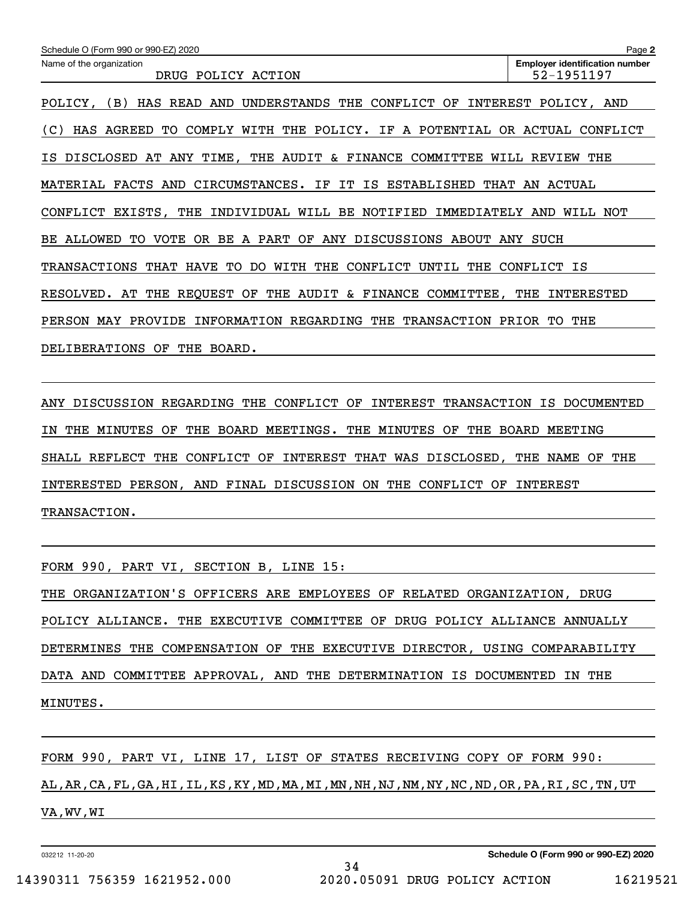| Schedule O (Form 990 or 990-EZ) 2020                                                     | Page 2                                              |
|------------------------------------------------------------------------------------------|-----------------------------------------------------|
| Name of the organization<br>DRUG POLICY ACTION                                           | <b>Employer identification number</b><br>52-1951197 |
| (B)<br>AND<br>UNDERSTANDS<br>THE<br>CONFLICT<br>OF<br>POLICY,<br>HAS READ                | INTEREST POLICY, AND                                |
| WITH THE POLICY. IF A POTENTIAL<br>AGREED<br>TO.<br>COMPLY<br>(C)<br>HAS                 | OR ACTUAL<br>CONFLICT                               |
| AT ANY TIME,<br>THE AUDIT & FINANCE COMMITTEE<br>IS DISCLOSED                            | THE<br>WILL REVIEW                                  |
| FACTS<br>AND<br>CIRCUMSTANCES. IF IT IS ESTABLISHED<br>THAT<br>MATERIAL                  | AN ACTUAL                                           |
| CONFLICT EXISTS, THE<br>INDIVIDUAL WILL BE NOTIFIED<br>IMMEDIATELY                       | AND<br>WILL NOT                                     |
| OR BE A PART OF<br>ANY DISCUSSIONS<br>BE ALLOWED<br>TO.<br>VOTE<br>ABOUT                 | ANY<br>SUCH                                         |
| <b>TRANSACTIONS</b><br>THAT HAVE<br>TO<br>DO.<br>WITH<br>THE<br>CONFLICT<br>UNTIL<br>THE | CONFLICT IS                                         |
| AT THE REQUEST OF THE AUDIT & FINANCE COMMITTEE,<br>RESOLVED.                            | THE<br>INTERESTED                                   |
| MAY<br>INFORMATION REGARDING<br>THE<br><b>TRANSACTION</b><br><b>PERSON</b><br>PROVIDE    | PRIOR<br>TО<br>THE                                  |
| <b>DELIBERATIONS</b><br>OF<br>THE<br>BOARD.                                              |                                                     |

ANY DISCUSSION REGARDING THE CONFLICT OF INTEREST TRANSACTION IS DOCUMENTED IN THE MINUTES OF THE BOARD MEETINGS. THE MINUTES OF THE BOARD MEETING SHALL REFLECT THE CONFLICT OF INTEREST THAT WAS DISCLOSED, THE NAME OF THE INTERESTED PERSON, AND FINAL DISCUSSION ON THE CONFLICT OF INTEREST TRANSACTION.

FORM 990, PART VI, SECTION B, LINE 15:

THE ORGANIZATION'S OFFICERS ARE EMPLOYEES OF RELATED ORGANIZATION, DRUG POLICY ALLIANCE. THE EXECUTIVE COMMITTEE OF DRUG POLICY ALLIANCE ANNUALLY DETERMINES THE COMPENSATION OF THE EXECUTIVE DIRECTOR, USING COMPARABILITY DATA AND COMMITTEE APPROVAL, AND THE DETERMINATION IS DOCUMENTED IN THE MINUTES.

FORM 990, PART VI, LINE 17, LIST OF STATES RECEIVING COPY OF FORM 990: AL,AR,CA,FL,GA,HI,IL,KS,KY,MD,MA,MI,MN,NH,NJ,NM,NY,NC,ND,OR,PA,RI,SC,TN,UT VA,WV,WI

34

032212 11-20-20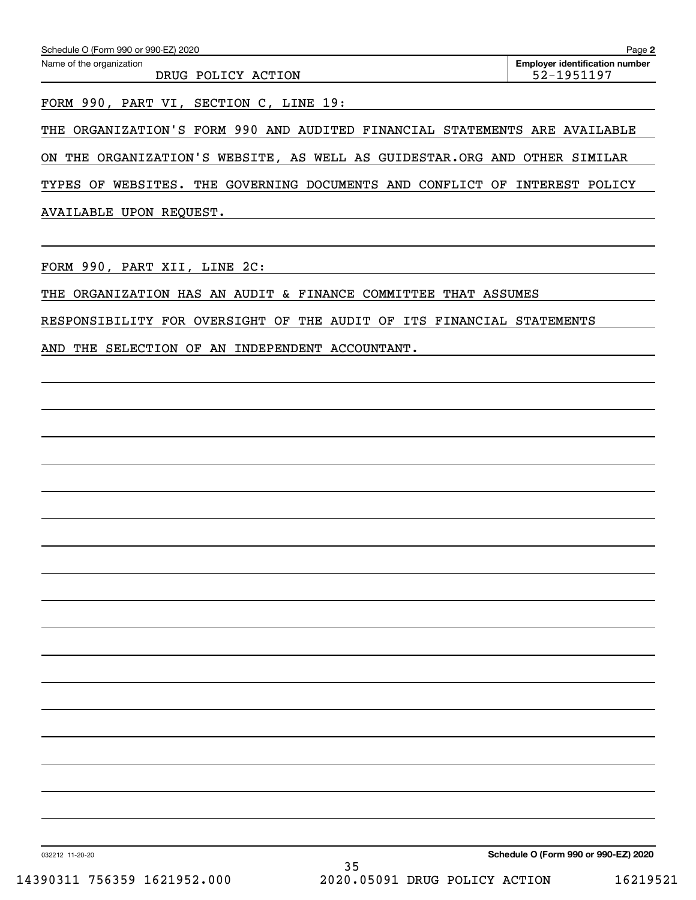| Schedule O (Form 990 or 990-EZ) 2020           | Page 2                                              |
|------------------------------------------------|-----------------------------------------------------|
| Name of the organization<br>DRUG POLICY ACTION | <b>Employer identification number</b><br>52-1951197 |
|                                                |                                                     |

FORM 990, PART VI, SECTION C, LINE 19:

THE ORGANIZATION'S FORM 990 AND AUDITED FINANCIAL STATEMENTS ARE AVAILABLE

ON THE ORGANIZATION'S WEBSITE, AS WELL AS GUIDESTAR.ORG AND OTHER SIMILAR

TYPES OF WEBSITES. THE GOVERNING DOCUMENTS AND CONFLICT OF INTEREST POLICY

AVAILABLE UPON REQUEST.

FORM 990, PART XII, LINE 2C:

THE ORGANIZATION HAS AN AUDIT & FINANCE COMMITTEE THAT ASSUMES

RESPONSIBILITY FOR OVERSIGHT OF THE AUDIT OF ITS FINANCIAL STATEMENTS

AND THE SELECTION OF AN INDEPENDENT ACCOUNTANT.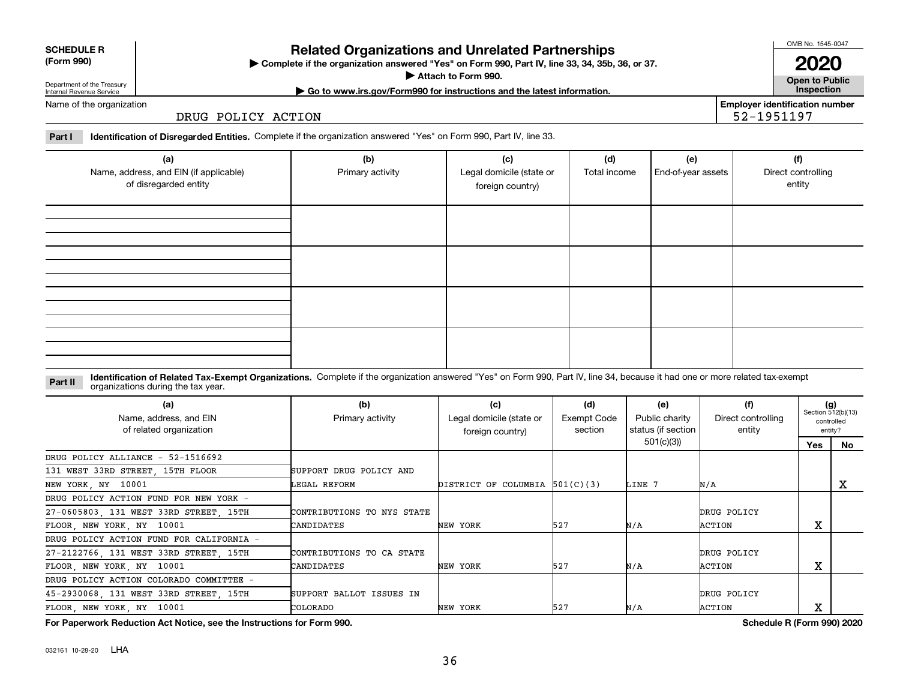## 032161 10-28-20 LHA

# **Related Organizations and Unrelated Partnerships**

**Complete if the organization answered "Yes" on Form 990, Part IV, line 33, 34, 35b, 36, or 37.** |

**Attach to Form 990.**  |

# Department of the Treasury Internal Revenue Service

**| Go to www.irs.gov/Form990 for instructions and the latest information. Inspection**

Name of the organization

DRUG POLICY ACTION

**Part I Identification of Disregarded Entities.**  Complete if the organization answered "Yes" on Form 990, Part IV, line 33.

| (a)<br>Name, address, and EIN (if applicable)<br>of disregarded entity | (b)<br>Primary activity | (c)<br>Legal domicile (state or<br>foreign country) | (d)<br>Total income | (e)<br>End-of-year assets | (f)<br>Direct controlling<br>entity |
|------------------------------------------------------------------------|-------------------------|-----------------------------------------------------|---------------------|---------------------------|-------------------------------------|
|                                                                        |                         |                                                     |                     |                           |                                     |
|                                                                        |                         |                                                     |                     |                           |                                     |
|                                                                        |                         |                                                     |                     |                           |                                     |
|                                                                        |                         |                                                     |                     |                           |                                     |
|                                                                        |                         |                                                     |                     |                           |                                     |
|                                                                        |                         |                                                     |                     |                           |                                     |
|                                                                        |                         |                                                     |                     |                           |                                     |
|                                                                        |                         |                                                     |                     |                           |                                     |
|                                                                        |                         |                                                     |                     |                           |                                     |

#### **Identification of Related Tax-Exempt Organizations.** Complete if the organization answered "Yes" on Form 990, Part IV, line 34, because it had one or more related tax-exempt **Part II** organizations during the tax year.

| (a)<br>Name, address, and EIN<br>of related organization | (b)<br>Primary activity    | (c)<br>Legal domicile (state or<br>foreign country) | (d)<br><b>Exempt Code</b><br>section | (e)<br>Public charity<br>status (if section | (f)<br>Direct controlling<br>entity | $(g)$<br>Section 512(b)(13)<br>entity? | controlled |
|----------------------------------------------------------|----------------------------|-----------------------------------------------------|--------------------------------------|---------------------------------------------|-------------------------------------|----------------------------------------|------------|
|                                                          |                            |                                                     |                                      | 501(c)(3))                                  |                                     | Yes                                    | No         |
| DRUG POLICY ALLIANCE - 52-1516692                        |                            |                                                     |                                      |                                             |                                     |                                        |            |
| 131 WEST 33RD STREET, 15TH FLOOR                         | SUPPORT DRUG POLICY AND    |                                                     |                                      |                                             |                                     |                                        |            |
| NEW YORK, NY 10001                                       | LEGAL REFORM               | DISTRICT OF COLUMBIA 501(C)(3)                      |                                      | LINE 7                                      | N/A                                 |                                        | х          |
| DRUG POLICY ACTION FUND FOR NEW YORK -                   |                            |                                                     |                                      |                                             |                                     |                                        |            |
| 27-0605803 131 WEST 33RD STREET 15TH                     | CONTRIBUTIONS TO NYS STATE |                                                     |                                      |                                             | DRUG POLICY                         |                                        |            |
| FLOOR, NEW YORK, NY 10001                                | CANDIDATES                 | NEW YORK                                            | 527                                  | N/A                                         | ACTION                              | X                                      |            |
| DRUG POLICY ACTION FUND FOR CALIFORNIA -                 |                            |                                                     |                                      |                                             |                                     |                                        |            |
| 27-2122766 131 WEST 33RD STREET 15TH                     | CONTRIBUTIONS TO CA STATE  |                                                     |                                      |                                             | DRUG POLICY                         |                                        |            |
| FLOOR, NEW YORK, NY 10001                                | CANDIDATES                 | NEW YORK                                            | 527                                  | N/A                                         | ACTION                              | Χ                                      |            |
| DRUG POLICY ACTION COLORADO COMMITTEE -                  |                            |                                                     |                                      |                                             |                                     |                                        |            |
| 45-2930068, 131 WEST 33RD STREET, 15TH                   | SUPPORT BALLOT ISSUES IN   |                                                     |                                      |                                             | DRUG POLICY                         |                                        |            |
| FLOOR, NEW YORK, NY 10001                                | COLORADO                   | NEW YORK                                            | 527                                  | N/A                                         | ACTION                              | х                                      |            |

**For Paperwork Reduction Act Notice, see the Instructions for Form 990. Schedule R (Form 990) 2020**

**Open to Public 2020**

**Employer identification number** 52-1951197

OMB No. 1545-0047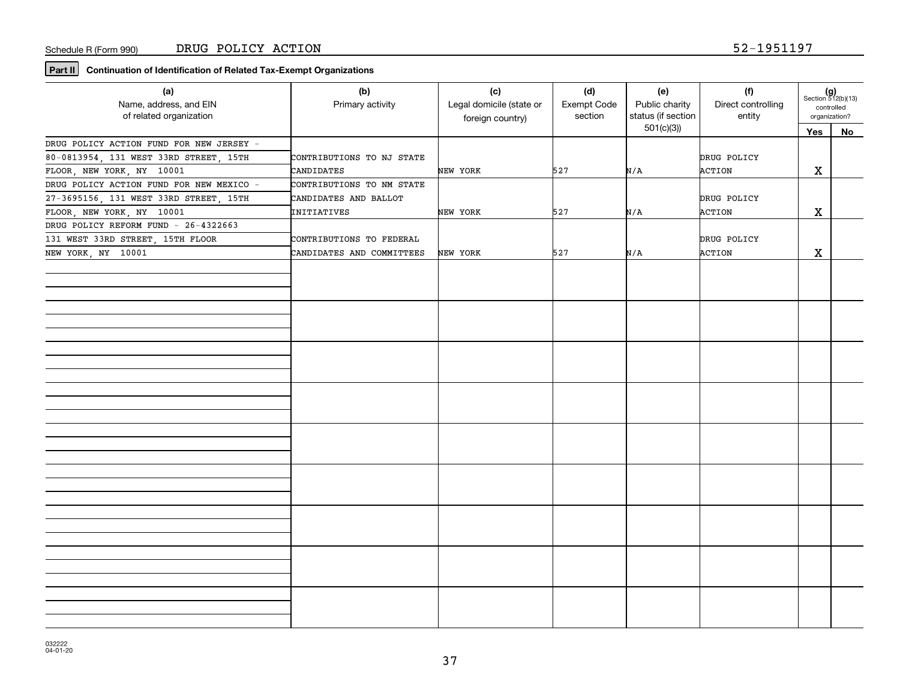**Part II** Continuation of Identification of Related Tax-Exempt Organizations

| (a)<br>Name, address, and EIN<br>of related organization | (b)<br>Primary activity   | (c)<br>Legal domicile (state or<br>foreign country) | (d)<br>Exempt Code<br>section | (e)<br>Public charity<br>status (if section<br>501(c)(3) | (f)<br>Direct controlling<br>entity | $(g)$<br>Section 512(b)(13)<br>controlled<br>organization? |    |
|----------------------------------------------------------|---------------------------|-----------------------------------------------------|-------------------------------|----------------------------------------------------------|-------------------------------------|------------------------------------------------------------|----|
|                                                          |                           |                                                     |                               |                                                          |                                     | Yes                                                        | No |
| DRUG POLICY ACTION FUND FOR NEW JERSEY -                 |                           |                                                     |                               |                                                          |                                     |                                                            |    |
| 80-0813954, 131 WEST 33RD STREET, 15TH                   | CONTRIBUTIONS TO NJ STATE |                                                     |                               |                                                          | DRUG POLICY                         |                                                            |    |
| FLOOR, NEW YORK, NY 10001                                | CANDIDATES                | NEW YORK                                            | 527                           | N/A                                                      | ACTION                              | X                                                          |    |
| DRUG POLICY ACTION FUND FOR NEW MEXICO -                 | CONTRIBUTIONS TO NM STATE |                                                     |                               |                                                          |                                     |                                                            |    |
| 27-3695156, 131 WEST 33RD STREET, 15TH                   | CANDIDATES AND BALLOT     |                                                     |                               |                                                          | DRUG POLICY                         |                                                            |    |
| FLOOR, NEW YORK, NY 10001                                | INITIATIVES               | NEW YORK                                            | 527                           | N/A                                                      | ACTION                              | X                                                          |    |
| DRUG POLICY REFORM FUND - 26-4322663                     |                           |                                                     |                               |                                                          |                                     |                                                            |    |
| 131 WEST 33RD STREET, 15TH FLOOR                         | CONTRIBUTIONS TO FEDERAL  |                                                     |                               |                                                          | DRUG POLICY                         |                                                            |    |
| NEW YORK, NY 10001                                       | CANDIDATES AND COMMITTEES | NEW YORK                                            | 527                           | N/A                                                      | ACTION                              | X                                                          |    |
|                                                          |                           |                                                     |                               |                                                          |                                     |                                                            |    |
|                                                          |                           |                                                     |                               |                                                          |                                     |                                                            |    |
|                                                          |                           |                                                     |                               |                                                          |                                     |                                                            |    |
|                                                          |                           |                                                     |                               |                                                          |                                     |                                                            |    |
|                                                          |                           |                                                     |                               |                                                          |                                     |                                                            |    |
|                                                          |                           |                                                     |                               |                                                          |                                     |                                                            |    |
|                                                          |                           |                                                     |                               |                                                          |                                     |                                                            |    |
|                                                          |                           |                                                     |                               |                                                          |                                     |                                                            |    |
|                                                          |                           |                                                     |                               |                                                          |                                     |                                                            |    |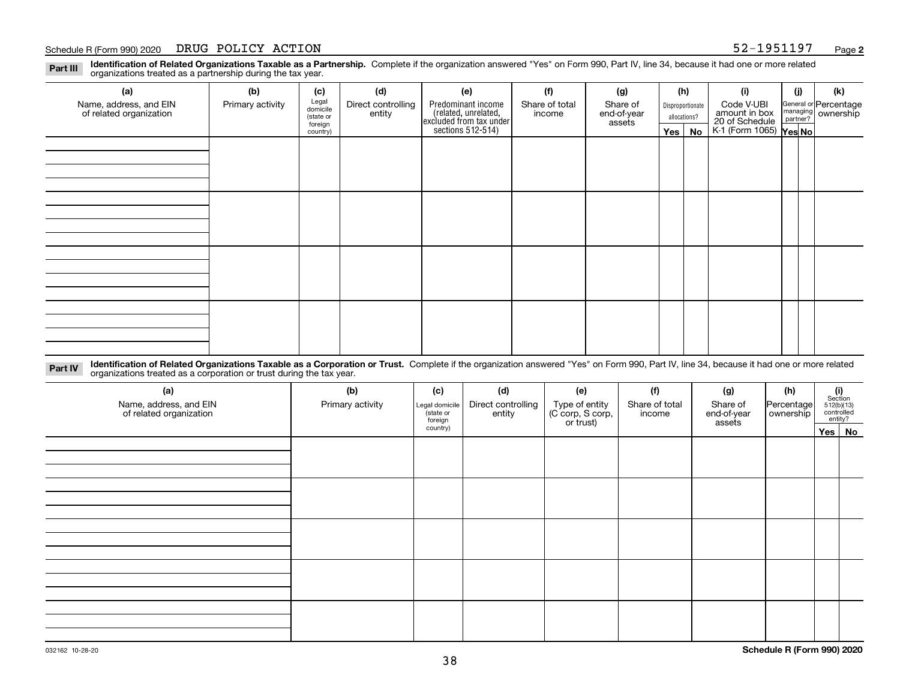#### Schedule R (Form 990) 2020 DRUG POLICY ACTION 52-1951197 <sub>Page</sub>

**Identification of Related Organizations Taxable as a Partnership.** Complete if the organization answered "Yes" on Form 990, Part IV, line 34, because it had one or more related **Part III** organizations treated as a partnership during the tax year.

| (a)                                               | (b)              | (c)                  | (d)                          | (e)                                                                  | (f)                      | (g)                     | (h) |                  | (i)                                                              | (j) | (k)                                                       |
|---------------------------------------------------|------------------|----------------------|------------------------------|----------------------------------------------------------------------|--------------------------|-------------------------|-----|------------------|------------------------------------------------------------------|-----|-----------------------------------------------------------|
| Name, address, and EIN<br>of related organization | Primary activity | Legal<br>domicile    | Direct controlling<br>entity | Predominant income                                                   | Share of total<br>income | Share of<br>end-of-year |     | Disproportionate | Code V-UBI                                                       |     | General or Percentage<br>managing<br>partner?<br>partner? |
|                                                   |                  | (state or<br>foreign |                              |                                                                      |                          | assets                  |     | allocations?     |                                                                  |     |                                                           |
|                                                   |                  | country)             |                              | (related, unrelated,<br>excluded from tax under<br>sections 512-514) |                          |                         |     | $Yes \mid No$    | amount in box<br>20 of Schedule<br>K-1 (Form 1065) <b>Yes No</b> |     |                                                           |
|                                                   |                  |                      |                              |                                                                      |                          |                         |     |                  |                                                                  |     |                                                           |
|                                                   |                  |                      |                              |                                                                      |                          |                         |     |                  |                                                                  |     |                                                           |
|                                                   |                  |                      |                              |                                                                      |                          |                         |     |                  |                                                                  |     |                                                           |
|                                                   |                  |                      |                              |                                                                      |                          |                         |     |                  |                                                                  |     |                                                           |
|                                                   |                  |                      |                              |                                                                      |                          |                         |     |                  |                                                                  |     |                                                           |
|                                                   |                  |                      |                              |                                                                      |                          |                         |     |                  |                                                                  |     |                                                           |
|                                                   |                  |                      |                              |                                                                      |                          |                         |     |                  |                                                                  |     |                                                           |
|                                                   |                  |                      |                              |                                                                      |                          |                         |     |                  |                                                                  |     |                                                           |
|                                                   |                  |                      |                              |                                                                      |                          |                         |     |                  |                                                                  |     |                                                           |
|                                                   |                  |                      |                              |                                                                      |                          |                         |     |                  |                                                                  |     |                                                           |
|                                                   |                  |                      |                              |                                                                      |                          |                         |     |                  |                                                                  |     |                                                           |
|                                                   |                  |                      |                              |                                                                      |                          |                         |     |                  |                                                                  |     |                                                           |
|                                                   |                  |                      |                              |                                                                      |                          |                         |     |                  |                                                                  |     |                                                           |
|                                                   |                  |                      |                              |                                                                      |                          |                         |     |                  |                                                                  |     |                                                           |
|                                                   |                  |                      |                              |                                                                      |                          |                         |     |                  |                                                                  |     |                                                           |
|                                                   |                  |                      |                              |                                                                      |                          |                         |     |                  |                                                                  |     |                                                           |
|                                                   |                  |                      |                              |                                                                      |                          |                         |     |                  |                                                                  |     |                                                           |

**Identification of Related Organizations Taxable as a Corporation or Trust.** Complete if the organization answered "Yes" on Form 990, Part IV, line 34, because it had one or more related **Part IV** organizations treated as a corporation or trust during the tax year.

| (a)<br>Name, address, and EIN<br>of related organization | (b)<br>Primary activity | (c)<br>Legal domicile<br>(state or<br>foreign | (d)<br>Direct controlling<br>entity | (e)<br>Type of entity<br>(C corp, S corp,<br>or trust) | (f)<br>Share of total<br>income | (g)<br>Share of<br>end-of-year<br>assets | (h)<br>Percentage<br>ownership | $\begin{array}{c} \textbf{(i)}\\ \text{Section}\\ 512 \text{(b)} \text{(13)}\\ \text{controlled}\\ \text{entity?} \end{array}$ |
|----------------------------------------------------------|-------------------------|-----------------------------------------------|-------------------------------------|--------------------------------------------------------|---------------------------------|------------------------------------------|--------------------------------|--------------------------------------------------------------------------------------------------------------------------------|
|                                                          |                         | country)                                      |                                     |                                                        |                                 |                                          |                                | Yes No                                                                                                                         |
|                                                          |                         |                                               |                                     |                                                        |                                 |                                          |                                |                                                                                                                                |
|                                                          |                         |                                               |                                     |                                                        |                                 |                                          |                                |                                                                                                                                |
|                                                          |                         |                                               |                                     |                                                        |                                 |                                          |                                |                                                                                                                                |
|                                                          |                         |                                               |                                     |                                                        |                                 |                                          |                                |                                                                                                                                |
|                                                          |                         |                                               |                                     |                                                        |                                 |                                          |                                |                                                                                                                                |
|                                                          |                         |                                               |                                     |                                                        |                                 |                                          |                                |                                                                                                                                |
|                                                          |                         |                                               |                                     |                                                        |                                 |                                          |                                |                                                                                                                                |
|                                                          |                         |                                               |                                     |                                                        |                                 |                                          |                                |                                                                                                                                |
|                                                          |                         |                                               |                                     |                                                        |                                 |                                          |                                |                                                                                                                                |
|                                                          |                         |                                               |                                     |                                                        |                                 |                                          |                                |                                                                                                                                |
|                                                          |                         |                                               |                                     |                                                        |                                 |                                          |                                |                                                                                                                                |
|                                                          |                         |                                               |                                     |                                                        |                                 |                                          |                                |                                                                                                                                |
|                                                          |                         |                                               |                                     |                                                        |                                 |                                          |                                |                                                                                                                                |
|                                                          |                         |                                               |                                     |                                                        |                                 |                                          |                                |                                                                                                                                |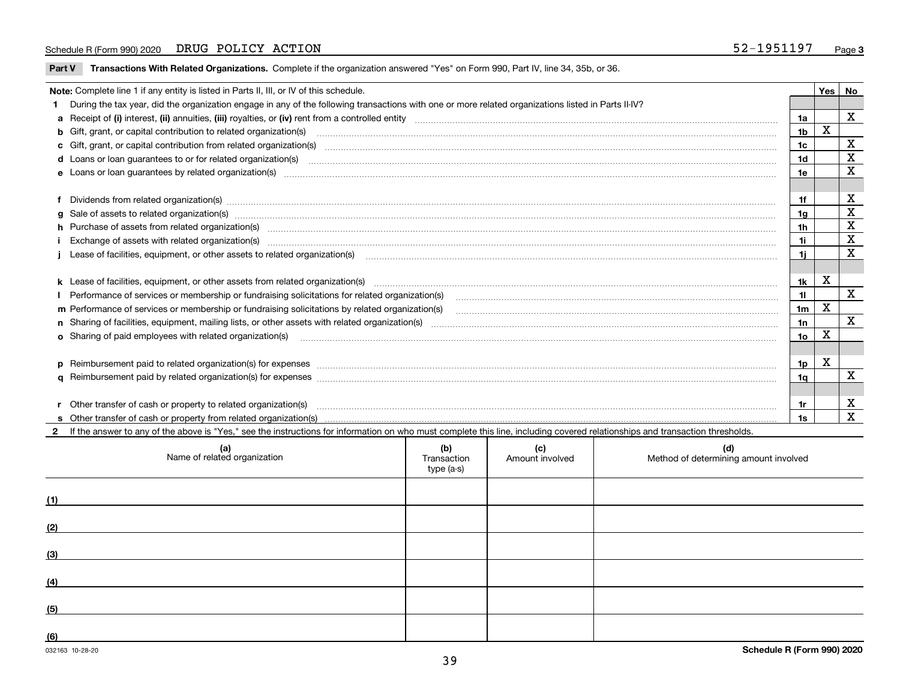#### Schedule R (Form 990) 2020 DRUG POLICY ACTION 52-1951197 <sub>Page</sub>

**Part V** T**ransactions With Related Organizations.** Complete if the organization answered "Yes" on Form 990, Part IV, line 34, 35b, or 36.

| Note: Complete line 1 if any entity is listed in Parts II, III, or IV of this schedule.                                                                                                                                              |                                                                                                                                                                                                                                   |                 |   |                         |  |
|--------------------------------------------------------------------------------------------------------------------------------------------------------------------------------------------------------------------------------------|-----------------------------------------------------------------------------------------------------------------------------------------------------------------------------------------------------------------------------------|-----------------|---|-------------------------|--|
|                                                                                                                                                                                                                                      | 1 During the tax year, did the organization engage in any of the following transactions with one or more related organizations listed in Parts II-IV?                                                                             |                 |   |                         |  |
| 1a                                                                                                                                                                                                                                   |                                                                                                                                                                                                                                   |                 |   |                         |  |
|                                                                                                                                                                                                                                      | b Gift, grant, or capital contribution to related organization(s) manufactured and contribution to related organization(s)                                                                                                        | 1 <sub>b</sub>  | X |                         |  |
|                                                                                                                                                                                                                                      | c Gift, grant, or capital contribution from related organization(s) manufaction(s) manufaction contribution from related organization(s) manufaction contribution from related organization(s) manufaction continuum contribut    | 1c              |   | $\mathbf X$             |  |
|                                                                                                                                                                                                                                      |                                                                                                                                                                                                                                   | 1 <sub>d</sub>  |   | $\mathbf x$             |  |
| e Loans or loan guarantees by related organization(s) made accommunication control and control and control and control and control and control and control and control and control and control and control and control and con<br>1e |                                                                                                                                                                                                                                   |                 |   |                         |  |
|                                                                                                                                                                                                                                      |                                                                                                                                                                                                                                   |                 |   |                         |  |
|                                                                                                                                                                                                                                      | f Dividends from related organization(s) manufactured contains and contained and contained contained and contained and contained and contained and contained and contained and contained and contained and contained and conta    | 1f              |   | х                       |  |
|                                                                                                                                                                                                                                      | g Sale of assets to related organization(s) www.assetsion.com/www.assetsion.com/www.assetsion.com/www.assetsion.com/www.assetsion.com/www.assetsion.com/www.assetsion.com/www.assetsion.com/www.assetsion.com/www.assetsion.co    | 1a              |   | X                       |  |
|                                                                                                                                                                                                                                      | h Purchase of assets from related organization(s) manufactured and content to content the content of assets from related organization(s)                                                                                          | 1 <sub>h</sub>  |   | X                       |  |
|                                                                                                                                                                                                                                      | Exchange of assets with related organization(s) www.wallen.com/www.wallen.com/www.wallen.com/www.wallen.com/www.wallen.com/www.wallen.com/www.wallen.com/www.wallen.com/www.wallen.com/www.wallen.com/www.wallen.com/www.walle    | 1i.             |   | $\mathbf x$             |  |
| Lease of facilities, equipment, or other assets to related organization(s) The manufaction content to the manufacture of facilities, equipment, or other assets to related organization(s)                                           |                                                                                                                                                                                                                                   |                 |   | $\overline{\mathbf{x}}$ |  |
|                                                                                                                                                                                                                                      |                                                                                                                                                                                                                                   |                 |   |                         |  |
|                                                                                                                                                                                                                                      | k Lease of facilities, equipment, or other assets from related organization(s) manufaction content and content and content and content and content and content and content and content and content and content and content and    | 1k              | X |                         |  |
|                                                                                                                                                                                                                                      |                                                                                                                                                                                                                                   | 11              |   | $\mathbf X$             |  |
| m Performance of services or membership or fundraising solicitations by related organization(s)<br>1 <sub>m</sub>                                                                                                                    |                                                                                                                                                                                                                                   |                 |   |                         |  |
| 1n                                                                                                                                                                                                                                   |                                                                                                                                                                                                                                   |                 |   |                         |  |
|                                                                                                                                                                                                                                      | <b>o</b> Sharing of paid employees with related organization(s)                                                                                                                                                                   | 10 <sub>o</sub> | X |                         |  |
|                                                                                                                                                                                                                                      |                                                                                                                                                                                                                                   |                 |   |                         |  |
|                                                                                                                                                                                                                                      |                                                                                                                                                                                                                                   | 1p              | х |                         |  |
|                                                                                                                                                                                                                                      |                                                                                                                                                                                                                                   | 1a              |   | $\mathbf{x}$            |  |
|                                                                                                                                                                                                                                      |                                                                                                                                                                                                                                   |                 |   |                         |  |
|                                                                                                                                                                                                                                      | r Other transfer of cash or property to related organization(s)                                                                                                                                                                   | 1r              |   | X                       |  |
|                                                                                                                                                                                                                                      | r Other transfer of cash or property to related organization(s) www.communities.com/www.communities-communities<br>S Other transfer of cash or property from related organization(s) www.communities.communities-communities-comm | 1s              |   | X                       |  |
|                                                                                                                                                                                                                                      | 2 If the answer to any of the above is "Yes," see the instructions for information on who must complete this line, including covered relationships and transaction thresholds.                                                    |                 |   |                         |  |

| (a)<br>Name of related organization | (b)<br>Transaction<br>type (a-s) | (c)<br>Amount involved | (d)<br>Method of determining amount involved |
|-------------------------------------|----------------------------------|------------------------|----------------------------------------------|
| (1)                                 |                                  |                        |                                              |
| (2)                                 |                                  |                        |                                              |
| (3)                                 |                                  |                        |                                              |
| (4)                                 |                                  |                        |                                              |
| (5)                                 |                                  |                        |                                              |
| (6)                                 |                                  |                        |                                              |

 $\overline{\phantom{a}}$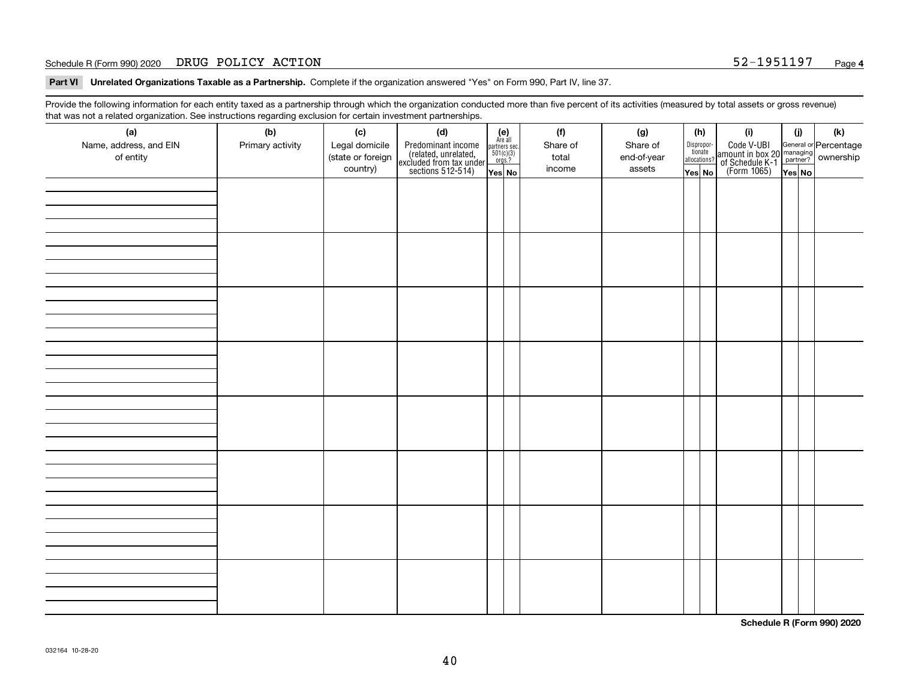#### Schedule R (Form 990) 2020 DRUG POLICY ACTION 52-1951197 <sub>Page</sub>

**Part VI Unrelated Organizations Taxable as a Partnership. Complete if the organization answered "Yes" on Form 990, Part IV, line 37.** 

Provide the following information for each entity taxed as a partnership through which the organization conducted more than five percent of its activities (measured by total assets or gross revenue) that was not a related organization. See instructions regarding exclusion for certain investment partnerships.

| - - - - -<br>(a)<br>Name, address, and EIN<br>of entity | ----- <del>-</del> -------<br>(b)<br>Primary activity | (c)<br>Legal domicile<br>(state or foreign<br>country) | (d)<br>Predominant income<br>(related, unrelated,<br>excluded from tax under<br>sections 512-514) | (e)<br>Are all<br>partners sec.<br>$501(c)(3)$<br>orgs.?<br>Yes No | (f)<br>Share of<br>total<br>income | (g)<br>Share of<br>end-of-year<br>assets | (h)<br>Dispropor-<br>tionate<br>allocations?<br>Yes No | (i)<br>Code V-UBI<br>amount in box 20 managing<br>of Schedule K-1<br>(Form 1065)<br>$\overline{Yes}$ No | (i)<br>Yes No | (k) |
|---------------------------------------------------------|-------------------------------------------------------|--------------------------------------------------------|---------------------------------------------------------------------------------------------------|--------------------------------------------------------------------|------------------------------------|------------------------------------------|--------------------------------------------------------|---------------------------------------------------------------------------------------------------------|---------------|-----|
|                                                         |                                                       |                                                        |                                                                                                   |                                                                    |                                    |                                          |                                                        |                                                                                                         |               |     |
|                                                         |                                                       |                                                        |                                                                                                   |                                                                    |                                    |                                          |                                                        |                                                                                                         |               |     |
|                                                         |                                                       |                                                        |                                                                                                   |                                                                    |                                    |                                          |                                                        |                                                                                                         |               |     |
|                                                         |                                                       |                                                        |                                                                                                   |                                                                    |                                    |                                          |                                                        |                                                                                                         |               |     |
|                                                         |                                                       |                                                        |                                                                                                   |                                                                    |                                    |                                          |                                                        |                                                                                                         |               |     |
|                                                         |                                                       |                                                        |                                                                                                   |                                                                    |                                    |                                          |                                                        |                                                                                                         |               |     |
|                                                         |                                                       |                                                        |                                                                                                   |                                                                    |                                    |                                          |                                                        |                                                                                                         |               |     |
|                                                         |                                                       |                                                        |                                                                                                   |                                                                    |                                    |                                          |                                                        |                                                                                                         |               |     |

**Schedule R (Form 990) 2020**